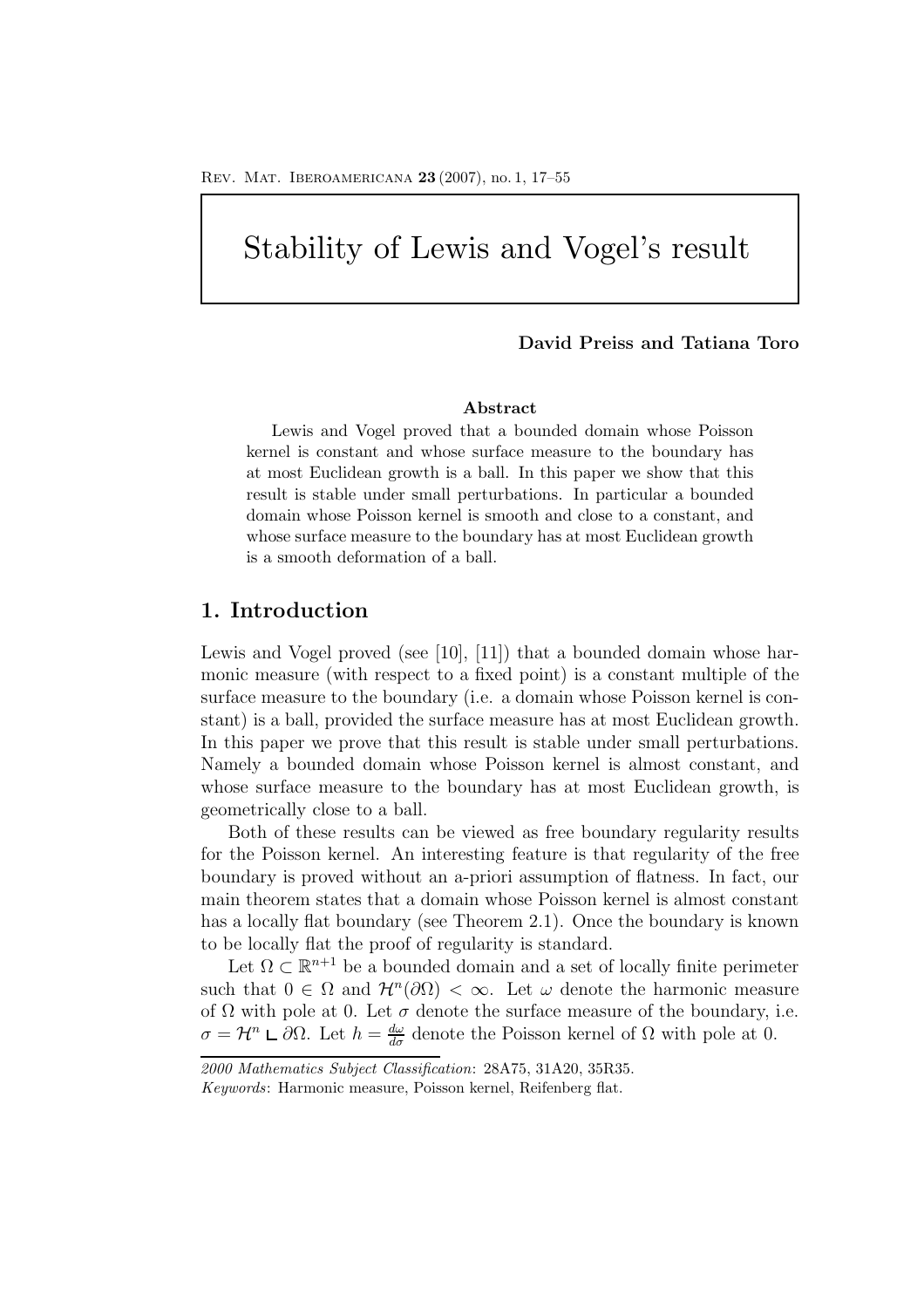# Stability of Lewis and Vogel's result

### **David Preiss and Tatiana Toro**

#### **Abstract**

Lewis and Vogel proved that a bounded domain whose Poisson kernel is constant and whose surface measure to the boundary has at most Euclidean growth is a ball. In this paper we show that this result is stable under small perturbations. In particular a bounded domain whose Poisson kernel is smooth and close to a constant, and whose surface measure to the boundary has at most Euclidean growth is a smooth deformation of a ball.

## **1. Introduction**

Lewis and Vogel proved (see [10], [11]) that a bounded domain whose harmonic measure (with respect to a fixed point) is a constant multiple of the surface measure to the boundary (i.e. a domain whose Poisson kernel is constant) is a ball, provided the surface measure has at most Euclidean growth. In this paper we prove that this result is stable under small perturbations. Namely a bounded domain whose Poisson kernel is almost constant, and whose surface measure to the boundary has at most Euclidean growth, is geometrically close to a ball.

Both of these results can be viewed as free boundary regularity results for the Poisson kernel. An interesting feature is that regularity of the free boundary is proved without an a-priori assumption of flatness. In fact, our main theorem states that a domain whose Poisson kernel is almost constant has a locally flat boundary (see Theorem 2.1). Once the boundary is known to be locally flat the proof of regularity is standard.

Let  $\Omega \subset \mathbb{R}^{n+1}$  be a bounded domain and a set of locally finite perimeter such that  $0 \in \Omega$  and  $\mathcal{H}^n(\partial\Omega) < \infty$ . Let  $\omega$  denote the harmonic measure of  $\Omega$  with pole at 0. Let  $\sigma$  denote the surface measure of the boundary, i.e.  $\sigma = \mathcal{H}^n \sqcup \partial \Omega$ . Let  $h = \frac{d\omega}{d\sigma}$  denote the Poisson kernel of  $\Omega$  with pole at 0.

*<sup>2000</sup> Mathematics Subject Classification*: 28A75, 31A20, 35R35. *Keywords*: Harmonic measure, Poisson kernel, Reifenberg flat.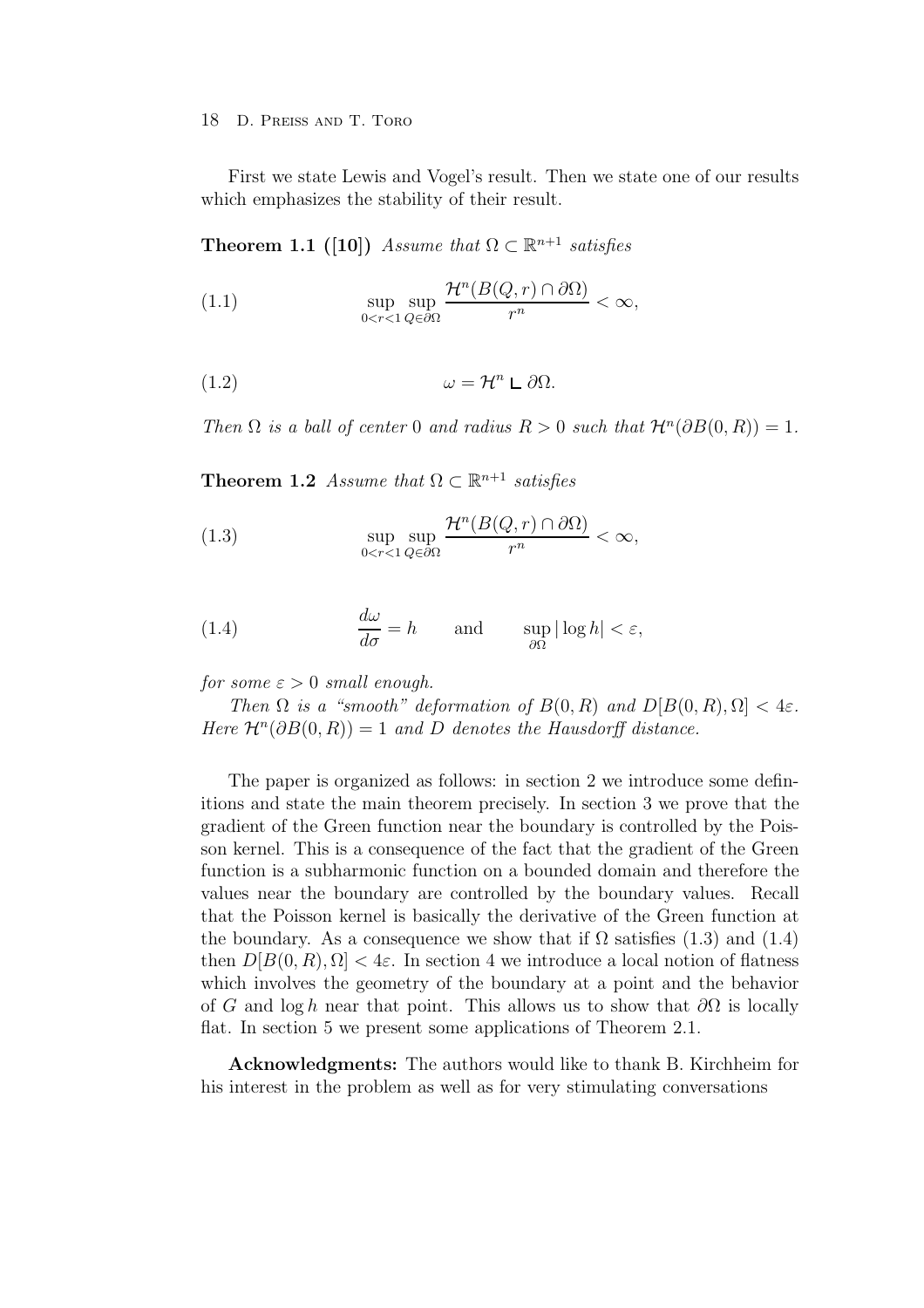First we state Lewis and Vogel's result. Then we state one of our results which emphasizes the stability of their result.

**Theorem 1.1** ([10]) Assume that  $\Omega \subset \mathbb{R}^{n+1}$  satisfies

(1.1) 
$$
\sup_{0 < r < 1} \sup_{Q \in \partial \Omega} \frac{\mathcal{H}^n(B(Q, r) \cap \partial \Omega)}{r^n} < \infty,
$$

(1.2) 
$$
\omega = \mathcal{H}^n \sqcup \partial \Omega.
$$

Then  $\Omega$  is a ball of center 0 and radius  $R > 0$  such that  $\mathcal{H}^n(\partial B(0,R)) = 1$ .

**Theorem 1.2** Assume that  $\Omega \subset \mathbb{R}^{n+1}$  satisfies

(1.3) 
$$
\sup_{0 < r < 1} \sup_{Q \in \partial \Omega} \frac{\mathcal{H}^n(B(Q, r) \cap \partial \Omega)}{r^n} < \infty,
$$

(1.4) 
$$
\frac{d\omega}{d\sigma} = h \quad \text{and} \quad \sup_{\partial\Omega} |\log h| < \varepsilon,
$$

for some  $\varepsilon > 0$  small enough.

Then  $\Omega$  is a "smooth" deformation of  $B(0, R)$  and  $D[B(0, R), \Omega] < 4\varepsilon$ . Here  $\mathcal{H}^n(\partial B(0,R)) = 1$  and D denotes the Hausdorff distance.

The paper is organized as follows: in section 2 we introduce some definitions and state the main theorem precisely. In section 3 we prove that the gradient of the Green function near the boundary is controlled by the Poisson kernel. This is a consequence of the fact that the gradient of the Green function is a subharmonic function on a bounded domain and therefore the values near the boundary are controlled by the boundary values. Recall that the Poisson kernel is basically the derivative of the Green function at the boundary. As a consequence we show that if  $\Omega$  satisfies (1.3) and (1.4) then  $D[B(0, R), \Omega] < 4\varepsilon$ . In section 4 we introduce a local notion of flatness which involves the geometry of the boundary at a point and the behavior of G and log h near that point. This allows us to show that  $\partial\Omega$  is locally flat. In section 5 we present some applications of Theorem 2.1.

**Acknowledgments:** The authors would like to thank B. Kirchheim for his interest in the problem as well as for very stimulating conversations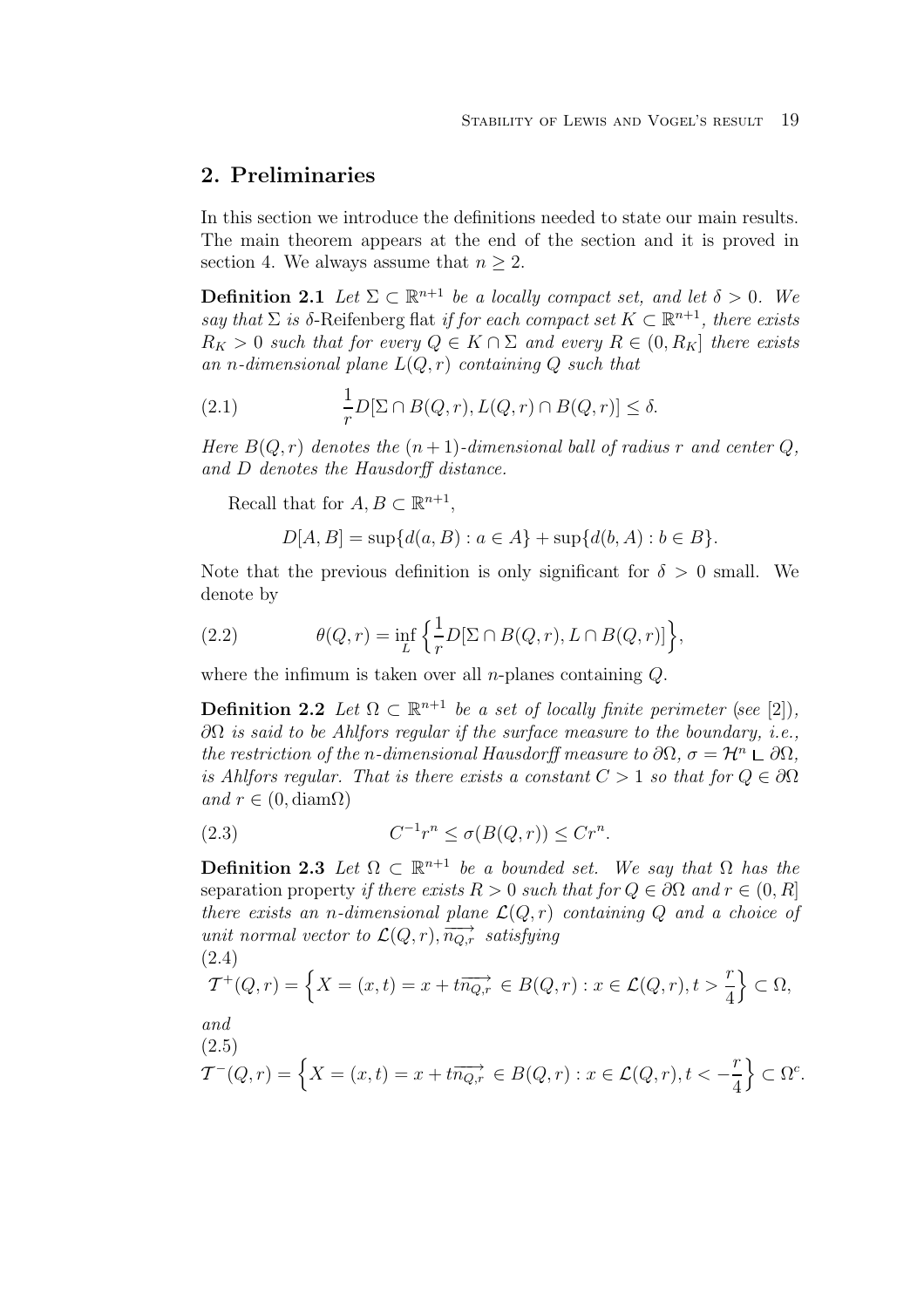## **2. Preliminaries**

In this section we introduce the definitions needed to state our main results. The main theorem appears at the end of the section and it is proved in section 4. We always assume that  $n \geq 2$ .

**Definition 2.1** Let  $\Sigma \subset \mathbb{R}^{n+1}$  be a locally compact set, and let  $\delta > 0$ . We say that  $\Sigma$  is δ-Reifenberg flat if for each compact set  $K \subset \mathbb{R}^{n+1}$ , there exists  $R_K > 0$  such that for every  $Q \in K \cap \Sigma$  and every  $R \in (0, R_K]$  there exists an n-dimensional plane  $L(Q, r)$  containing Q such that

(2.1) 
$$
\frac{1}{r}D[\Sigma \cap B(Q,r), L(Q,r) \cap B(Q,r)] \leq \delta.
$$

Here  $B(Q, r)$  denotes the  $(n + 1)$ -dimensional ball of radius r and center Q, and D denotes the Hausdorff distance.

Recall that for  $A, B \subset \mathbb{R}^{n+1}$ ,

$$
D[A, B] = \sup \{ d(a, B) : a \in A \} + \sup \{ d(b, A) : b \in B \}.
$$

Note that the previous definition is only significant for  $\delta > 0$  small. We denote by

(2.2) 
$$
\theta(Q,r) = \inf_{L} \left\{ \frac{1}{r} D[\Sigma \cap B(Q,r), L \cap B(Q,r)] \right\},\
$$

where the infimum is taken over all *n*-planes containing  $Q$ .

**Definition 2.2** Let  $\Omega \subset \mathbb{R}^{n+1}$  be a set of locally finite perimeter (see [2]).  $\partial\Omega$  is said to be Ahlfors regular if the surface measure to the boundary, i.e., the restriction of the n-dimensional Hausdorff measure to  $\partial\Omega$ ,  $\sigma = \mathcal{H}^n \sqcup \partial\Omega$ , is Ahlfors regular. That is there exists a constant  $C > 1$  so that for  $Q \in \partial \Omega$ and  $r \in (0, \text{diam}\Omega)$ 

$$
(2.3) \tC^{-1}r^n \le \sigma(B(Q, r)) \le Cr^n.
$$

**Definition 2.3** Let  $\Omega \subset \mathbb{R}^{n+1}$  be a bounded set. We say that  $\Omega$  has the separation property if there exists  $R > 0$  such that for  $Q \in \partial \Omega$  and  $r \in (0, R]$ there exists an n-dimensional plane  $\mathcal{L}(Q, r)$  containing Q and a choice of unit normal vector to  $\mathcal{L}(Q,r), \overrightarrow{n_{Q,r}}$  satisfying (2.4)

$$
T^+(Q,r) = \left\{ X = (x,t) = x + t\overrightarrow{n_{Q,r}} \in B(Q,r) : x \in \mathcal{L}(Q,r), t > \frac{r}{4} \right\} \subset \Omega,
$$

and

(2.5)  
\n
$$
\mathcal{T}^{-}(Q,r) = \left\{ X = (x,t) = x + t\overrightarrow{n_{Q,r}} \in B(Q,r) : x \in \mathcal{L}(Q,r), t < -\frac{r}{4} \right\} \subset \Omega^{c}.
$$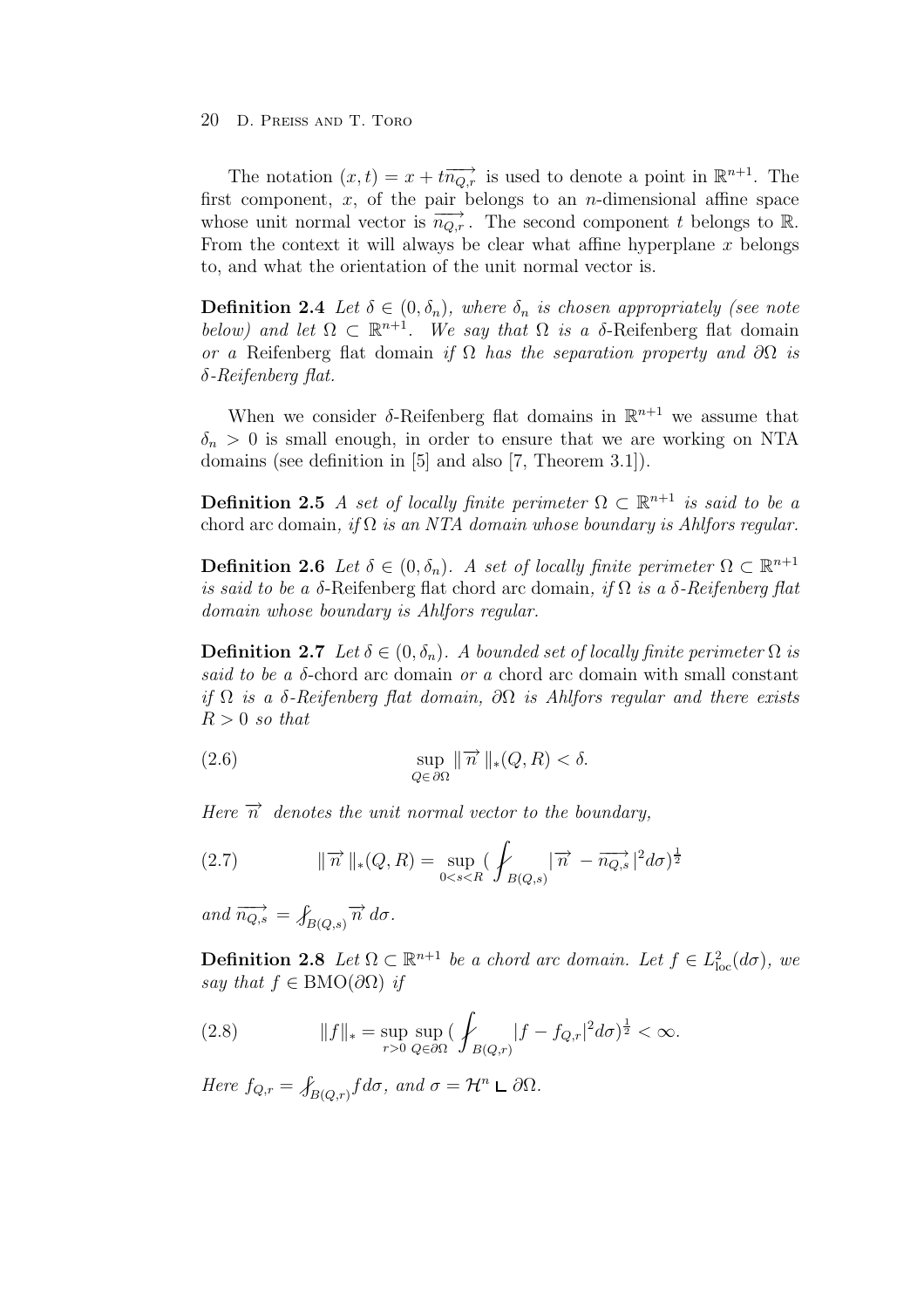The notation  $(x,t) = x + t \overrightarrow{n_{Q,r}}$  is used to denote a point in  $\mathbb{R}^{n+1}$ . The first component,  $x$ , of the pair belongs to an *n*-dimensional affine space whose unit normal vector is  $\overrightarrow{n_{Q,r}}$ . The second component t belongs to R. From the context it will always be clear what affine hyperplane  $x$  belongs to, and what the orientation of the unit normal vector is.

**Definition 2.4** Let  $\delta \in (0, \delta_n)$ , where  $\delta_n$  is chosen appropriately (see note below) and let  $\Omega \subset \mathbb{R}^{n+1}$ . We say that  $\Omega$  is a  $\delta$ -Reifenberg flat domain or a Reifenberg flat domain if  $\Omega$  has the separation property and  $\partial\Omega$  is δ-Reifenberg flat.

When we consider  $\delta$ -Reifenberg flat domains in  $\mathbb{R}^{n+1}$  we assume that  $\delta_n > 0$  is small enough, in order to ensure that we are working on NTA domains (see definition in [5] and also [7, Theorem 3.1]).

**Definition 2.5** A set of locally finite perimeter  $\Omega \subset \mathbb{R}^{n+1}$  is said to be a chord arc domain, if  $\Omega$  is an NTA domain whose boundary is Ahlfors regular.

**Definition 2.6** Let  $\delta \in (0, \delta_n)$ . A set of locally finite perimeter  $\Omega \subset \mathbb{R}^{n+1}$ is said to be a δ-Reifenberg flat chord arc domain, if  $\Omega$  is a δ-Reifenberg flat domain whose boundary is Ahlfors regular.

**Definition 2.7** Let  $\delta \in (0, \delta_n)$ . A bounded set of locally finite perimeter  $\Omega$  is said to be a  $\delta$ -chord arc domain or a chord arc domain with small constant if  $\Omega$  is a δ-Reifenberg flat domain,  $\partial\Omega$  is Ahlfors regular and there exists  $R > 0$  so that

(2.6) 
$$
\sup_{Q \in \partial \Omega} ||\overrightarrow{n}||_*(Q, R) < \delta.
$$

Here  $\vec{n}$  denotes the unit normal vector to the boundary,

(2.7) 
$$
\|\vec{n}\|_{*}(Q,R) = \sup_{0 < s < R} \left( \int_{B(Q,s)} |\vec{n} - \vec{n_{Q,s}}|^{2} d\sigma \right)^{\frac{1}{2}}
$$

and  $\overrightarrow{n_{Q,s}} = \int_{B(Q,s)} \overrightarrow{n} d\sigma$ .

**Definition 2.8** Let  $\Omega \subset \mathbb{R}^{n+1}$  be a chord arc domain. Let  $f \in L^2_{loc}(d\sigma)$ , we say that  $f \in BMO(\partial\Omega)$  if

(2.8) 
$$
||f||_* = \sup_{r>0} \sup_{Q \in \partial\Omega} (\int_{B(Q,r)} |f - f_{Q,r}|^2 d\sigma)^{\frac{1}{2}} < \infty.
$$

Here  $f_{Q,r} = \int_{B(Q,r)} f d\sigma$ , and  $\sigma = \mathcal{H}^n \mathsf{L} \partial \Omega$ .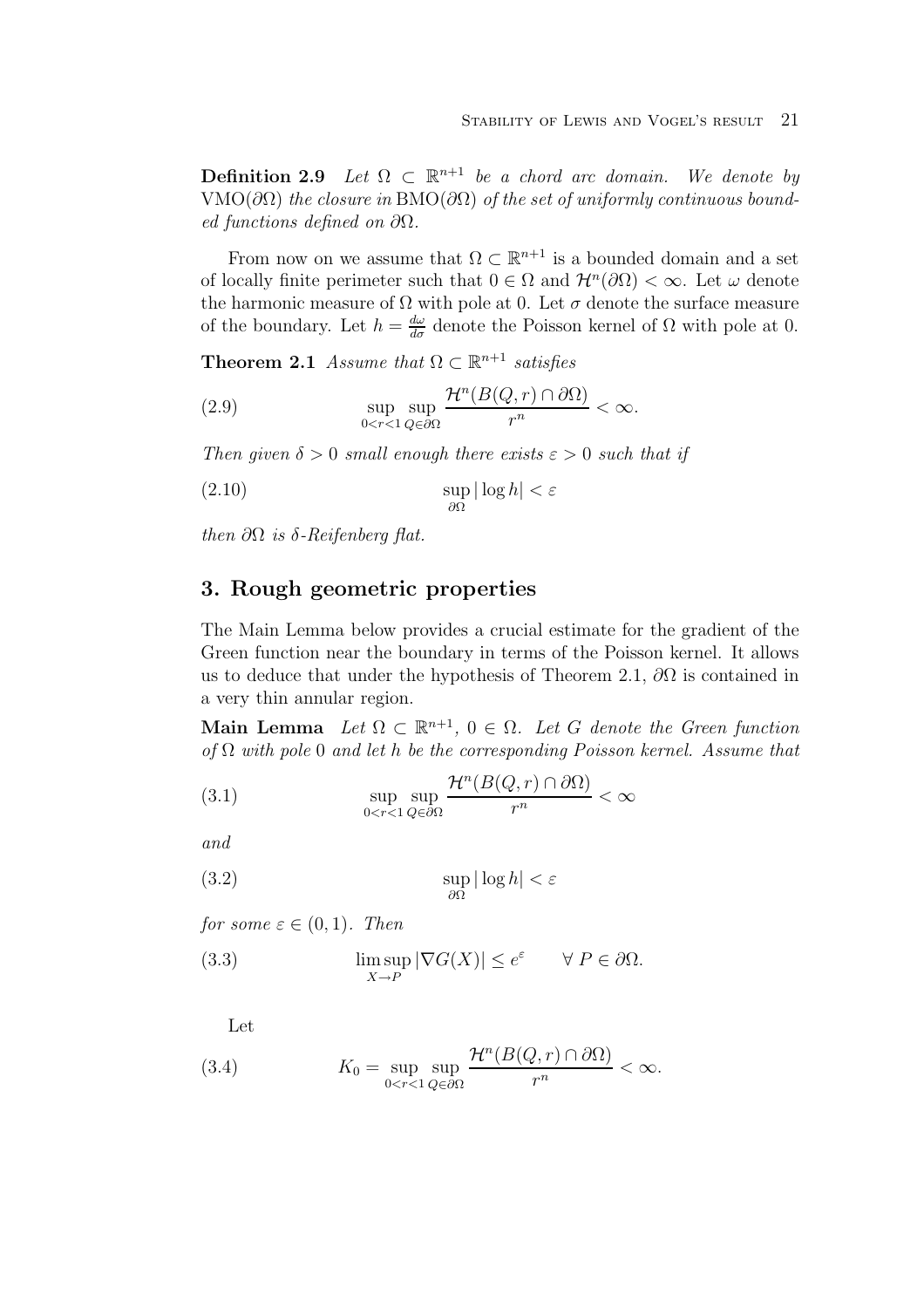**Definition 2.9** Let  $\Omega \subset \mathbb{R}^{n+1}$  be a chord arc domain. We denote by VMO( $\partial\Omega$ ) the closure in BMO( $\partial\Omega$ ) of the set of uniformly continuous bounded functions defined on  $\partial\Omega$ .

From now on we assume that  $\Omega \subset \mathbb{R}^{n+1}$  is a bounded domain and a set of locally finite perimeter such that  $0 \in \Omega$  and  $\mathcal{H}^n(\partial\Omega) < \infty$ . Let  $\omega$  denote the harmonic measure of  $\Omega$  with pole at 0. Let  $\sigma$  denote the surface measure of the boundary. Let  $h = \frac{d\omega}{d\sigma}$  denote the Poisson kernel of  $\Omega$  with pole at 0.

**Theorem 2.1** Assume that  $\Omega \subset \mathbb{R}^{n+1}$  satisfies

(2.9) 
$$
\sup_{0 < r < 1} \sup_{Q \in \partial \Omega} \frac{\mathcal{H}^n(B(Q, r) \cap \partial \Omega)}{r^n} < \infty.
$$

Then given  $\delta > 0$  small enough there exists  $\varepsilon > 0$  such that if

$$
\sup_{\partial\Omega} |\log h| < \varepsilon
$$

then  $\partial\Omega$  is  $\delta$ -Reifenberg flat.

## **3. Rough geometric properties**

The Main Lemma below provides a crucial estimate for the gradient of the Green function near the boundary in terms of the Poisson kernel. It allows us to deduce that under the hypothesis of Theorem 2.1,  $\partial\Omega$  is contained in a very thin annular region.

**Main Lemma** Let  $\Omega \subset \mathbb{R}^{n+1}$ ,  $0 \in \Omega$ . Let G denote the Green function of  $\Omega$  with pole 0 and let h be the corresponding Poisson kernel. Assume that

(3.1) 
$$
\sup_{0 < r < 1} \sup_{Q \in \partial \Omega} \frac{\mathcal{H}^n(B(Q, r) \cap \partial \Omega)}{r^n} < \infty
$$

and

(3.2) 
$$
\sup_{\partial\Omega} |\log h| < \varepsilon
$$

for some  $\varepsilon \in (0,1)$ . Then

(3.3) 
$$
\limsup_{X \to P} |\nabla G(X)| \le e^{\varepsilon} \quad \forall P \in \partial \Omega.
$$

Let

(3.4) 
$$
K_0 = \sup_{0 < r < 1} \sup_{Q \in \partial \Omega} \frac{\mathcal{H}^n(B(Q, r) \cap \partial \Omega)}{r^n} < \infty.
$$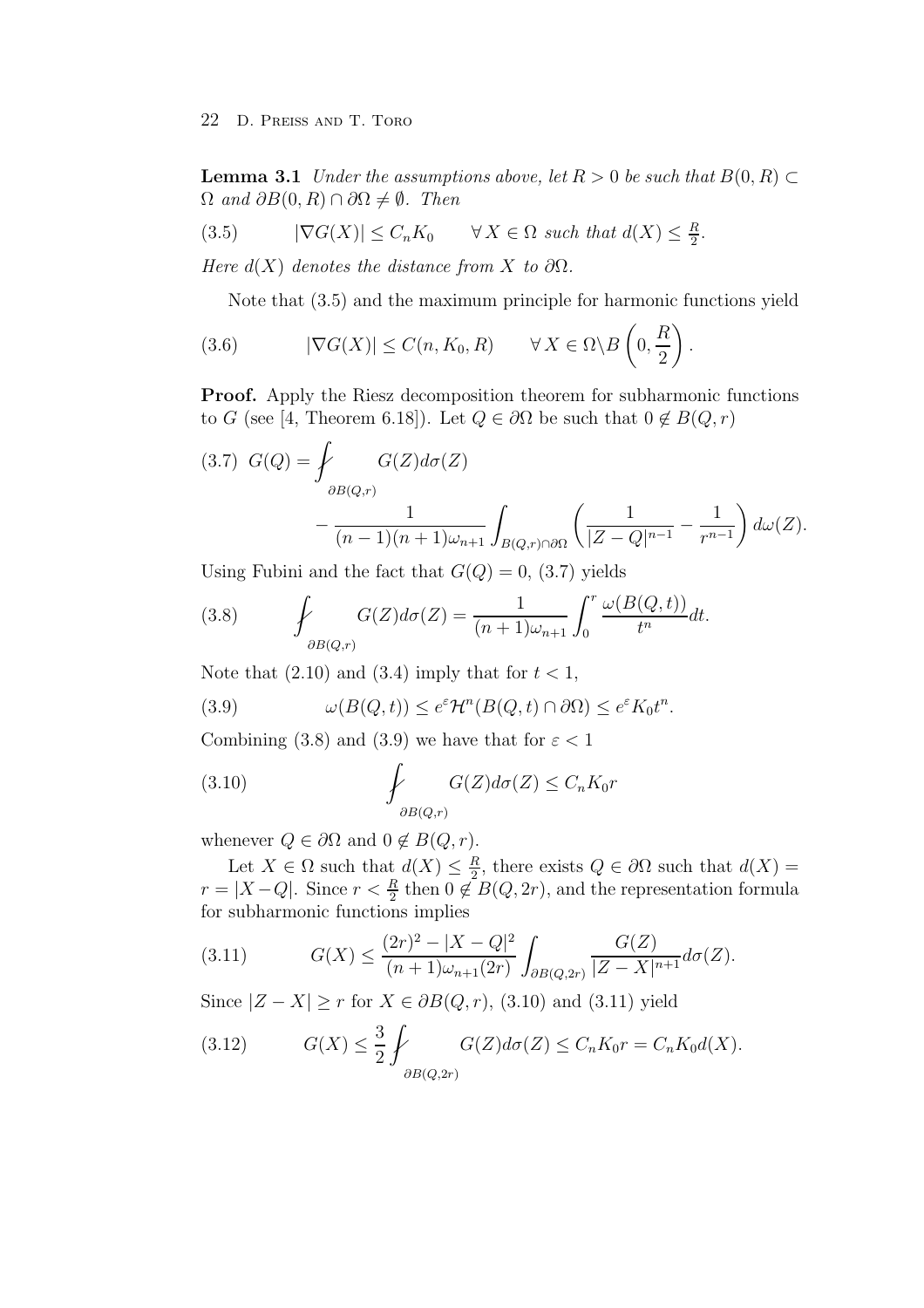**Lemma 3.1** Under the assumptions above, let  $R > 0$  be such that  $B(0, R) \subset$  $\Omega$  and  $\partial B(0,R) \cap \partial \Omega \neq \emptyset$ . Then

$$
(3.5) \qquad |\nabla G(X)| \le C_n K_0 \qquad \forall X \in \Omega \text{ such that } d(X) \le \frac{R}{2}.
$$

Here  $d(X)$  denotes the distance from X to  $\partial\Omega$ .

Note that (3.5) and the maximum principle for harmonic functions yield

(3.6) 
$$
|\nabla G(X)| \leq C(n, K_0, R) \quad \forall X \in \Omega \backslash B\left(0, \frac{R}{2}\right).
$$

**Proof.** Apply the Riesz decomposition theorem for subharmonic functions to G (see [4, Theorem 6.18]). Let  $Q \in \partial \Omega$  be such that  $0 \notin B(Q, r)$ 

(3.7) 
$$
G(Q) = \int_{\partial B(Q,r)} G(Z) d\sigma(Z) - \frac{1}{(n-1)(n+1)\omega_{n+1}} \int_{B(Q,r)\cap\partial\Omega} \left(\frac{1}{|Z-Q|^{n-1}} - \frac{1}{r^{n-1}}\right) d\omega(Z).
$$

Using Fubini and the fact that  $G(Q) = 0$ , (3.7) yields

(3.8) 
$$
\oint_{\partial B(Q,r)} G(Z) d\sigma(Z) = \frac{1}{(n+1)\omega_{n+1}} \int_0^r \frac{\omega(B(Q,t))}{t^n} dt.
$$

Note that  $(2.10)$  and  $(3.4)$  imply that for  $t < 1$ ,

(3.9) 
$$
\omega(B(Q,t)) \leq e^{\varepsilon} \mathcal{H}^n(B(Q,t) \cap \partial \Omega) \leq e^{\varepsilon} K_0 t^n.
$$

Combining (3.8) and (3.9) we have that for  $\varepsilon < 1$ 

(3.10) 
$$
\oint_{\partial B(Q,r)} G(Z) d\sigma(Z) \leq C_n K_0 r
$$

whenever  $Q \in \partial \Omega$  and  $0 \notin B(Q, r)$ .

Let  $X \in \Omega$  such that  $d(X) \leq \frac{R}{2}$ , there exists  $Q \in \partial \Omega$  such that  $d(X) =$  $r = |X - Q|$ . Since  $r < \frac{R}{2}$  then  $0 \notin B(Q, 2r)$ , and the representation formula for subharmonic functions implies

(3.11) 
$$
G(X) \le \frac{(2r)^2 - |X - Q|^2}{(n+1)\omega_{n+1}(2r)} \int_{\partial B(Q, 2r)} \frac{G(Z)}{|Z - X|^{n+1}} d\sigma(Z).
$$

Since  $|Z - X| \ge r$  for  $X \in \partial B(Q, r)$ , (3.10) and (3.11) yield

(3.12) 
$$
G(X) \leq \frac{3}{2} \int_{\partial B(Q,2r)} G(Z) d\sigma(Z) \leq C_n K_0 r = C_n K_0 d(X).
$$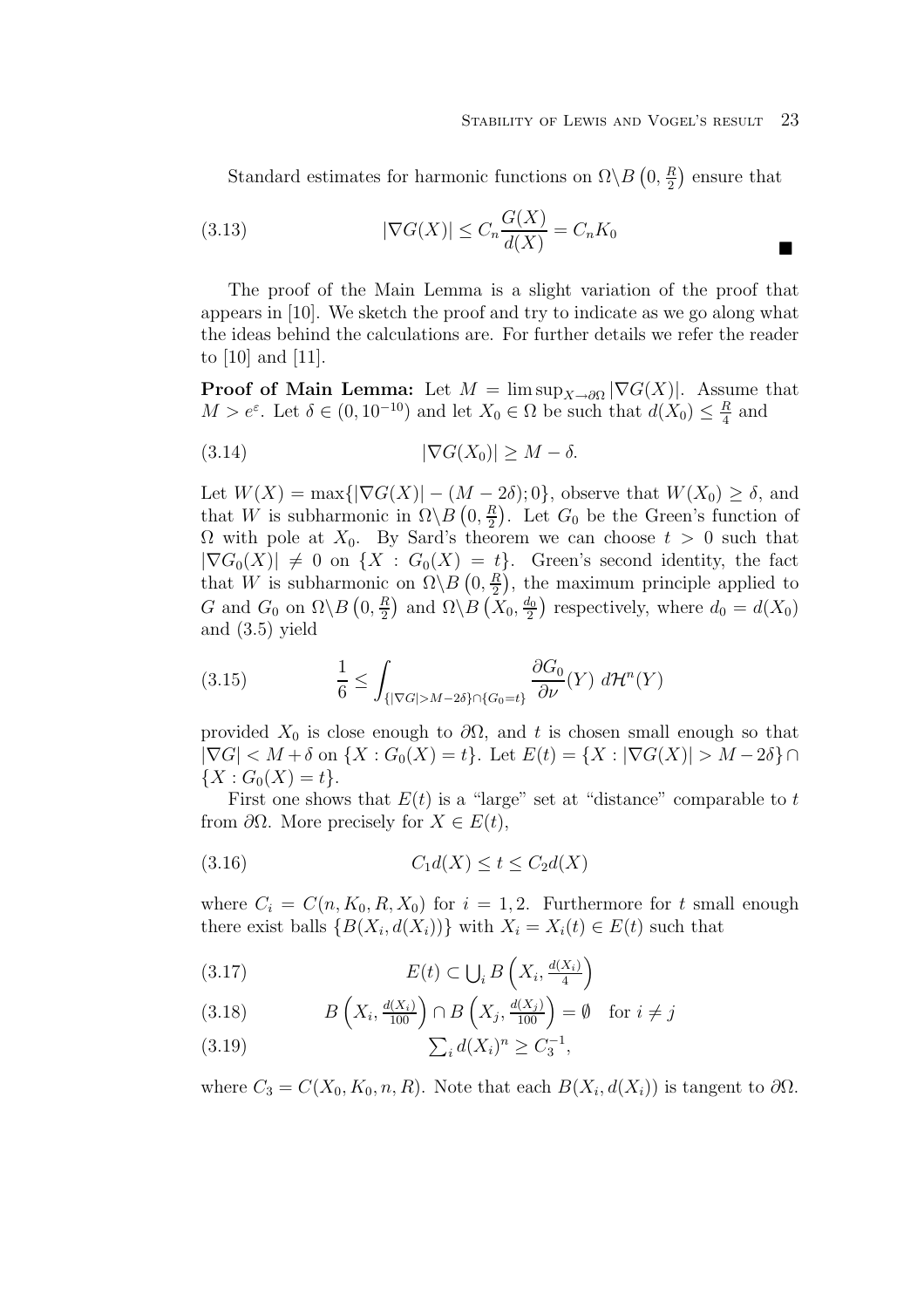$\blacksquare$ 

Standard estimates for harmonic functions on  $\Omega \backslash B(0, \frac{R}{2})$  ensure that

(3.13) 
$$
|\nabla G(X)| \le C_n \frac{G(X)}{d(X)} = C_n K_0
$$

The proof of the Main Lemma is a slight variation of the proof that appears in [10]. We sketch the proof and try to indicate as we go along what the ideas behind the calculations are. For further details we refer the reader to [10] and [11].

**Proof of Main Lemma:** Let  $M = \limsup_{X \to \partial \Omega} |\nabla G(X)|$ . Assume that  $M>e^{\varepsilon}$ . Let  $\delta \in (0, 10^{-10})$  and let  $X_0 \in \Omega$  be such that  $d(X_0) \leq \frac{R}{4}$  and

$$
(3.14) \t |\nabla G(X_0)| \ge M - \delta.
$$

Let  $W(X) = \max\{|\nabla G(X)| - (M - 2\delta); 0\}$ , observe that  $W(X_0) \ge \delta$ , and that W is subharmonic in  $\Omega \backslash B(0, \frac{R}{2})$ . Let  $G_0$  be the Green's function of  $\Omega$  with pole at  $X_0$ . By Sard's theorem we can choose  $t > 0$  such that  $|\nabla G_0(X)| \neq 0$  on  $\{X : G_0(X) = t\}$ . Green's second identity, the fact that W is subharmonic on  $\Omega \backslash B(0, \frac{R}{2})$ , the maximum principle applied to G and  $G_0$  on  $\Omega \backslash B(0, \frac{R}{2})$  and  $\Omega \backslash B(\overline{X_0}, \frac{d_0}{2})$  respectively, where  $d_0 = d(X_0)$ and (3.5) yield

(3.15) 
$$
\frac{1}{6} \leq \int_{\{|\nabla G| > M - 2\delta\} \cap \{G_0 = t\}} \frac{\partial G_0}{\partial \nu} (Y) d\mathcal{H}^n(Y)
$$

provided  $X_0$  is close enough to  $\partial\Omega$ , and t is chosen small enough so that  $|\nabla G| < M + \delta$  on  $\{X : G_0(X) = t\}$ . Let  $E(t) = \{X : |\nabla G(X)| > M - 2\delta\}$  ${X : G_0(X) = t}.$ 

First one shows that  $E(t)$  is a "large" set at "distance" comparable to t from  $\partial\Omega$ . More precisely for  $X \in E(t)$ ,

$$
(3.16)\qquad \qquad C_1 d(X) \le t \le C_2 d(X)
$$

where  $C_i = C(n, K_0, R, X_0)$  for  $i = 1, 2$ . Furthermore for t small enough there exist balls  $\{B(X_i, d(X_i))\}$  with  $X_i = X_i(t) \in E(t)$  such that

(3.17) 
$$
E(t) \subset \bigcup_i B\left(X_i, \frac{d(X_i)}{4}\right)
$$

(3.18) 
$$
B\left(X_i, \frac{d(X_i)}{100}\right) \cap B\left(X_j, \frac{d(X_j)}{100}\right) = \emptyset \text{ for } i \neq j
$$

(3.19) 
$$
\sum_{i} d(X_i)^n \ge C_3^{-1},
$$

where  $C_3 = C(X_0, K_0, n, R)$ . Note that each  $B(X_i, d(X_i))$  is tangent to  $\partial \Omega$ .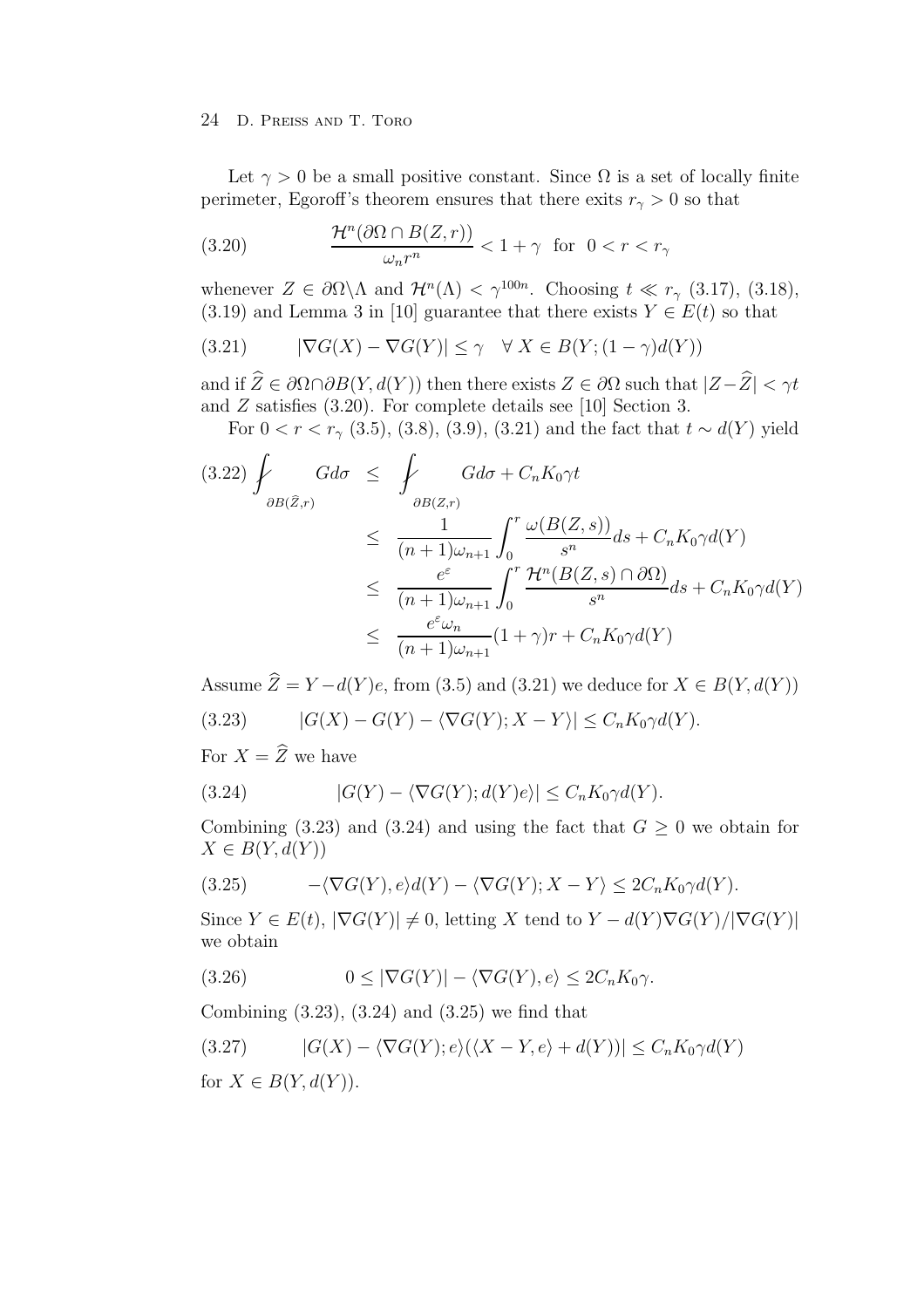Let  $\gamma > 0$  be a small positive constant. Since  $\Omega$  is a set of locally finite perimeter, Egoroff's theorem ensures that there exits  $r<sub>\gamma</sub> > 0$  so that

(3.20) 
$$
\frac{\mathcal{H}^n(\partial \Omega \cap B(Z,r))}{\omega_n r^n} < 1 + \gamma \quad \text{for} \quad 0 < r < r_\gamma
$$

whenever  $Z \in \partial \Omega \backslash \Lambda$  and  $\mathcal{H}^n(\Lambda) < \gamma^{100n}$ . Choosing  $t \ll r_{\gamma}$  (3.17), (3.18), (3.19) and Lemma 3 in [10] guarantee that there exists  $Y \in E(t)$  so that

(3.21) 
$$
|\nabla G(X) - \nabla G(Y)| \leq \gamma \quad \forall \ X \in B(Y; (1 - \gamma)d(Y))
$$

and if  $\widehat{Z} \in \partial \Omega \cap \partial B(Y, d(Y))$  then there exists  $Z \in \partial \Omega$  such that  $|Z - \widehat{Z}| < \gamma t$ and  $Z$  satisfies  $(3.20)$ . For complete details see [10] Section 3.

For  $0 < r < r<sub>γ</sub>$  (3.5), (3.8), (3.9), (3.21) and the fact that  $t \sim d(Y)$  yield

$$
(3.22) \int_{\partial B(\hat{Z},r)} G d\sigma \leq \int_{\partial B(Z,r)} G d\sigma + C_n K_0 \gamma t
$$
  

$$
\leq \frac{1}{(n+1)\omega_{n+1}} \int_0^r \frac{\omega(B(Z,s))}{s^n} ds + C_n K_0 \gamma d(Y)
$$
  

$$
\leq \frac{e^{\varepsilon}}{(n+1)\omega_{n+1}} \int_0^r \frac{\mathcal{H}^n(B(Z,s) \cap \partial \Omega)}{s^n} ds + C_n K_0 \gamma d(Y)
$$
  

$$
\leq \frac{e^{\varepsilon} \omega_n}{(n+1)\omega_{n+1}} (1+\gamma)r + C_n K_0 \gamma d(Y)
$$

Assume  $\widehat{Z} = Y - d(Y)e$ , from (3.5) and (3.21) we deduce for  $X \in B(Y, d(Y))$ 

(3.23) 
$$
|G(X) - G(Y) - \langle \nabla G(Y); X - Y \rangle| \leq C_n K_0 \gamma d(Y).
$$

For  $X = \widehat{Z}$  we have

(3.24) 
$$
|G(Y) - \langle \nabla G(Y); d(Y)e \rangle| \leq C_n K_0 \gamma d(Y).
$$

Combining (3.23) and (3.24) and using the fact that  $G \geq 0$  we obtain for  $X \in B(Y, d(Y))$ 

(3.25) 
$$
-\langle \nabla G(Y), e \rangle d(Y) - \langle \nabla G(Y), X - Y \rangle \leq 2C_n K_0 \gamma d(Y).
$$

Since  $Y \in E(t)$ ,  $|\nabla G(Y)| \neq 0$ , letting X tend to  $Y - d(Y) \nabla G(Y)/|\nabla G(Y)|$ we obtain

(3.26) 
$$
0 \leq |\nabla G(Y)| - \langle \nabla G(Y), e \rangle \leq 2C_n K_0 \gamma.
$$

Combining (3.23), (3.24) and (3.25) we find that

$$
(3.27) \qquad |G(X) - \langle \nabla G(Y); e \rangle (\langle X - Y, e \rangle + d(Y))| \leq C_n K_0 \gamma d(Y)
$$

for  $X \in B(Y, d(Y))$ .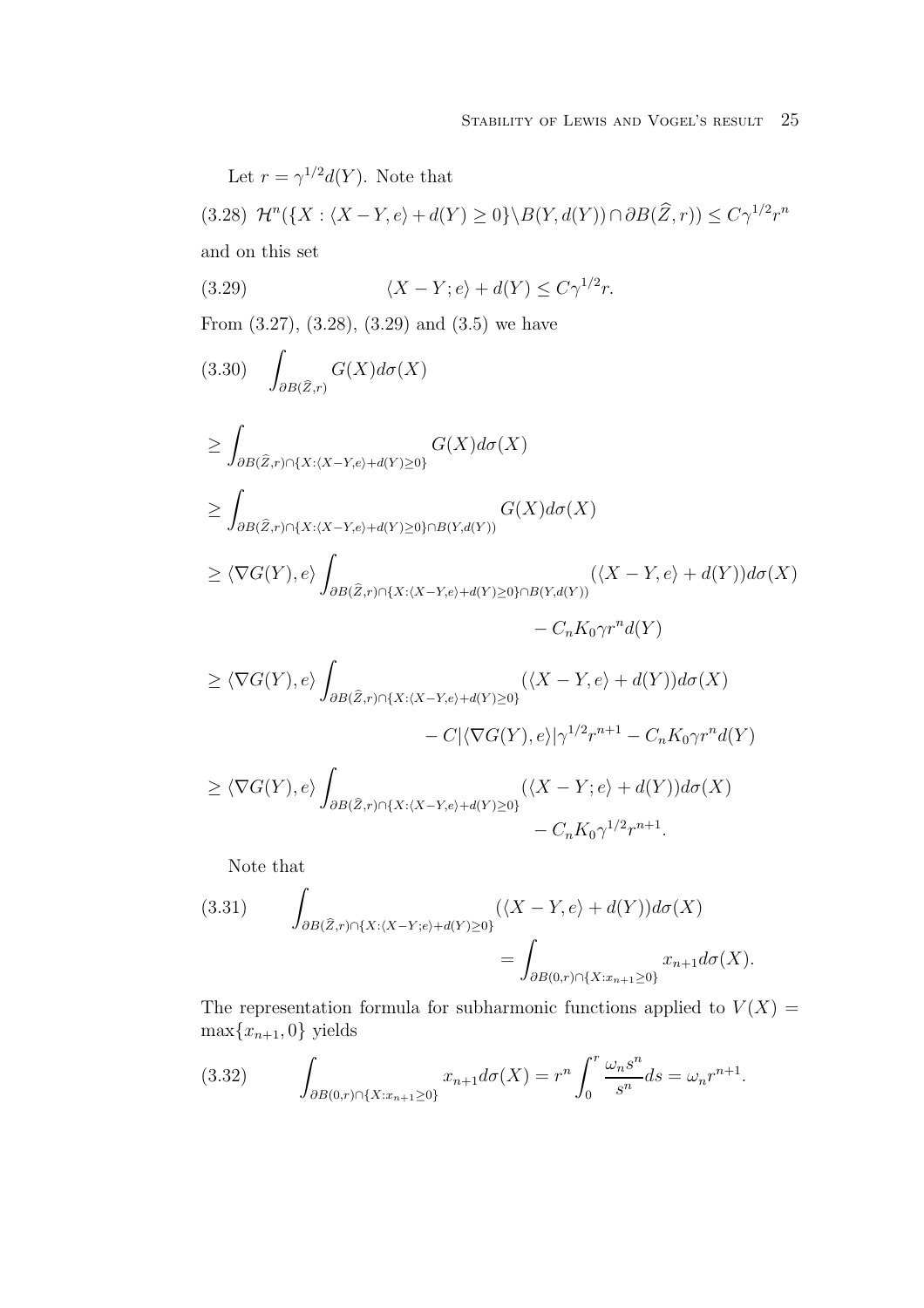Let  $r = \gamma^{1/2} d(Y)$ . Note that (3.28)  $\mathcal{H}^n(\lbrace X : \langle X - Y, e \rangle + d(Y) \ge 0 \rbrace \setminus B(Y, d(Y)) \cap \partial B(\widehat{Z}, r)) \le C\gamma^{1/2}r^n$ and on this set (3.29)  $\langle X - Y; e \rangle + d(Y) \le C \gamma^{1/2} r.$ From (3.27), (3.28), (3.29) and (3.5) we have i.  $\partial B(\widehat{Z},r)$  $(3.30)$   $\qquad$   $G(X)d\sigma(X)$ ≥ i.  $\partial B(\widehat{Z},r) \cap \{X:\langle X-Y,e\rangle + d(Y)\geq 0\}$  $G(X)d\sigma(X)$ ≥ i.  $\partial B(\widehat{Z},r) \cap \{X:\langle X-Y,e \rangle + d(Y) \geq 0\} \cap B(Y,d(Y))$  $G(X)d\sigma(X)$  $\geq \langle \nabla G(Y), e \rangle$ i<br>Li  $\partial B(\widehat{Z},r) \cap \{X:\langle X-Y,e \rangle + d(Y) \geq 0\} \cap B(Y,d(Y))$  $(\langle X-Y,e\rangle + d(Y))d\sigma(X)$  $-C_nK_0\gamma r^n d(Y)$  $\geq \langle \nabla G(Y), e \rangle$ i<br>Li  $\partial B(\widehat{Z},r) \cap \{X:\langle X-Y,e \rangle + d(Y) \geq 0\}$  $(\langle X-Y,e\rangle + d(Y))d\sigma(X)$  $-C|\langle \nabla G(Y),e\rangle|\gamma^{1/2}r^{n+1}-C_nK_0\gamma r^n d(Y)$  $\geq \langle \nabla G(Y), e \rangle$ i<br>Li  $\partial B(\widehat{Z},r) \cap \{X:\langle X-Y,e\rangle + d(Y)\geq 0\}$  $(\langle X-Y; e \rangle + d(Y))d\sigma(X)$  $- C_n K_0 \gamma^{1/2} r^{n+1}.$ Note that

(3.31) 
$$
\int_{\partial B(\widehat{Z},r)\cap\{X:\langle X-Y,e\rangle+d(Y)\geq 0\}} (\langle X-Y,e\rangle+d(Y))d\sigma(X)
$$

$$
=\int_{\partial B(0,r)\cap\{X:x_{n+1}\geq 0\}} x_{n+1}d\sigma(X).
$$

The representation formula for subharmonic functions applied to  $V(X)$  $\max\{x_{n+1}, 0\}$  yields

(3.32) 
$$
\int_{\partial B(0,r)\cap\{X:x_{n+1}\geq 0\}} x_{n+1}d\sigma(X) = r^n \int_0^r \frac{\omega_n s^n}{s^n} ds = \omega_n r^{n+1}.
$$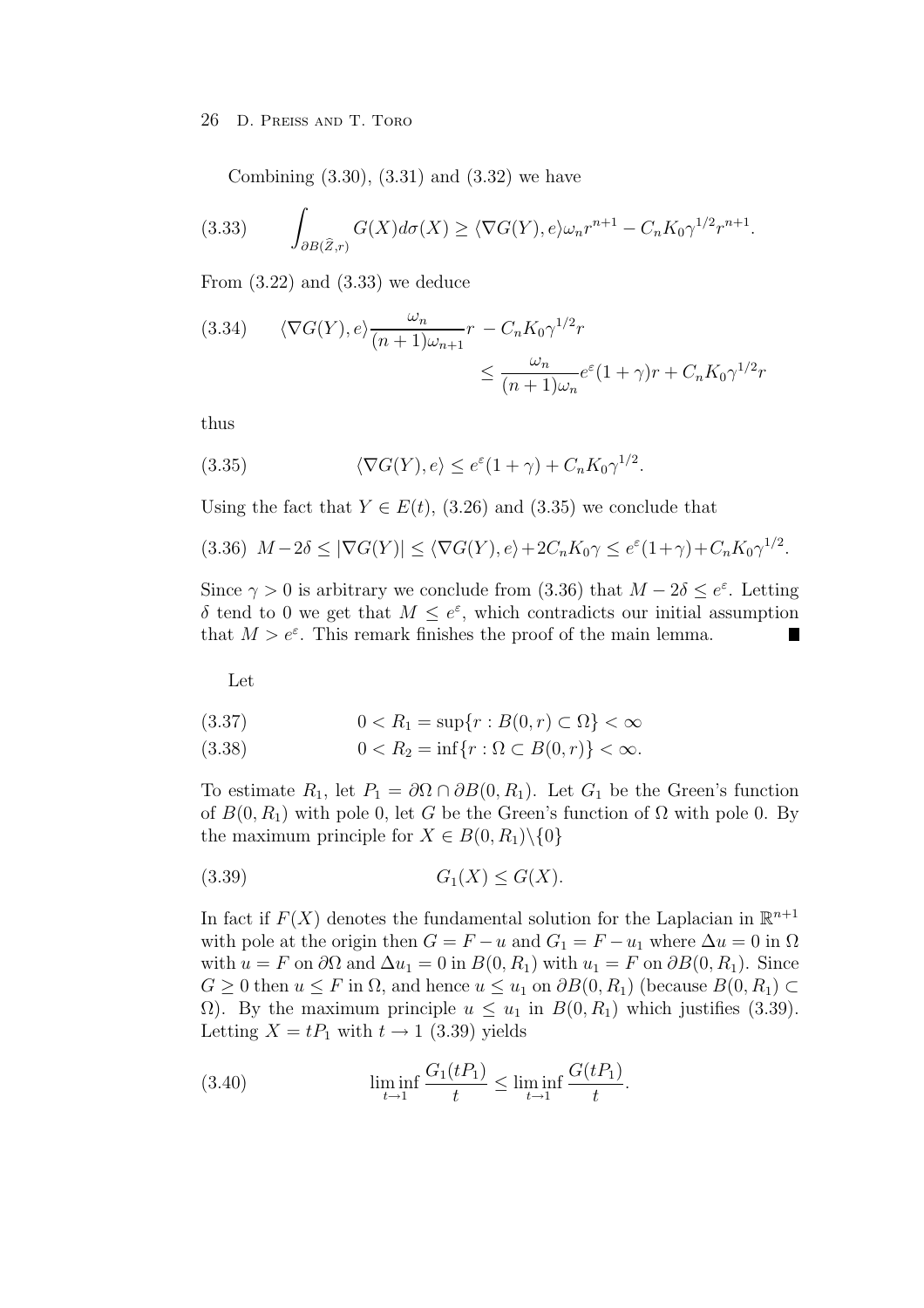Combining (3.30), (3.31) and (3.32) we have

(3.33) 
$$
\int_{\partial B(\widehat{Z},r)} G(X) d\sigma(X) \ge \langle \nabla G(Y), e \rangle \omega_n r^{n+1} - C_n K_0 \gamma^{1/2} r^{n+1}.
$$

From  $(3.22)$  and  $(3.33)$  we deduce

(3.34) 
$$
\langle \nabla G(Y), e \rangle \frac{\omega_n}{(n+1)\omega_{n+1}} r - C_n K_0 \gamma^{1/2} r
$$

$$
\leq \frac{\omega_n}{(n+1)\omega_n} e^{\varepsilon} (1+\gamma) r + C_n K_0 \gamma^{1/2} r
$$

thus

(3.35) 
$$
\langle \nabla G(Y), e \rangle \le e^{\varepsilon} (1 + \gamma) + C_n K_0 \gamma^{1/2}.
$$

Using the fact that  $Y \in E(t)$ , (3.26) and (3.35) we conclude that

$$
(3.36)\ M - 2\delta \le |\nabla G(Y)| \le \langle \nabla G(Y), e \rangle + 2C_n K_0 \gamma \le e^{\varepsilon} (1 + \gamma) + C_n K_0 \gamma^{1/2}.
$$

Since  $\gamma > 0$  is arbitrary we conclude from (3.36) that  $M - 2\delta \leq e^{\epsilon}$ . Letting δ tend to 0 we get that  $M \leq e^{\varepsilon}$ , which contradicts our initial assumption that  $M>e^{\varepsilon}$ . This remark finishes the proof of the main lemma.

Let

$$
(3.37) \t 0 < R_1 = \sup\{r : B(0, r) \subset \Omega\} < \infty
$$

(3.38) 
$$
0 < R_2 = \inf \{ r : \Omega \subset B(0, r) \} < \infty.
$$

To estimate  $R_1$ , let  $P_1 = \partial \Omega \cap \partial B(0, R_1)$ . Let  $G_1$  be the Green's function of  $B(0, R_1)$  with pole 0, let G be the Green's function of  $\Omega$  with pole 0. By the maximum principle for  $X \in B(0, R_1) \setminus \{0\}$ 

$$
(3.39) \tG1(X) \le G(X).
$$

In fact if  $F(X)$  denotes the fundamental solution for the Laplacian in  $\mathbb{R}^{n+1}$ with pole at the origin then  $G = F - u$  and  $G_1 = F - u_1$  where  $\Delta u = 0$  in  $\Omega$ with  $u = F$  on  $\partial\Omega$  and  $\Delta u_1 = 0$  in  $B(0, R_1)$  with  $u_1 = F$  on  $\partial B(0, R_1)$ . Since  $G \geq 0$  then  $u \leq F$  in  $\Omega$ , and hence  $u \leq u_1$  on  $\partial B(0, R_1)$  (because  $B(0, R_1) \subset$ Ω). By the maximum principle  $u \le u_1$  in  $B(0, R_1)$  which justifies (3.39). Letting  $X = tP_1$  with  $t \to 1$  (3.39) yields

(3.40) 
$$
\liminf_{t \to 1} \frac{G_1(tP_1)}{t} \le \liminf_{t \to 1} \frac{G(tP_1)}{t}.
$$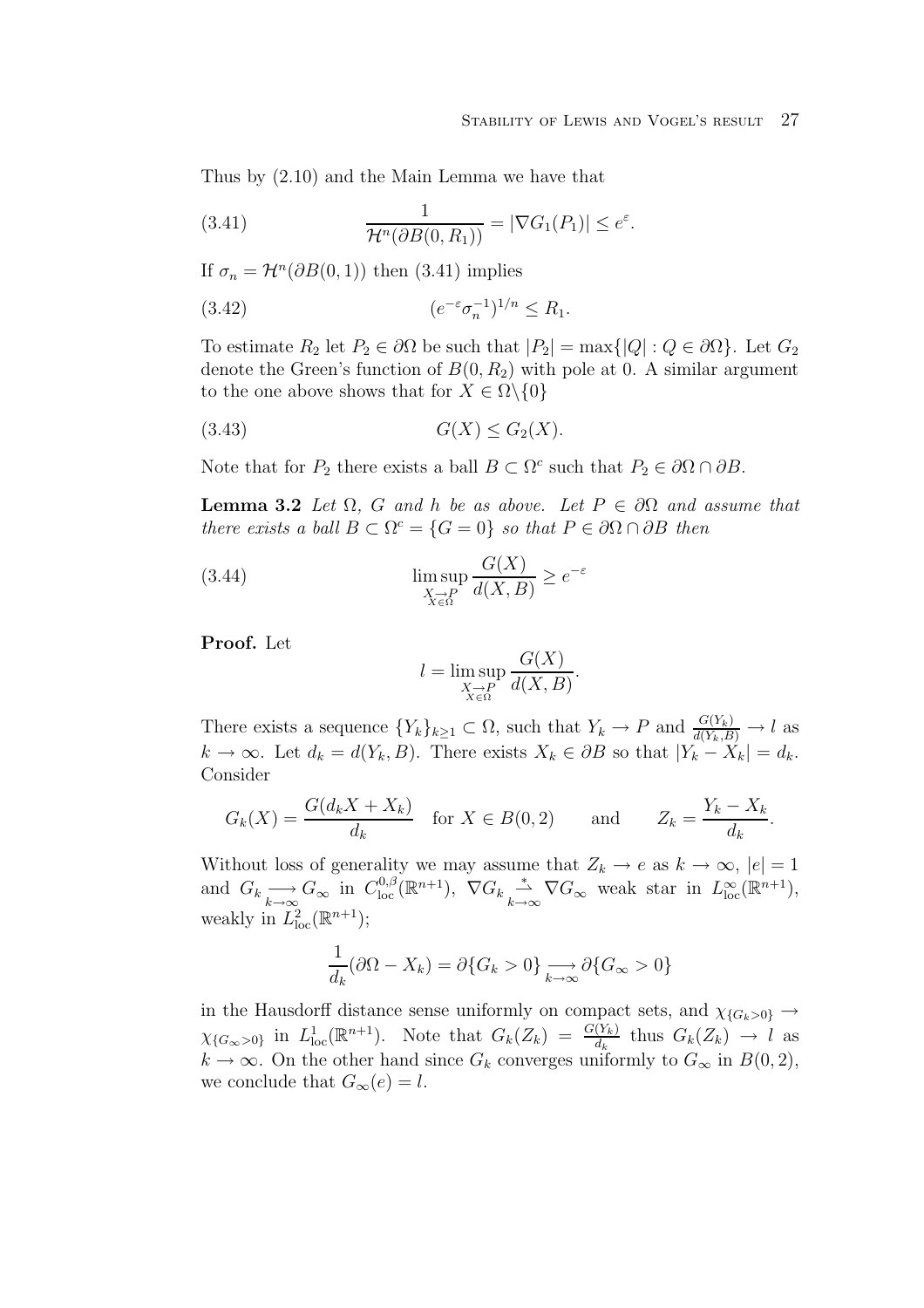Thus by (2.10) and the Main Lemma we have that

(3.41) 
$$
\frac{1}{\mathcal{H}^n(\partial B(0,R_1))} = |\nabla G_1(P_1)| \leq e^{\varepsilon}.
$$

If  $\sigma_n = \mathcal{H}^n(\partial B(0, 1))$  then (3.41) implies

(3.42) 
$$
(e^{-\varepsilon}\sigma_n^{-1})^{1/n} \le R_1.
$$

To estimate  $R_2$  let  $P_2 \in \partial \Omega$  be such that  $|P_2| = \max\{|Q| : Q \in \partial \Omega\}$ . Let  $G_2$ denote the Green's function of  $B(0, R_2)$  with pole at 0. A similar argument to the one above shows that for  $X \in \Omega \backslash \{0\}$ 

$$
(3.43)\t\t G(X) \le G_2(X).
$$

Note that for  $P_2$  there exists a ball  $B \subset \Omega^c$  such that  $P_2 \in \partial \Omega \cap \partial B$ .

**Lemma 3.2** Let  $\Omega$ , G and h be as above. Let  $P \in \partial \Omega$  and assume that there exists a ball  $B \subset \Omega^c = \{G = 0\}$  so that  $P \in \partial \Omega \cap \partial B$  then

(3.44) 
$$
\limsup_{\substack{X \to P \\ X \in \Omega}} \frac{G(X)}{d(X, B)} \ge e^{-\varepsilon}
$$

**Proof.** Let

$$
l = \limsup_{\substack{X \to P \\ X \in \Omega}} \frac{G(X)}{d(X, B)}.
$$

There exists a sequence  ${Y_k}_{k\geq 1} \subset \Omega$ , such that  $Y_k \to P$  and  $\frac{G(Y_k)}{d(Y_k, B)} \to l$  as  $k \to \infty$ . Let  $d_k = d(Y_k, B)$ . There exists  $X_k \in \partial B$  so that  $|Y_k - X_k| = d_k$ . Consider

$$
G_k(X) = \frac{G(d_k X + X_k)}{d_k} \quad \text{for } X \in B(0, 2) \qquad \text{and} \qquad Z_k = \frac{Y_k - X_k}{d_k}.
$$

Without loss of generality we may assume that  $Z_k \to e$  as  $k \to \infty$ ,  $|e|=1$ and  $G_k \longrightarrow_{\infty} G_{\infty}$  in  $C^{0,\beta}_{loc}(\mathbb{R}^{n+1}), \nabla G_k \overset{*}{\longrightarrow}_{k \to \infty} \nabla G_{\infty}$  weak star in  $L^{\infty}_{loc}(\mathbb{R}^{n+1}),$ weakly in  $L^2_{\text{loc}}(\mathbb{R}^{n+1});$ 

$$
\frac{1}{d_k}(\partial\Omega - X_k) = \partial\{G_k > 0\} \longrightarrow \partial\{G_{\infty} > 0\}
$$

in the Hausdorff distance sense uniformly on compact sets, and  $\chi_{G_k>0} \rightarrow$  $\chi_{G_\infty>0}$  in  $L^1_{loc}(\mathbb{R}^{n+1})$ . Note that  $G_k(Z_k) = \frac{G(Y_k)}{d_k}$  thus  $G_k(Z_k) \to l$  as  $k \to \infty$ . On the other hand since  $G_k$  converges uniformly to  $G_\infty$  in  $B(0, 2)$ , we conclude that  $G_{\infty}(e) = l$ .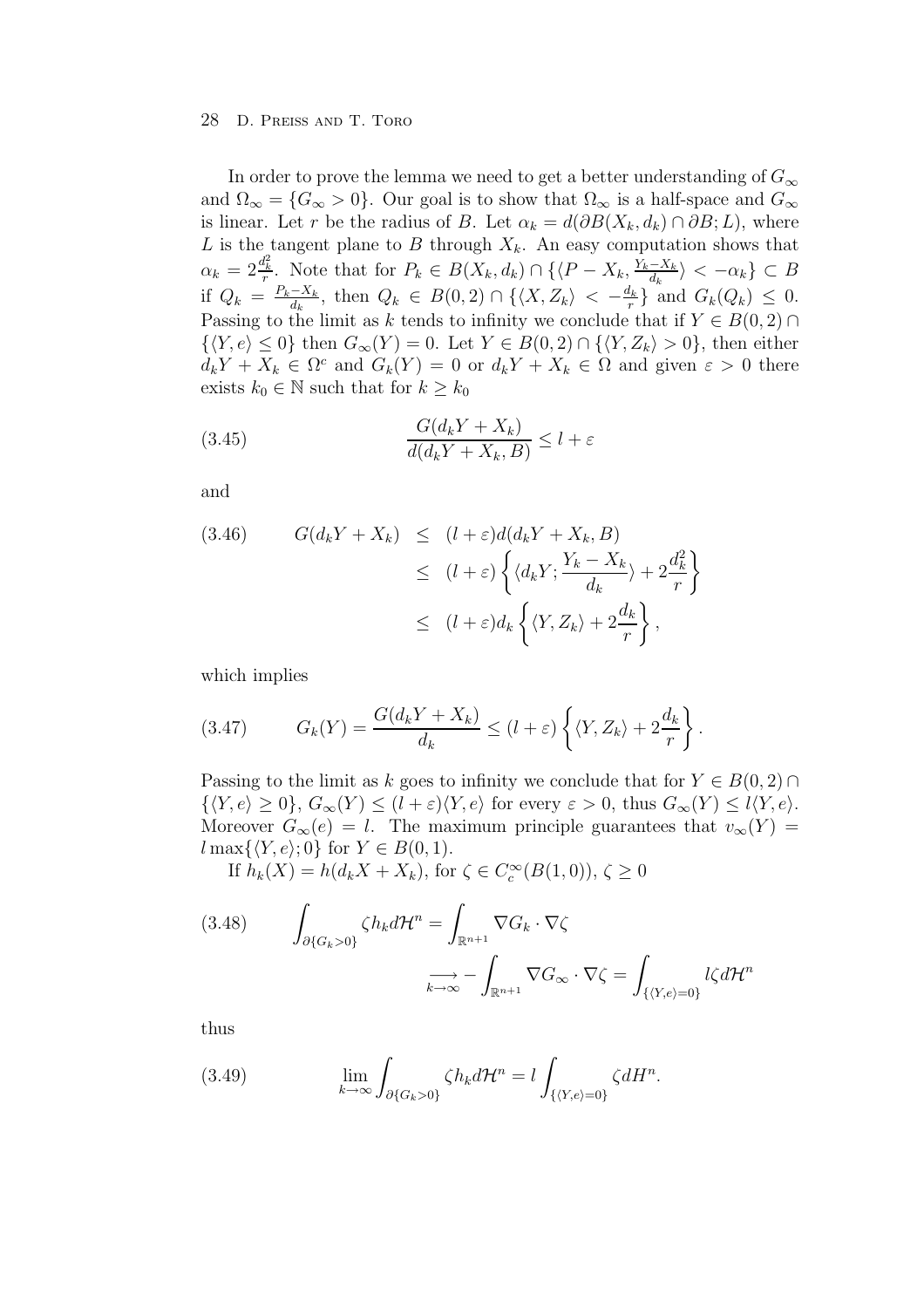In order to prove the lemma we need to get a better understanding of  $G_{\infty}$ and  $\Omega_{\infty} = \{G_{\infty} > 0\}$ . Our goal is to show that  $\Omega_{\infty}$  is a half-space and  $G_{\infty}$ is linear. Let r be the radius of B. Let  $\alpha_k = d(\partial B(X_k, d_k) \cap \partial B; L)$ , where L is the tangent plane to B through  $X_k$ . An easy computation shows that  $\alpha_k = 2\frac{d_k^2}{r}$ . Note that for  $P_k \in B(X_k, d_k) \cap \{\langle P - X_k, \frac{Y_k - X_k}{d_k} \rangle < -\alpha_k\} \subset B$ if  $Q_k = \frac{P_k - X_k}{d_k}$ , then  $Q_k \in B(0, 2) \cap \{\langle X, Z_k \rangle \langle -\frac{d_k}{r} \rangle\}$  and  $G_k(Q_k) \leq 0$ . Passing to the limit as k tends to infinity we conclude that if  $Y \in B(0, 2) \cap$  $\{\langle Y, e \rangle \leq 0\}$  then  $G_{\infty}(Y) = 0$ . Let  $Y \in B(0, 2) \cap \{\langle Y, Z_k \rangle > 0\}$ , then either  $d_kY + X_k \in \Omega^c$  and  $G_k(Y) = 0$  or  $d_kY + X_k \in \Omega$  and given  $\varepsilon > 0$  there exists  $k_0 \in \mathbb{N}$  such that for  $k \geq k_0$ 

(3.45) 
$$
\frac{G(d_k Y + X_k)}{d(d_k Y + X_k, B)} \le l + \varepsilon
$$

and

(3.46) 
$$
G(d_k Y + X_k) \leq (l + \varepsilon) d(d_k Y + X_k, B)
$$

$$
\leq (l + \varepsilon) \left\{ \langle d_k Y; \frac{Y_k - X_k}{d_k} \rangle + 2 \frac{d_k^2}{r} \right\}
$$

$$
\leq (l + \varepsilon) d_k \left\{ \langle Y, Z_k \rangle + 2 \frac{d_k}{r} \right\},
$$

which implies

(3.47) 
$$
G_k(Y) = \frac{G(d_k Y + X_k)}{d_k} \le (l + \varepsilon) \left\{ \langle Y, Z_k \rangle + 2 \frac{d_k}{r} \right\}.
$$

Passing to the limit as k goes to infinity we conclude that for  $Y \in B(0, 2) \cap$  $\{(Y,e) \geq 0\}, G_{\infty}(Y) \leq (l+\varepsilon)\langle Y,e \rangle$  for every  $\varepsilon > 0$ , thus  $G_{\infty}(Y) \leq l\langle Y,e \rangle$ . Moreover  $G_{\infty}(e) = l$ . The maximum principle guarantees that  $v_{\infty}(Y) =$  $l \max\{\langle Y, e \rangle; 0\}$  for  $Y \in B(0, 1)$ .

If  $h_k(X) = h(d_k X + X_k)$ , for  $\zeta \in C_c^{\infty}(B(1,0)), \zeta \ge 0$ 

(3.48) 
$$
\int_{\partial\{G_k>0\}} \zeta h_k d\mathcal{H}^n = \int_{\mathbb{R}^{n+1}} \nabla G_k \cdot \nabla \zeta
$$

$$
\sum_{k \to \infty} - \int_{\mathbb{R}^{n+1}} \nabla G_\infty \cdot \nabla \zeta = \int_{\{\langle Y, e \rangle = 0\}} l \zeta d\mathcal{H}^n
$$

thus

(3.49) 
$$
\lim_{k \to \infty} \int_{\partial \{G_k > 0\}} \zeta h_k d\mathcal{H}^n = l \int_{\{\langle Y, e \rangle = 0\}} \zeta dH^n.
$$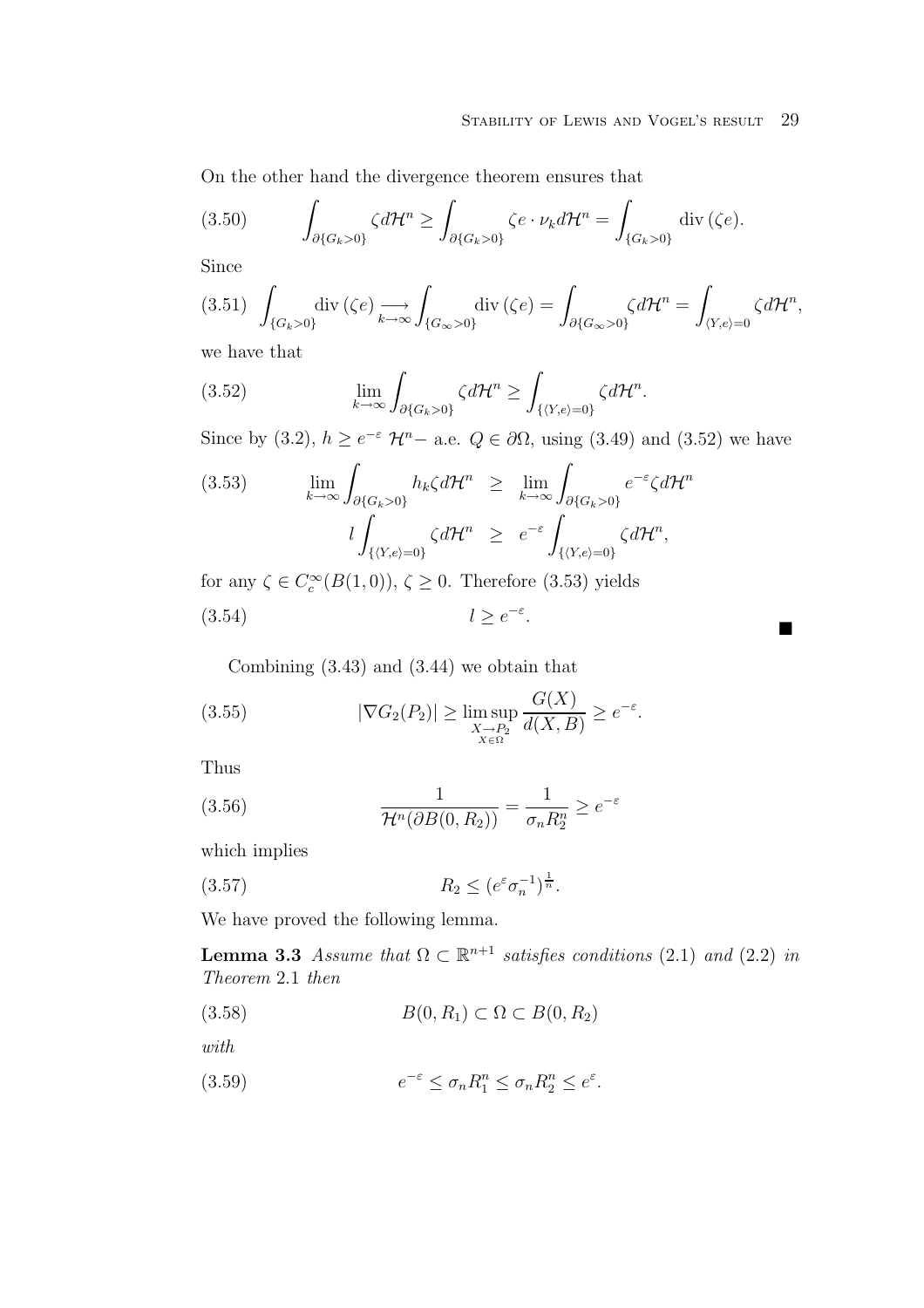On the other hand the divergence theorem ensures that

(3.50) 
$$
\int_{\partial\{G_k>0\}} \zeta d\mathcal{H}^n \geq \int_{\partial\{G_k>0\}} \zeta e \cdot \nu_k d\mathcal{H}^n = \int_{\{G_k>0\}} \operatorname{div}(\zeta e).
$$

Since

$$
(3.51)\ \ \int_{\{G_k>0\}} \operatorname{div}\left(\zeta e\right) \underset{k\to\infty}{\longrightarrow} \int_{\{G_\infty>0\}} \operatorname{div}\left(\zeta e\right) = \int_{\partial\{G_\infty>0\}} \zeta d\mathcal{H}^n = \int_{\langle Y,e\rangle=0} \zeta d\mathcal{H}^n,
$$

we have that

(3.52) 
$$
\lim_{k \to \infty} \int_{\partial \{G_k > 0\}} \zeta d\mathcal{H}^n \ge \int_{\{\langle Y, e \rangle = 0\}} \zeta d\mathcal{H}^n.
$$

Since by (3.2),  $h \ge e^{-\varepsilon} \mathcal{H}^n$  – a.e.  $Q \in \partial \Omega$ , using (3.49) and (3.52) we have

$$
(3.53) \qquad \lim_{k \to \infty} \int_{\partial \{G_k > 0\}} h_k \zeta d\mathcal{H}^n \geq \lim_{k \to \infty} \int_{\partial \{G_k > 0\}} e^{-\varepsilon} \zeta d\mathcal{H}^n
$$

$$
l \int_{\{\langle Y, e \rangle = 0\}} \zeta d\mathcal{H}^n \geq e^{-\varepsilon} \int_{\{\langle Y, e \rangle = 0\}} \zeta d\mathcal{H}^n,
$$

for any  $\zeta \in C_c^{\infty}(B(1,0)), \zeta \ge 0$ . Therefore (3.53) yields

$$
(3.54) \t\t l \ge e^{-\varepsilon}.
$$

Combining (3.43) and (3.44) we obtain that

(3.55) 
$$
|\nabla G_2(P_2)| \ge \limsup_{\substack{X \to P_2 \\ X \in \Omega}} \frac{G(X)}{d(X, B)} \ge e^{-\varepsilon}.
$$

Thus

(3.56) 
$$
\frac{1}{\mathcal{H}^n(\partial B(0, R_2))} = \frac{1}{\sigma_n R_2^n} \ge e^{-\varepsilon}
$$

which implies

$$
(3.57) \t\t R_2 \le (e^{\varepsilon} \sigma_n^{-1})^{\frac{1}{n}}.
$$

We have proved the following lemma.

**Lemma 3.3** Assume that  $\Omega \subset \mathbb{R}^{n+1}$  satisfies conditions (2.1) and (2.2) in Theorem 2.1 then

(3.58)  $B(0, R_1) \subset \Omega \subset B(0, R_2)$ 

with

(3.59) 
$$
e^{-\varepsilon} \leq \sigma_n R_1^n \leq \sigma_n R_2^n \leq e^{\varepsilon}.
$$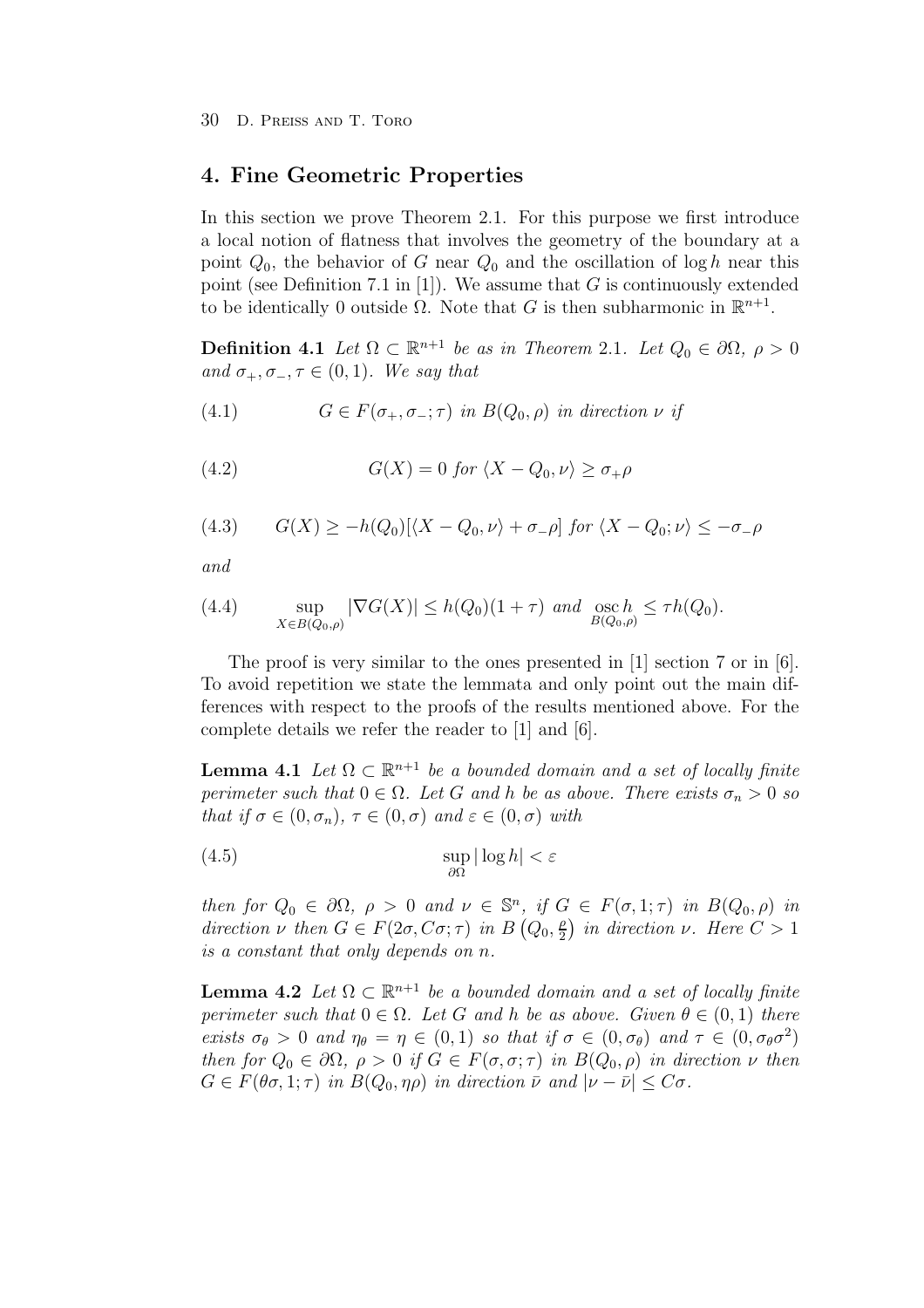### **4. Fine Geometric Properties**

In this section we prove Theorem 2.1. For this purpose we first introduce a local notion of flatness that involves the geometry of the boundary at a point  $Q_0$ , the behavior of G near  $Q_0$  and the oscillation of log h near this point (see Definition 7.1 in [1]). We assume that  $G$  is continuously extended to be identically 0 outside  $\Omega$ . Note that G is then subharmonic in  $\mathbb{R}^{n+1}$ .

**Definition 4.1** Let  $\Omega \subset \mathbb{R}^{n+1}$  be as in Theorem 2.1. Let  $Q_0 \in \partial \Omega$ ,  $\rho > 0$ and  $\sigma_+, \sigma_-, \tau \in (0, 1)$ . We say that

(4.1) 
$$
G \in F(\sigma_+, \sigma_-; \tau) \text{ in } B(Q_0, \rho) \text{ in direction } \nu \text{ if}
$$

(4.2) 
$$
G(X) = 0 \text{ for } \langle X - Q_0, \nu \rangle \ge \sigma_+ \rho
$$

(4.3) 
$$
G(X) \ge -h(Q_0)[\langle X - Q_0, \nu \rangle + \sigma_- \rho] \text{ for } \langle X - Q_0, \nu \rangle \le -\sigma_- \rho
$$

and

(4.4) 
$$
\sup_{X \in B(Q_0,\rho)} |\nabla G(X)| \le h(Q_0)(1+\tau) \text{ and } \underset{B(Q_0,\rho)}{\text{osc}} \le \tau h(Q_0).
$$

The proof is very similar to the ones presented in [1] section 7 or in [6]. To avoid repetition we state the lemmata and only point out the main differences with respect to the proofs of the results mentioned above. For the complete details we refer the reader to [1] and [6].

**Lemma 4.1** Let  $\Omega \subset \mathbb{R}^{n+1}$  be a bounded domain and a set of locally finite perimeter such that  $0 \in \Omega$ . Let G and h be as above. There exists  $\sigma_n > 0$  so that if  $\sigma \in (0, \sigma_n)$ ,  $\tau \in (0, \sigma)$  and  $\varepsilon \in (0, \sigma)$  with

(4.5) 
$$
\sup_{\partial\Omega} |\log h| < \varepsilon
$$

then for  $Q_0 \in \partial\Omega$ ,  $\rho > 0$  and  $\nu \in \mathbb{S}^n$ , if  $G \in F(\sigma, 1; \tau)$  in  $B(Q_0, \rho)$  in direction  $\nu$  then  $G \in F(2\sigma, C\sigma; \tau)$  in  $B(Q_0, \frac{\rho}{2})$  in direction  $\nu$ . Here  $C > 1$ is a constant that only depends on n.

**Lemma 4.2** Let  $\Omega \subset \mathbb{R}^{n+1}$  be a bounded domain and a set of locally finite perimeter such that  $0 \in \Omega$ . Let G and h be as above. Given  $\theta \in (0,1)$  there exists  $\sigma_{\theta} > 0$  and  $\eta_{\theta} = \eta \in (0,1)$  so that if  $\sigma \in (0,\sigma_{\theta})$  and  $\tau \in (0,\sigma_{\theta}\sigma^2)$ then for  $Q_0 \in \partial \Omega$ ,  $\rho > 0$  if  $G \in F(\sigma, \sigma; \tau)$  in  $B(Q_0, \rho)$  in direction  $\nu$  then  $G \in F(\theta \sigma, 1; \tau)$  in  $B(Q_0, \eta \rho)$  in direction  $\bar{\nu}$  and  $|\nu - \bar{\nu}| \leq C\sigma$ .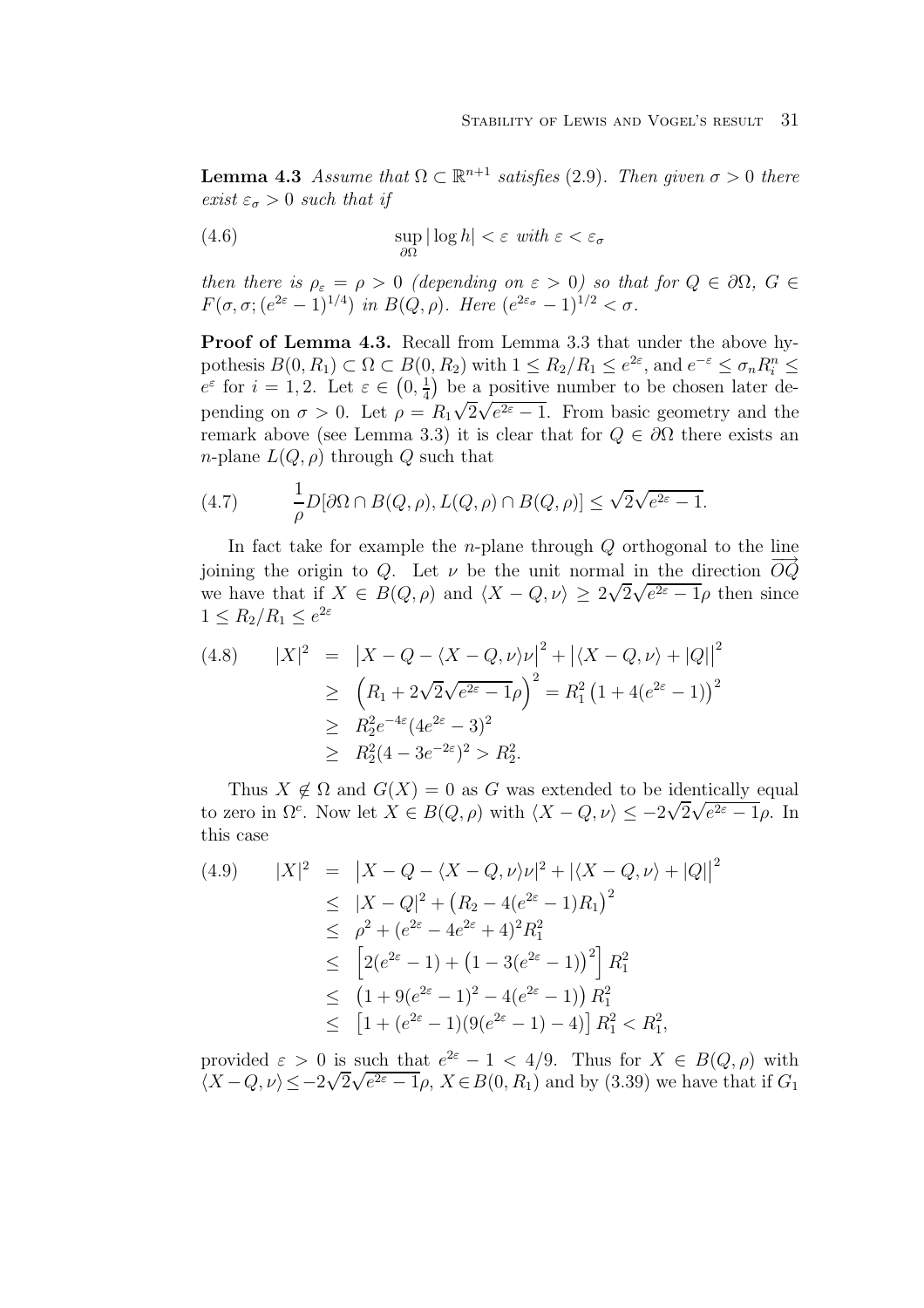**Lemma 4.3** Assume that  $\Omega \subset \mathbb{R}^{n+1}$  satisfies (2.9). Then given  $\sigma > 0$  there exist  $\varepsilon_{\sigma} > 0$  such that if

(4.6) 
$$
\sup_{\partial\Omega} |\log h| < \varepsilon \text{ with } \varepsilon < \varepsilon_{\sigma}
$$

then there is  $\rho_{\varepsilon} = \rho > 0$  (depending on  $\varepsilon > 0$ ) so that for  $Q \in \partial \Omega$ ,  $G \in$  $F(\sigma, \sigma; (e^{2\varepsilon}-1)^{1/4})$  in  $B(Q, \rho)$ . Here  $(e^{2\varepsilon_{\sigma}}-1)^{1/2} < \sigma$ .

**Proof of Lemma 4.3.** Recall from Lemma 3.3 that under the above hypothesis  $B(0, R_1) \subset \Omega \subset B(0, R_2)$  with  $1 \le R_2/R_1 \le e^{2\varepsilon}$ , and  $e^{-\varepsilon} \le \sigma_n R_i^n \le$  $e^{\varepsilon}$  for  $i = 1, 2$ . Let  $\varepsilon \in (0, \frac{1}{4})$  be a positive number to be chosen later depending on  $\sigma > 0$ . Let  $\rho = R_1 \sqrt{2} \sqrt{e^{2\varepsilon} - 1}$ . From basic geometry and the remark above (see Lemma 3.3) it is clear that for  $Q \in \partial\Omega$  there exists an *n*-plane  $L(Q, \rho)$  through Q such that

(4.7) 
$$
\frac{1}{\rho}D[\partial\Omega \cap B(Q,\rho), L(Q,\rho) \cap B(Q,\rho)] \leq \sqrt{2}\sqrt{e^{2\varepsilon}-1}.
$$

In fact take for example the *n*-plane through  $Q$  orthogonal to the line joining the origin to Q. Let  $\nu$  be the unit normal in the direction  $O\dot{Q}$ following the origin to  $Q$ . Let  $\nu$  be the unit normal in the direction  $\mathcal{O}_Q$ <br>we have that if  $X \in B(Q, \rho)$  and  $\langle X - Q, \nu \rangle \geq 2\sqrt{2\sqrt{e^{2\varepsilon}-1}}\rho$  then since  $1 \leq R_2/R_1 \leq e^{2\varepsilon}$ 

$$
(4.8) \qquad |X|^2 = |X - Q - \langle X - Q, \nu \rangle \nu|^2 + |\langle X - Q, \nu \rangle + |Q||^2
$$
  
\n
$$
\geq (R_1 + 2\sqrt{2}\sqrt{e^{2\varepsilon} - 1}\rho)^2 = R_1^2 (1 + 4(e^{2\varepsilon} - 1))^2
$$
  
\n
$$
\geq R_2^2 e^{-4\varepsilon} (4e^{2\varepsilon} - 3)^2
$$
  
\n
$$
\geq R_2^2 (4 - 3e^{-2\varepsilon})^2 > R_2^2.
$$

Thus  $X \notin \Omega$  and  $G(X) = 0$  as G was extended to be identically equal Thus  $\Lambda \notin \Omega$  and  $G(\Lambda) = 0$  as G was extended to be identically equal to zero in  $\Omega^c$ . Now let  $X \in B(Q, \rho)$  with  $\langle X - Q, \nu \rangle \leq -2\sqrt{2\sqrt{e^{2\varepsilon} - 1}}\rho$ . In this case

$$
(4.9) \qquad |X|^2 = |X - Q - \langle X - Q, \nu \rangle \nu|^2 + |\langle X - Q, \nu \rangle + |Q||^2
$$
  
\n
$$
\leq |X - Q|^2 + (R_2 - 4(e^{2\varepsilon} - 1)R_1)^2
$$
  
\n
$$
\leq \rho^2 + (e^{2\varepsilon} - 4e^{2\varepsilon} + 4)^2 R_1^2
$$
  
\n
$$
\leq [2(e^{2\varepsilon} - 1) + (1 - 3(e^{2\varepsilon} - 1))^2] R_1^2
$$
  
\n
$$
\leq (1 + 9(e^{2\varepsilon} - 1)^2 - 4(e^{2\varepsilon} - 1)) R_1^2
$$
  
\n
$$
\leq [1 + (e^{2\varepsilon} - 1)(9(e^{2\varepsilon} - 1) - 4)] R_1^2 < R_1^2,
$$

provided  $\varepsilon > 0$  is such that  $e^{2\varepsilon} - 1 < 4/9$ . Thus for  $X \in B(Q, \rho)$  with provided  $\varepsilon > 0$  is such that  $e^{-z} - 1 < 4/9$ . Thus for  $\Lambda \in B(Q, \rho)$  with  $\langle X - Q, \nu \rangle \leq -2\sqrt{2\sqrt{e^{2\varepsilon} - 1}\rho}$ ,  $X \in B(0, R_1)$  and by (3.39) we have that if  $G_1$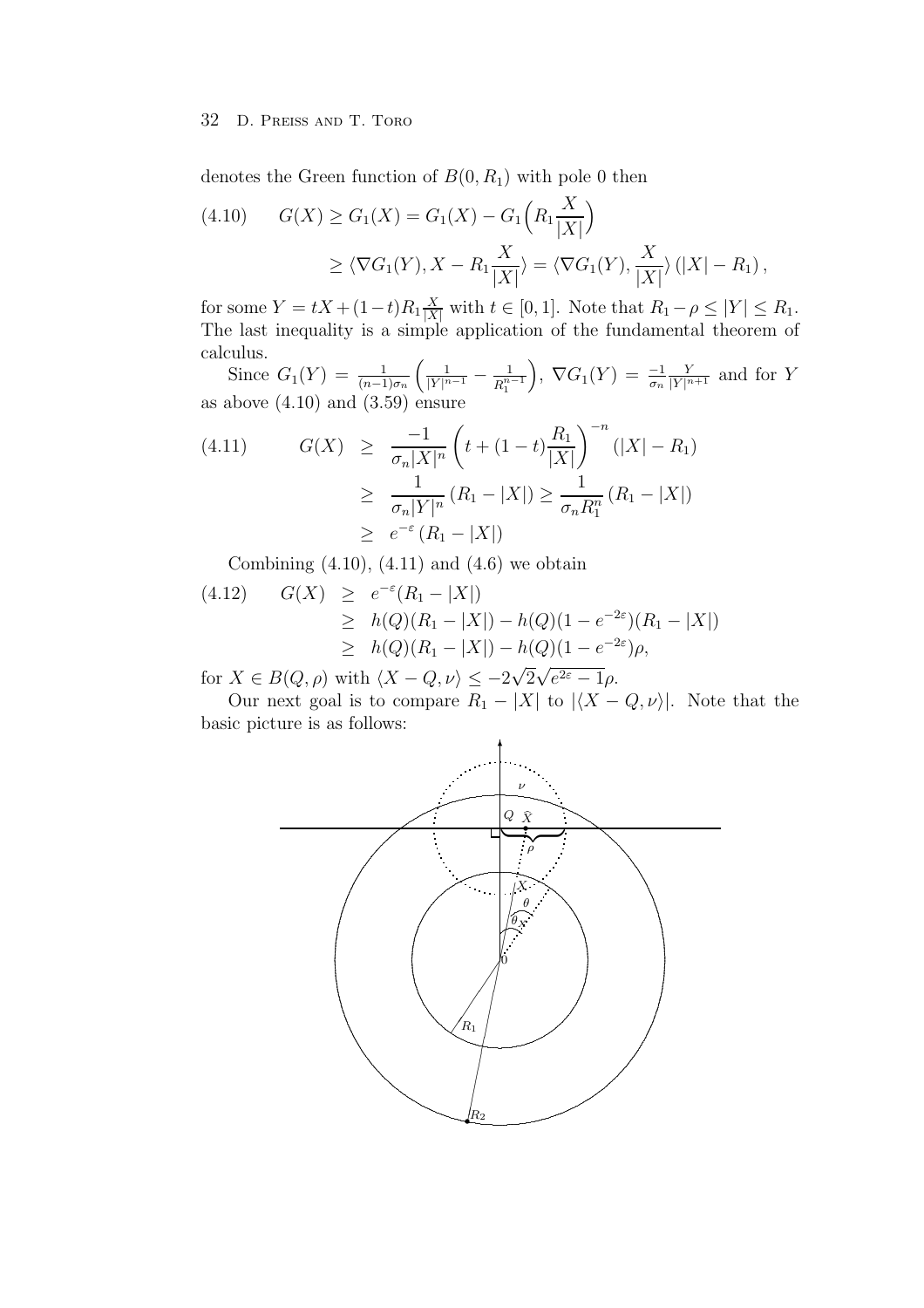#### 32 D. PREISS AND T. TORO

denotes the Green function of  $B(0, R_1)$  with pole 0 then

(4.10) 
$$
G(X) \ge G_1(X) = G_1(X) - G_1\left(R_1 \frac{X}{|X|}\right)
$$

$$
\ge \langle \nabla G_1(Y), X - R_1 \frac{X}{|X|} \rangle = \langle \nabla G_1(Y), \frac{X}{|X|} \rangle (|X| - R_1),
$$

for some  $Y = tX + (1-t)R_1 \frac{X}{|X|}$  with  $t \in [0,1]$ . Note that  $R_1 - \rho \leq |Y| \leq R_1$ .<br>The last inequality is a simple application of the fundamental theorem of calculus.

Since  $G_1(Y) = \frac{1}{(n-1)\sigma_n} \left( \frac{1}{|Y|^{n-1}} - \frac{1}{R_1^{n-1}} \right)$ ,  $\nabla G_1(Y) = \frac{-1}{\sigma_n} \frac{Y}{|Y|^{n+1}}$  and for Y as above  $(4.10)$  and  $(3.59)$  ensure

$$
(4.11) \tG(X) \ge \frac{-1}{\sigma_n |X|^n} \left( t + (1-t) \frac{R_1}{|X|} \right)^{-n} (|X| - R_1)
$$
  
\n
$$
\ge \frac{1}{\sigma_n |Y|^n} (R_1 - |X|) \ge \frac{1}{\sigma_n R_1^n} (R_1 - |X|)
$$
  
\n
$$
\ge e^{-\varepsilon} (R_1 - |X|)
$$

Combining  $(4.10)$ ,  $(4.11)$  and  $(4.6)$  we obtain

$$
(4.12) \quad G(X) \ge e^{-\varepsilon} (R_1 - |X|)
$$
  
\n
$$
\ge h(Q)(R_1 - |X|) - h(Q)(1 - e^{-2\varepsilon})(R_1 - |X|)
$$
  
\n
$$
\ge h(Q)(R_1 - |X|) - h(Q)(1 - e^{-2\varepsilon})\rho,
$$

for  $X \in B(Q, \rho)$  with  $\langle X - Q, \nu \rangle \leq -2\sqrt{2\sqrt{e^{2\varepsilon}-1}}\rho$ .

Our next goal is to compare  $R_1 - |X|$  to  $|\langle X - Q, \nu \rangle|$ . Note that the basic picture is as follows:

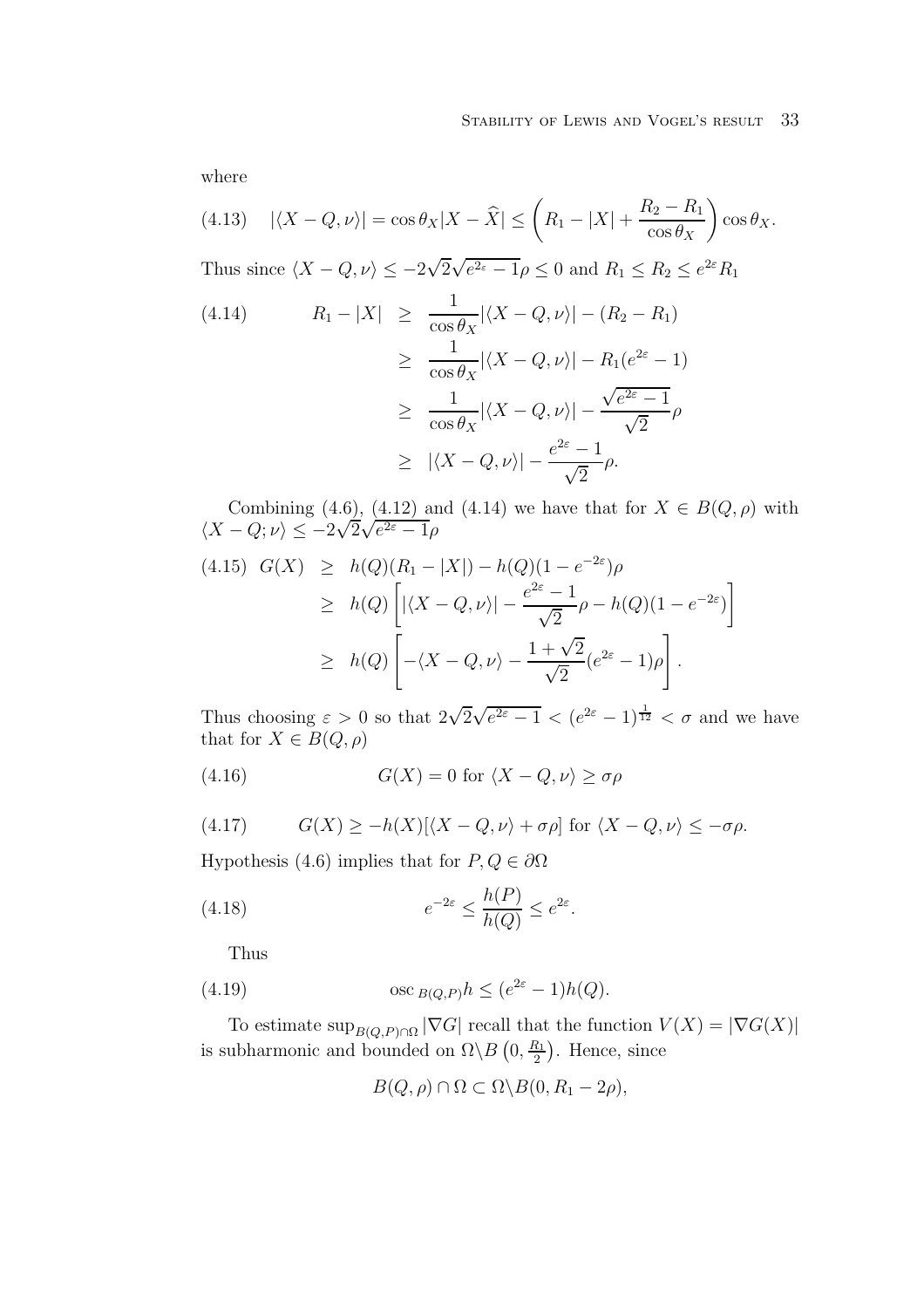where

(4.13) 
$$
|\langle X - Q, \nu \rangle| = \cos \theta_X |X - \widehat{X}| \leq \left( R_1 - |X| + \frac{R_2 - R_1}{\cos \theta_X} \right) \cos \theta_X.
$$

Thus since  $\langle X - Q, \nu \rangle \leq -2\sqrt{2\sqrt{e^{2\epsilon} - 1}}\rho \leq 0$  and  $R_1 \leq R_2 \leq e^{2\epsilon}R_1$ 

$$
(4.14) \qquad R_1 - |X| \ge \frac{1}{\cos \theta_X} |\langle X - Q, \nu \rangle| - (R_2 - R_1)
$$
  
\n
$$
\ge \frac{1}{\cos \theta_X} |\langle X - Q, \nu \rangle| - R_1 (e^{2\varepsilon} - 1)
$$
  
\n
$$
\ge \frac{1}{\cos \theta_X} |\langle X - Q, \nu \rangle| - \frac{\sqrt{e^{2\varepsilon} - 1}}{\sqrt{2}} \rho
$$
  
\n
$$
\ge |\langle X - Q, \nu \rangle| - \frac{e^{2\varepsilon} - 1}{\sqrt{2}} \rho.
$$

Combining (4.6), (4.12) and (4.14) we have that for  $X \in B(Q, \rho)$  with Combining (4.0), (4.12) and<br> $\langle X - Q; \nu \rangle \leq -2\sqrt{2\sqrt{e^{2\varepsilon}-1}}\rho$ 

$$
(4.15) \ \ G(X) \ \geq \ h(Q)(R_1 - |X|) - h(Q)(1 - e^{-2\varepsilon})\rho
$$
  
\n
$$
\geq \ h(Q) \left[ |\langle X - Q, \nu \rangle| - \frac{e^{2\varepsilon} - 1}{\sqrt{2}} \rho - h(Q)(1 - e^{-2\varepsilon}) \right]
$$
  
\n
$$
\geq \ h(Q) \left[ -\langle X - Q, \nu \rangle - \frac{1 + \sqrt{2}}{\sqrt{2}} (e^{2\varepsilon} - 1) \rho \right].
$$

Thus choosing  $\varepsilon > 0$  so that  $2\sqrt{2\sqrt{e^{2\varepsilon} - 1}} < (e^{2\varepsilon} - 1)^{\frac{1}{12}} < \sigma$  and we have that for  $X \in B(Q, \rho)$ 

(4.16) 
$$
G(X) = 0 \text{ for } \langle X - Q, \nu \rangle \ge \sigma \rho
$$

(4.17) 
$$
G(X) \ge -h(X)[\langle X - Q, \nu \rangle + \sigma \rho] \text{ for } \langle X - Q, \nu \rangle \le -\sigma \rho.
$$

Hypothesis (4.6) implies that for  $P, Q \in \partial \Omega$ 

(4.18) 
$$
e^{-2\varepsilon} \leq \frac{h(P)}{h(Q)} \leq e^{2\varepsilon}.
$$

Thus

(4.19) 
$$
\qquad \qquad \text{osc}_{B(Q,P)}h \leq (e^{2\varepsilon} - 1)h(Q).
$$

To estimate  $\sup_{B(Q,P)\cap\Omega} |\nabla G|$  recall that the function  $V(X) = |\nabla G(X)|$ is subharmonic and bounded on  $\Omega \backslash B(0, \frac{R_1}{2})$ . Hence, since

$$
B(Q, \rho) \cap \Omega \subset \Omega \backslash B(0, R_1 - 2\rho),
$$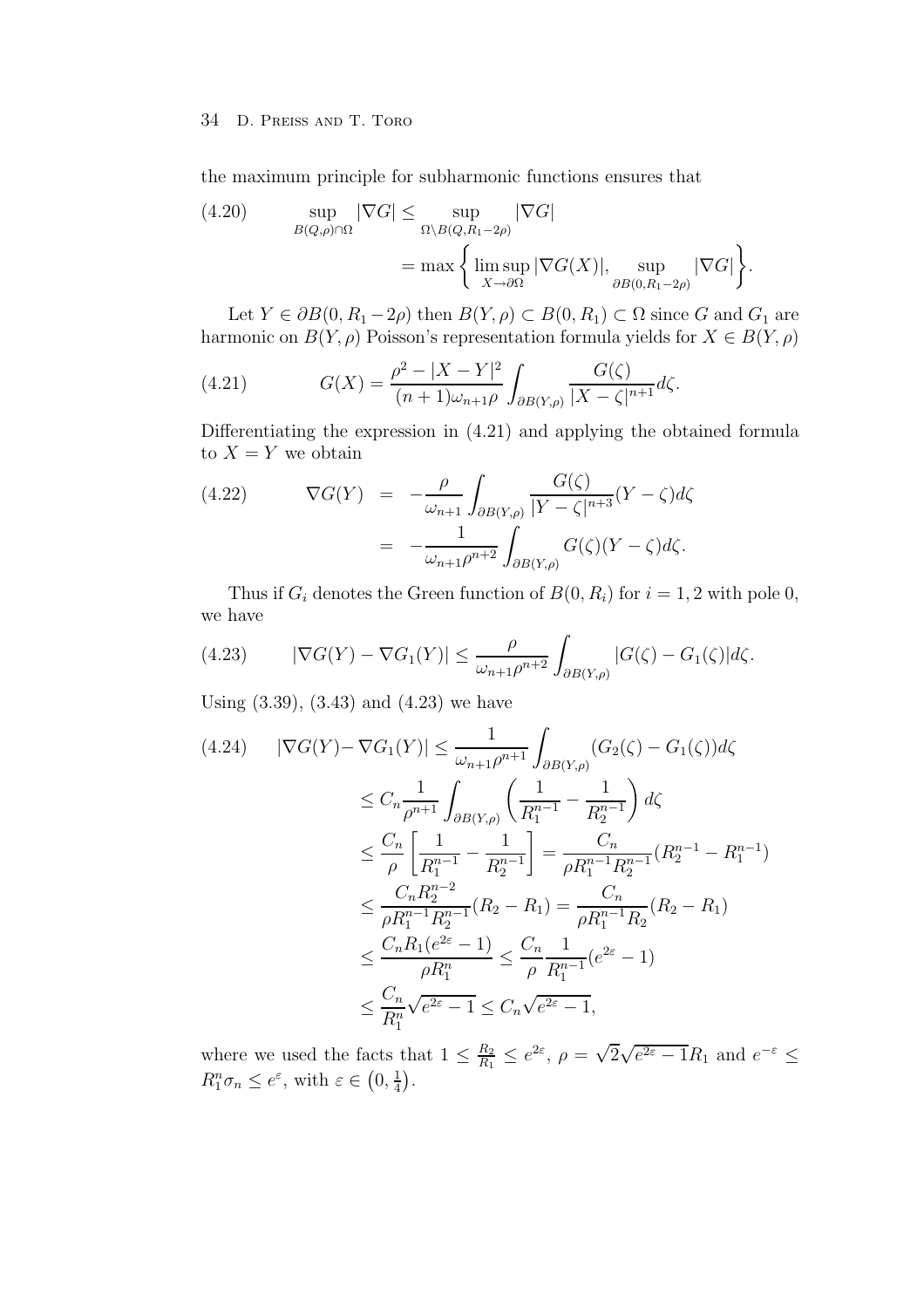the maximum principle for subharmonic functions ensures that

(4.20) 
$$
\sup_{B(Q,\rho)\cap\Omega} |\nabla G| \leq \sup_{\Omega\setminus B(Q,R_1-2\rho)} |\nabla G| = \max \left\{ \limsup_{X\to\partial\Omega} |\nabla G(X)|, \sup_{\partial B(0,R_1-2\rho)} |\nabla G| \right\}.
$$

Let  $Y \in \partial B(0, R_1 - 2\rho)$  then  $B(Y, \rho) \subset B(0, R_1) \subset \Omega$  since G and  $G_1$  are harmonic on  $B(Y, \rho)$  Poisson's representation formula yields for  $X \in B(Y, \rho)$ 

(4.21) 
$$
G(X) = \frac{\rho^2 - |X - Y|^2}{(n+1)\omega_{n+1}\rho} \int_{\partial B(Y,\rho)} \frac{G(\zeta)}{|X - \zeta|^{n+1}} d\zeta.
$$

Differentiating the expression in (4.21) and applying the obtained formula to  $X = Y$  we obtain

(4.22) 
$$
\nabla G(Y) = -\frac{\rho}{\omega_{n+1}} \int_{\partial B(Y,\rho)} \frac{G(\zeta)}{|Y - \zeta|^{n+3}} (Y - \zeta) d\zeta
$$

$$
= -\frac{1}{\omega_{n+1}\rho^{n+2}} \int_{\partial B(Y,\rho)} G(\zeta)(Y - \zeta) d\zeta.
$$

Thus if  $G_i$  denotes the Green function of  $B(0, R_i)$  for  $i = 1, 2$  with pole 0, we have

(4.23) 
$$
|\nabla G(Y) - \nabla G_1(Y)| \leq \frac{\rho}{\omega_{n+1}\rho^{n+2}} \int_{\partial B(Y,\rho)} |G(\zeta) - G_1(\zeta)| d\zeta.
$$

Using (3.39), (3.43) and (4.23) we have

$$
(4.24) \quad |\nabla G(Y) - \nabla G_1(Y)| \leq \frac{1}{\omega_{n+1}\rho^{n+1}} \int_{\partial B(Y,\rho)} (G_2(\zeta) - G_1(\zeta))d\zeta
$$
  
\n
$$
\leq C_n \frac{1}{\rho^{n+1}} \int_{\partial B(Y,\rho)} \left(\frac{1}{R_1^{n-1}} - \frac{1}{R_2^{n-1}}\right) d\zeta
$$
  
\n
$$
\leq \frac{C_n}{\rho} \left[\frac{1}{R_1^{n-1}} - \frac{1}{R_2^{n-1}}\right] = \frac{C_n}{\rho R_1^{n-1} R_2^{n-1}} (R_2^{n-1} - R_1^{n-1})
$$
  
\n
$$
\leq \frac{C_n R_2^{n-2}}{\rho R_1^{n-1} R_2^{n-1}} (R_2 - R_1) = \frac{C_n}{\rho R_1^{n-1} R_2} (R_2 - R_1)
$$
  
\n
$$
\leq \frac{C_n R_1 (e^{2\varepsilon} - 1)}{\rho R_1^n} \leq \frac{C_n}{\rho} \frac{1}{R_1^{n-1}} (e^{2\varepsilon} - 1)
$$
  
\n
$$
\leq \frac{C_n}{R_1^n} \sqrt{e^{2\varepsilon} - 1} \leq C_n \sqrt{e^{2\varepsilon} - 1},
$$

where we used the facts that  $1 \leq \frac{R_2}{R_1} \leq e^{2\varepsilon}$ ,  $\rho = \sqrt{2\sqrt{e^{2\varepsilon} - 1}}R_1$  and  $e^{-\varepsilon} \leq$  $R_1^n \sigma_n \leq e^{\varepsilon}$ , with  $\varepsilon \in (0, \frac{1}{4})$ .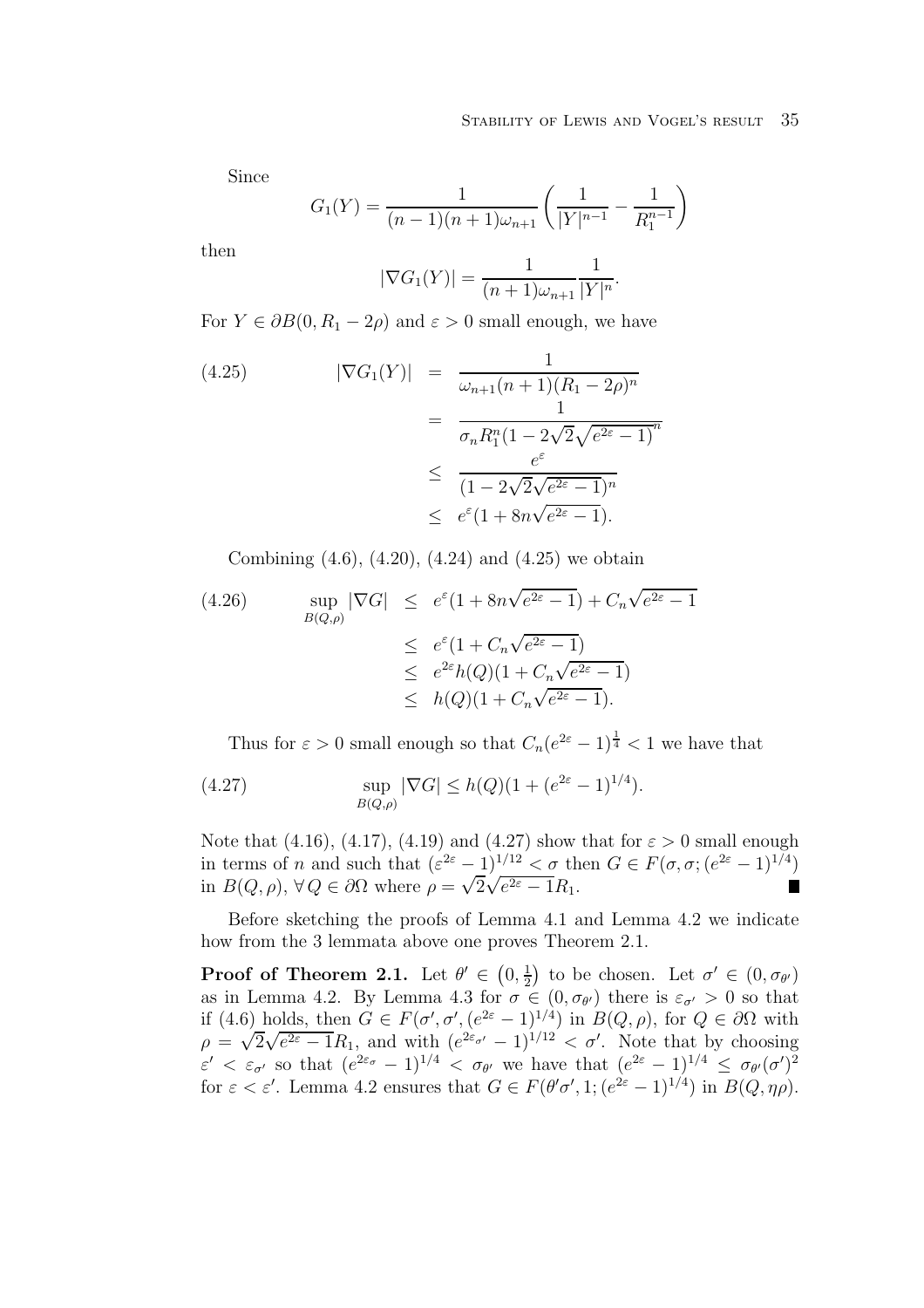#### STABILITY OF LEWIS AND VOGEL'S RESULT 35

Since

$$
G_1(Y) = \frac{1}{(n-1)(n+1)\omega_{n+1}} \left(\frac{1}{|Y|^{n-1}} - \frac{1}{R_1^{n-1}}\right)
$$

then

$$
|\nabla G_1(Y)| = \frac{1}{(n+1)\omega_{n+1}} \frac{1}{|Y|^n}.
$$

For  $Y \in \partial B(0, R_1 - 2\rho)$  and  $\varepsilon > 0$  small enough, we have

(4.25) 
$$
|\nabla G_1(Y)| = \frac{1}{\omega_{n+1}(n+1)(R_1 - 2\rho)^n} = \frac{1}{\sigma_n R_1^n (1 - 2\sqrt{2}\sqrt{e^{2\varepsilon} - 1})^n} \leq \frac{e^{\varepsilon}}{(1 - 2\sqrt{2}\sqrt{e^{2\varepsilon} - 1})^n} \leq e^{\varepsilon} (1 + 8n\sqrt{e^{2\varepsilon} - 1}).
$$

Combining (4.6), (4.20), (4.24) and (4.25) we obtain

(4.26) 
$$
\sup_{B(Q,\rho)} |\nabla G| \le e^{\varepsilon} (1 + 8n\sqrt{e^{2\varepsilon} - 1}) + C_n \sqrt{e^{2\varepsilon} - 1}
$$

$$
\le e^{\varepsilon} (1 + C_n \sqrt{e^{2\varepsilon} - 1})
$$

$$
\le e^{2\varepsilon} h(Q) (1 + C_n \sqrt{e^{2\varepsilon} - 1})
$$

$$
\le h(Q) (1 + C_n \sqrt{e^{2\varepsilon} - 1}).
$$

Thus for  $\varepsilon > 0$  small enough so that  $C_n(e^{2\varepsilon}-1)^{\frac{1}{4}} < 1$  we have that

(4.27) 
$$
\sup_{B(Q,\rho)} |\nabla G| \le h(Q)(1 + (e^{2\varepsilon} - 1)^{1/4}).
$$

Note that (4.16), (4.17), (4.19) and (4.27) show that for  $\varepsilon > 0$  small enough in terms of *n* and such that  $(\varepsilon^{2\varepsilon} - 1)^{1/12} < \sigma$  then  $G \in F(\sigma, \sigma; (e^{2\varepsilon} - 1)^{1/4})$ <br>in  $B(Q, \rho), \forall Q \in \partial\Omega$  where  $\rho = \sqrt{2\sqrt{e^{2\varepsilon} - 1}R_1}$ .

Before sketching the proofs of Lemma 4.1 and Lemma 4.2 we indicate how from the 3 lemmata above one proves Theorem 2.1.

**Proof of Theorem 2.1.** Let  $\theta' \in (0, \frac{1}{2})$  to be chosen. Let  $\sigma' \in (0, \sigma_{\theta'})$ as in Lemma 4.2. By Lemma 4.3 for  $\sigma \in (0, \sigma_{\theta})$  there is  $\varepsilon_{\sigma'} > 0$  so that if (4.6) holds, then  $G \in F(\sigma', \sigma', (e^{2\varepsilon}-1)^{1/4})$  in  $B(Q, \rho)$ , for  $Q \in \partial\Omega$  with if (4.6) holds, then  $G \in F(\sigma, \sigma, (e^{2\epsilon} - 1)^{2/3})$  in  $B(Q, \rho)$ , for  $Q \in \sigma\Omega$  with  $\rho = \sqrt{2\sqrt{e^{2\epsilon} - 1}}R_1$ , and with  $(e^{2\epsilon_{\sigma'}} - 1)^{1/12} < \sigma'$ . Note that by choosing  $\varepsilon' < \varepsilon_{\sigma'}$  so that  $(e^{2\varepsilon_{\sigma}} - 1)^{1/4} < \sigma_{\theta'}$  we have that  $(e^{2\varepsilon} - 1)^{1/4} \leq \sigma_{\theta'}(\sigma')^2$ for  $\varepsilon < \varepsilon'$ . Lemma 4.2 ensures that  $G \in F(\theta'\sigma', 1; (e^{2\varepsilon}-1)^{1/4})$  in  $B(Q, \eta\rho)$ .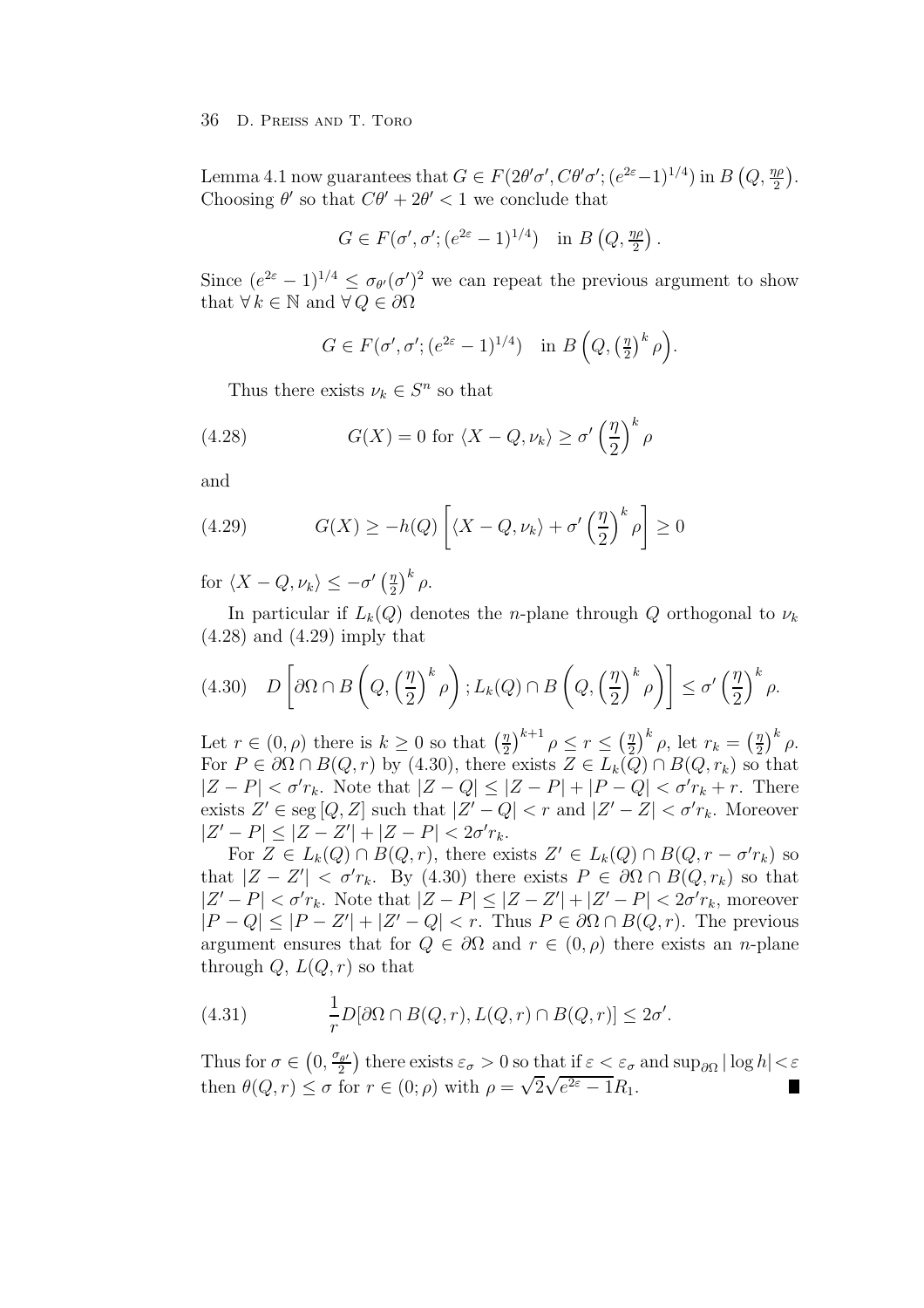Lemma 4.1 now guarantees that  $G \in F(2\theta'\sigma', C\theta'\sigma'; (e^{2\varepsilon}-1)^{1/4})$  in  $B(Q, \frac{\eta\rho}{2})$ . Choosing  $\theta'$  so that  $C\theta' + 2\theta' < 1$  we conclude that

$$
G \in F(\sigma', \sigma'; (e^{2\varepsilon} - 1)^{1/4}) \quad \text{in } B\left(Q, \frac{\eta \rho}{2}\right).
$$

Since  $(e^{2\varepsilon}-1)^{1/4} \leq \sigma_{\theta'}(\sigma')^2$  we can repeat the previous argument to show that  $\forall k \in \mathbb{N}$  and  $\forall Q \in \partial \Omega$ 

$$
G \in F(\sigma', \sigma'; (e^{2\varepsilon} - 1)^{1/4}) \quad \text{in } B\left(Q, \left(\frac{\eta}{2}\right)^k \rho\right).
$$

Thus there exists  $\nu_k \in S^n$  so that

(4.28) 
$$
G(X) = 0 \text{ for } \langle X - Q, \nu_k \rangle \ge \sigma' \left(\frac{\eta}{2}\right)^k \rho
$$

and

(4.29) 
$$
G(X) \ge -h(Q) \left[ \langle X - Q, \nu_k \rangle + \sigma' \left( \frac{\eta}{2} \right)^k \rho \right] \ge 0
$$

for  $\langle X - Q, \nu_k \rangle \leq -\sigma' \left(\frac{\eta}{2}\right)^k \rho$ .

In particular if  $L_k(Q)$  denotes the *n*-plane through Q orthogonal to  $\nu_k$ (4.28) and (4.29) imply that

$$
(4.30)\quad D\left[\partial\Omega\cap B\left(Q,\left(\frac{\eta}{2}\right)^k\rho\right);L_k(Q)\cap B\left(Q,\left(\frac{\eta}{2}\right)^k\rho\right)\right]\leq\sigma'\left(\frac{\eta}{2}\right)^k\rho.
$$

Let  $r \in (0, \rho)$  there is  $k \geq 0$  so that  $\left(\frac{\eta}{2}\right)^{k+1} \rho \leq r \leq \left(\frac{\eta}{2}\right)^k \rho$ , let  $r_k = \left(\frac{\eta}{2}\right)^k \rho$ . For  $P \in \partial \Omega \cap B(Q, r)$  by (4.30), there exists  $Z \in L_k(Q) \cap B(Q, r_k)$  so that  $|Z - P| < \sigma' r_k$ . Note that  $|Z - Q| \leq |Z - P| + |P - Q| < \sigma' r_k + r$ . There exists  $Z' \in \text{seg }[Q, Z]$  such that  $|Z' - Q| < r$  and  $|Z' - Z| < \sigma' r_k$ . Moreover  $|Z' - P| \leq |Z - Z'| + |Z - P| < 2\sigma' r_k.$ 

For  $Z \in L_k(Q) \cap B(Q,r)$ , there exists  $Z' \in L_k(Q) \cap B(Q,r - \sigma' r_k)$  so that  $|Z - Z'| < \sigma' r_k$ . By (4.30) there exists  $P \in \partial \Omega \cap B(Q, r_k)$  so that  $|Z' - P| < \sigma' r_k$ . Note that  $|Z - P| \leq |Z - Z'| + |Z' - P| < 2\sigma' r_k$ , moreover  $|P - Q| \leq |P - Z'| + |Z' - Q| < r$ . Thus  $P \in \partial \Omega \cap B(Q, r)$ . The previous argument ensures that for  $Q \in \partial\Omega$  and  $r \in (0, \rho)$  there exists an *n*-plane through  $Q, L(Q, r)$  so that

(4.31) 
$$
\frac{1}{r}D[\partial\Omega \cap B(Q,r), L(Q,r) \cap B(Q,r)] \leq 2\sigma'.
$$

Thus for  $\sigma \in (0, \frac{\sigma_{\theta'}}{2})$  there exists  $\varepsilon_{\sigma} > 0$  so that if  $\varepsilon < \varepsilon_{\sigma}$  and  $\sup_{\partial \Omega} |\log h| < \varepsilon$ then  $\theta(Q, r) \leq \sigma$  for  $r \in (0; \rho)$  with  $\rho = \sqrt{2\sqrt{e^{2\varepsilon} - 1}} R_1$ .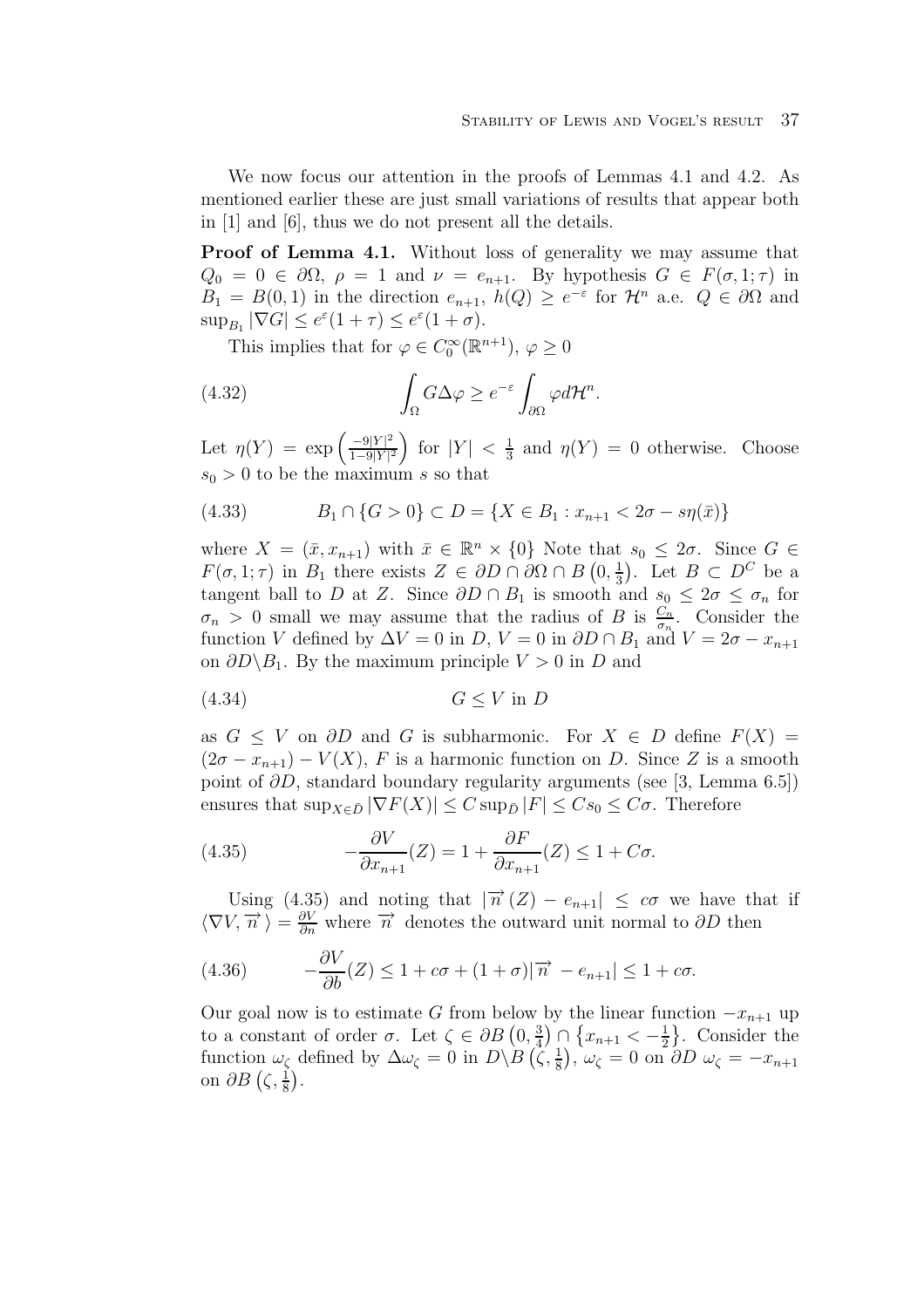We now focus our attention in the proofs of Lemmas 4.1 and 4.2. As mentioned earlier these are just small variations of results that appear both in [1] and [6], thus we do not present all the details.

**Proof of Lemma 4.1.** Without loss of generality we may assume that  $Q_0 = 0 \in \partial\Omega$ ,  $\rho = 1$  and  $\nu = e_{n+1}$ . By hypothesis  $G \in F(\sigma, 1; \tau)$  in  $B_1 = B(0, 1)$  in the direction  $e_{n+1}$ ,  $h(Q) \geq e^{-\varepsilon}$  for  $\mathcal{H}^n$  a.e.  $Q \in \partial\Omega$  and  $\sup_{B_1} |\nabla G| \leq e^{\varepsilon} (1+\tau) \leq e^{\varepsilon} (1+\sigma).$ 

This implies that for  $\varphi \in C_0^{\infty}(\mathbb{R}^{n+1}), \varphi \geq 0$ 

(4.32) 
$$
\int_{\Omega} G \Delta \varphi \ge e^{-\varepsilon} \int_{\partial \Omega} \varphi d\mathcal{H}^{n}.
$$

Let  $\eta(Y) = \exp\left(\frac{-9|Y|^2}{1-\theta|Y|^2}\right)$  $\frac{1-9|Y|^2}{ }$ for  $|Y| < \frac{1}{3}$  and  $\eta(Y) = 0$  otherwise. Choose  $s_0 > 0$  to be the maximum s so that

(4.33) 
$$
B_1 \cap \{G > 0\} \subset D = \{X \in B_1 : x_{n+1} < 2\sigma - s\eta(\bar{x})\}
$$

where  $X = (\bar{x}, x_{n+1})$  with  $\bar{x} \in \mathbb{R}^n \times \{0\}$  Note that  $s_0 \leq 2\sigma$ . Since  $G \in$  $F(\sigma, 1; \tau)$  in  $B_1$  there exists  $Z \in \partial D \cap \partial \Omega \cap B(0, \frac{1}{3})$ . Let  $B \subset D^C$  be a tangent ball to D at Z. Since  $\partial D \cap B_1$  is smooth and  $s_0 \leq 2\sigma \leq \sigma_n$  for  $\sigma_n > 0$  small we may assume that the radius of B is  $\frac{C_n}{\sigma_n}$ . Consider the function V defined by  $\Delta V = 0$  in  $D, V = 0$  in  $\partial D \cap B_1$  and  $V = 2\sigma - x_{n+1}$ on  $\partial D \backslash B_1$ . By the maximum principle  $V > 0$  in D and

$$
(4.34) \tG \le V \text{ in } D
$$

as  $G \leq V$  on  $\partial D$  and G is subharmonic. For  $X \in D$  define  $F(X) =$  $(2\sigma - x_{n+1}) - V(X)$ , F is a harmonic function on D. Since Z is a smooth point of  $\partial D$ , standard boundary regularity arguments (see [3, Lemma 6.5]) ensures that  $\sup_{X\in\bar{D}} |\nabla F(X)| \leq C \sup_{\bar{D}} |F| \leq Cs_0 \leq C\sigma$ . Therefore

(4.35) 
$$
-\frac{\partial V}{\partial x_{n+1}}(Z) = 1 + \frac{\partial F}{\partial x_{n+1}}(Z) \le 1 + C\sigma.
$$

Using (4.35) and noting that  $|\overrightarrow{n}(Z) - e_{n+1}| \leq c\sigma$  we have that if  $\langle \nabla V, \vec{n} \rangle = \frac{\partial V}{\partial n}$  where  $\vec{n}$  denotes the outward unit normal to  $\partial D$  then

(4.36) 
$$
-\frac{\partial V}{\partial b}(Z) \leq 1 + c\sigma + (1 + \sigma)|\overrightarrow{n} - e_{n+1}| \leq 1 + c\sigma.
$$

Our goal now is to estimate G from below by the linear function  $-x_{n+1}$  up to a constant of order  $\sigma$ . Let  $\zeta \in \partial B(0, \frac{3}{4}) \cap \{x_{n+1} < -\frac{1}{2}\}\.$  Consider the function  $\omega_{\zeta}$  defined by  $\Delta \omega_{\zeta} = 0$  in  $D \setminus B(\zeta, \frac{1}{8}), \omega_{\zeta} = 0$  on  $\partial D \omega_{\zeta} = -x_{n+1}$ on  $\partial B\left(\zeta,\frac{1}{8}\right)$ .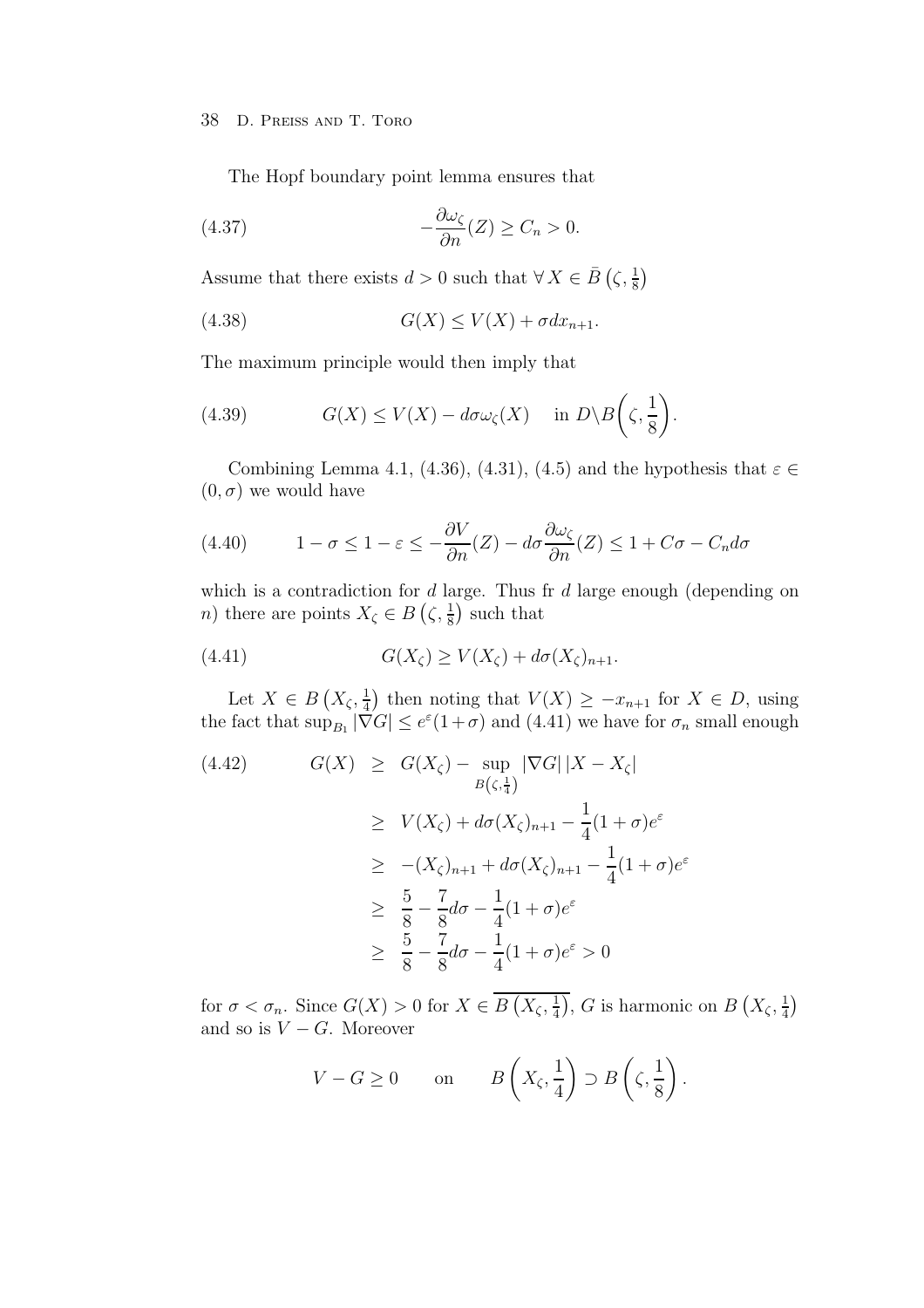The Hopf boundary point lemma ensures that

(4.37) 
$$
-\frac{\partial \omega_{\zeta}}{\partial n}(Z) \geq C_n > 0.
$$

Assume that there exists  $d > 0$  such that  $\forall X \in \overline{B} \left( \zeta, \frac{1}{8} \right)$ 

$$
(4.38)\t\t\t G(X) \le V(X) + \sigma dx_{n+1}.
$$

The maximum principle would then imply that

(4.39) 
$$
G(X) \le V(X) - d\sigma \omega_{\zeta}(X) \quad \text{in } D \setminus B\left(\zeta, \frac{1}{8}\right).
$$

Combining Lemma 4.1, (4.36), (4.31), (4.5) and the hypothesis that  $\varepsilon \in$  $(0, \sigma)$  we would have

(4.40) 
$$
1 - \sigma \leq 1 - \varepsilon \leq -\frac{\partial V}{\partial n}(Z) - d\sigma \frac{\partial \omega_{\zeta}}{\partial n}(Z) \leq 1 + C\sigma - C_n d\sigma
$$

which is a contradiction for  $d$  large. Thus fr  $d$  large enough (depending on *n*) there are points  $X_{\zeta} \in B\left(\zeta, \frac{1}{8}\right)$  such that

(4.41) 
$$
G(X_{\zeta}) \ge V(X_{\zeta}) + d\sigma(X_{\zeta})_{n+1}.
$$

Let  $X \in B(X_{\zeta}, \frac{1}{4})$  then noting that  $V(X) \geq -x_{n+1}$  for  $X \in D$ , using the fact that  $\sup_{B_1} |\nabla G| \leq e^{\varepsilon} (1+\sigma)$  and  $(4.41)$  we have for  $\sigma_n$  small enough

(4.42) 
$$
G(X) \geq G(X_{\zeta}) - \sup_{B(\zeta, \frac{1}{4})} |\nabla G| |X - X_{\zeta}|
$$

$$
\geq V(X_{\zeta}) + d\sigma(X_{\zeta})_{n+1} - \frac{1}{4}(1+\sigma)e^{\varepsilon}
$$

$$
\geq -(X_{\zeta})_{n+1} + d\sigma(X_{\zeta})_{n+1} - \frac{1}{4}(1+\sigma)e^{\varepsilon}
$$

$$
\geq \frac{5}{8} - \frac{7}{8}d\sigma - \frac{1}{4}(1+\sigma)e^{\varepsilon}
$$

$$
\geq \frac{5}{8} - \frac{7}{8}d\sigma - \frac{1}{4}(1+\sigma)e^{\varepsilon} > 0
$$

for  $\sigma < \sigma_n$ . Since  $G(X) > 0$  for  $X \in \overline{B(X_{\zeta}, \frac{1}{4})}$ , G is harmonic on  $B(X_{\zeta}, \frac{1}{4})$ and so is  $V - G$ . Moreover

$$
V - G \ge 0 \quad \text{on} \quad B\left(X_{\zeta}, \frac{1}{4}\right) \supset B\left(\zeta, \frac{1}{8}\right).
$$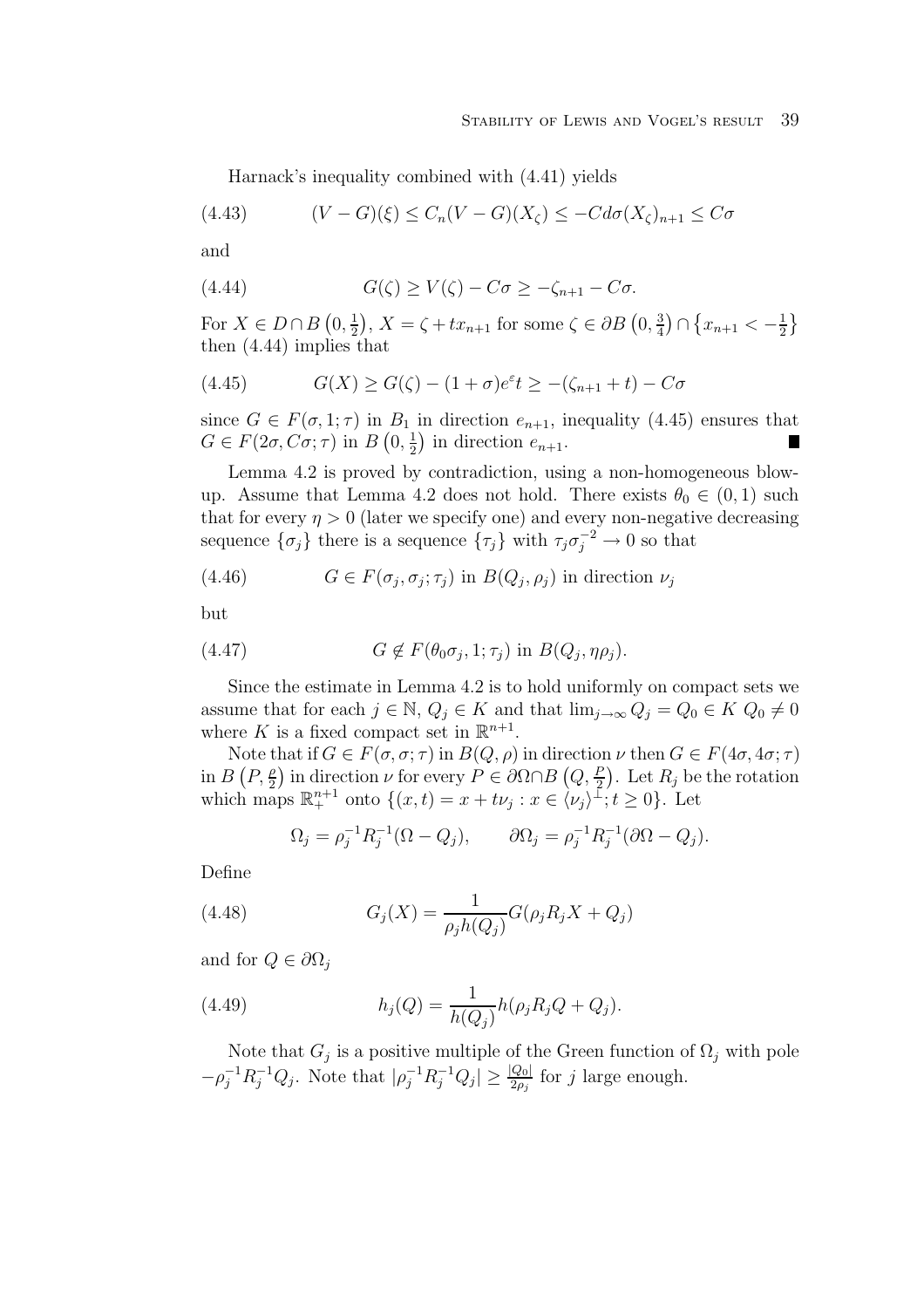Harnack's inequality combined with (4.41) yields

$$
(4.43) \qquad (V-G)(\xi) \le C_n(V-G)(X_{\zeta}) \le -Cd\sigma(X_{\zeta})_{n+1} \le C\sigma
$$

and

(4.44) 
$$
G(\zeta) \ge V(\zeta) - C\sigma \ge -\zeta_{n+1} - C\sigma.
$$

For  $X \in D \cap B(0, \frac{1}{2}), X = \zeta + tx_{n+1}$  for some  $\zeta \in \partial B(0, \frac{3}{4}) \cap \{x_{n+1} < -\frac{1}{2}\}\$ then (4.44) implies that

(4.45) 
$$
G(X) \ge G(\zeta) - (1 + \sigma)e^{\varepsilon}t \ge -(\zeta_{n+1} + t) - C\sigma
$$

since  $G \in F(\sigma, 1; \tau)$  in  $B_1$  in direction  $e_{n+1}$ , inequality (4.45) ensures that  $G \in F(2\sigma, C\sigma; \tau)$  in  $B(0, \frac{1}{2})$  in direction  $e_{n+1}$ .

Lemma 4.2 is proved by contradiction, using a non-homogeneous blowup. Assume that Lemma 4.2 does not hold. There exists  $\theta_0 \in (0,1)$  such that for every  $\eta > 0$  (later we specify one) and every non-negative decreasing sequence  $\{\sigma_j\}$  there is a sequence  $\{\tau_j\}$  with  $\tau_j \sigma_j^{-2} \to 0$  so that

(4.46) 
$$
G \in F(\sigma_j, \sigma_j; \tau_j) \text{ in } B(Q_j, \rho_j) \text{ in direction } \nu_j
$$

but

(4.47) 
$$
G \notin F(\theta_0 \sigma_j, 1; \tau_j) \text{ in } B(Q_j, \eta \rho_j).
$$

Since the estimate in Lemma 4.2 is to hold uniformly on compact sets we assume that for each  $j \in \mathbb{N}$ ,  $Q_j \in K$  and that  $\lim_{j\to\infty} Q_j = Q_0 \in K$   $Q_0 \neq 0$ where K is a fixed compact set in  $\mathbb{R}^{n+1}$ .

Note that if  $G \in F(\sigma, \sigma; \tau)$  in  $B(Q, \rho)$  in direction  $\nu$  then  $G \in F(4\sigma, 4\sigma; \tau)$ in  $B(P, \frac{\rho}{2})$  in direction  $\nu$  for every  $P \in \partial \Omega \cap B(Q, \frac{P}{2})$ . Let  $R_j$  be the rotation which maps  $\mathbb{R}^{n+1}_+$  onto  $\{(x,t) = x + t\nu_j : x \in \langle \nu_j \rangle \mathbb{1}; t \geq 0\}$ . Let

$$
\Omega_j = \rho_j^{-1} R_j^{-1} (\Omega - Q_j), \qquad \partial \Omega_j = \rho_j^{-1} R_j^{-1} (\partial \Omega - Q_j).
$$

Define

(4.48) 
$$
G_j(X) = \frac{1}{\rho_j h(Q_j)} G(\rho_j R_j X + Q_j)
$$

and for  $Q \in \partial \Omega_i$ 

(4.49) 
$$
h_j(Q) = \frac{1}{h(Q_j)} h(\rho_j R_j Q + Q_j).
$$

Note that  $G_j$  is a positive multiple of the Green function of  $\Omega_j$  with pole  $-\rho_j^{-1}R_j^{-1}Q_j$ . Note that  $|\rho_j^{-1}R_j^{-1}Q_j| \geq \frac{|Q_0|}{2\rho_j}$  for j large enough.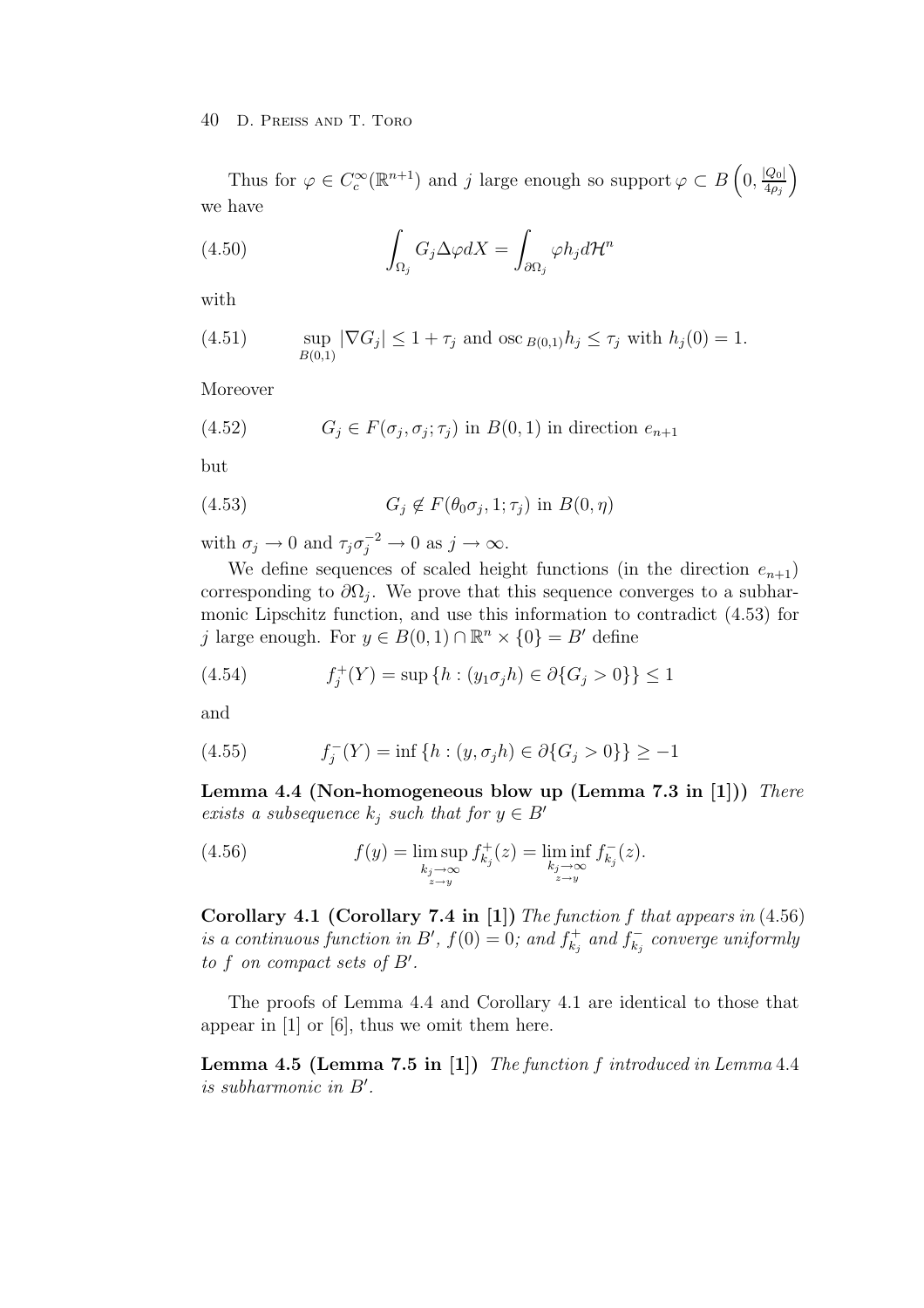Thus for  $\varphi \in C_c^{\infty}(\mathbb{R}^{n+1})$  and j large enough so support  $\varphi \subset B\left(0, \frac{|Q_0|}{4\rho_j}\right)$  $\setminus$ we have

(4.50) 
$$
\int_{\Omega_j} G_j \Delta \varphi dX = \int_{\partial \Omega_j} \varphi h_j d\mathcal{H}^n
$$

with

(4.51) 
$$
\sup_{B(0,1)} |\nabla G_j| \le 1 + \tau_j \text{ and } \csc_{B(0,1)} h_j \le \tau_j \text{ with } h_j(0) = 1.
$$

Moreover

(4.52) 
$$
G_j \in F(\sigma_j, \sigma_j; \tau_j) \text{ in } B(0,1) \text{ in direction } e_{n+1}
$$

but

(4.53) 
$$
G_j \notin F(\theta_0 \sigma_j, 1; \tau_j) \text{ in } B(0, \eta)
$$

with  $\sigma_j \to 0$  and  $\tau_j \sigma_j^{-2} \to 0$  as  $j \to \infty$ .

We define sequences of scaled height functions (in the direction  $e_{n+1}$ ) corresponding to  $\partial\Omega_i$ . We prove that this sequence converges to a subharmonic Lipschitz function, and use this information to contradict (4.53) for j large enough. For  $y \in B(0,1) \cap \mathbb{R}^n \times \{0\} = B'$  define

(4.54) 
$$
f_j^+(Y) = \sup\{h : (y_1\sigma_j h) \in \partial\{G_j > 0\}\} \le 1
$$

and

(4.55) 
$$
f_j^-(Y) = \inf \{ h : (y, \sigma_j h) \in \partial \{ G_j > 0 \} \} \ge -1
$$

**Lemma 4.4 (Non-homogeneous blow up (Lemma 7.3 in [1]))** There exists a subsequence  $k_j$  such that for  $y \in B'$ 

(4.56) 
$$
f(y) = \limsup_{\substack{k_j \to \infty \\ z \to y}} f_{k_j}^+(z) = \liminf_{\substack{k_j \to \infty \\ z \to y}} f_{k_j}^-(z).
$$

**Corollary 4.1 (Corollary 7.4 in [1])** The function f that appears in (4.56) is a continuous function in B',  $f(0) = 0$ ; and  $f_{k_i}^+$  and  $f_{k_i}^-$  converge uniformly to f on compact sets of B'.

The proofs of Lemma 4.4 and Corollary 4.1 are identical to those that appear in [1] or [6], thus we omit them here.

**Lemma 4.5 (Lemma 7.5 in [1])** The function f introduced in Lemma 4.4 is subharmonic in B .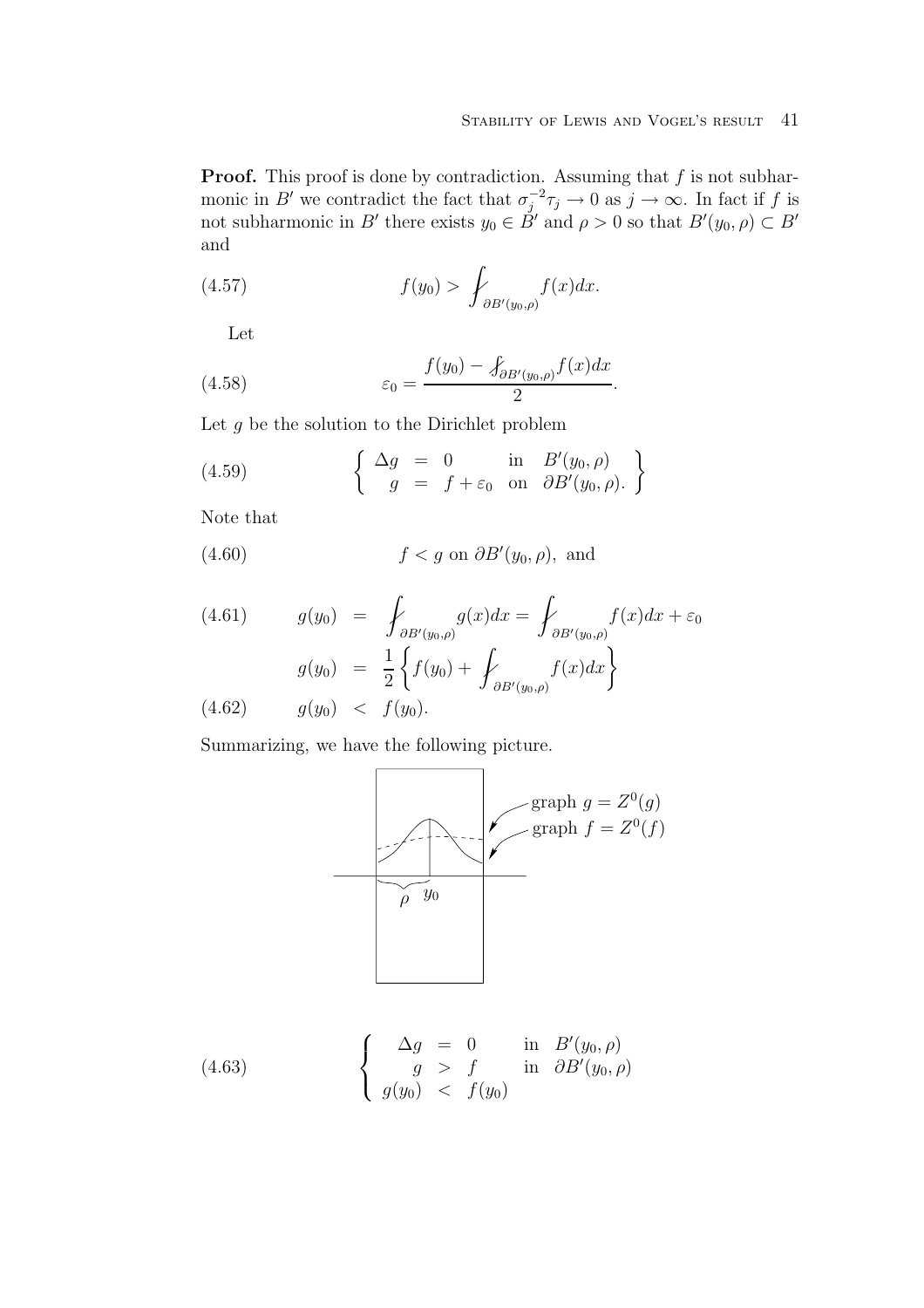**Proof.** This proof is done by contradiction. Assuming that  $f$  is not subharmonic in B' we contradict the fact that  $\sigma_j^{-2}\tau_j \to 0$  as  $j \to \infty$ . In fact if f is not subharmonic in B' there exists  $y_0 \in \dot{B}'$  and  $\rho > 0$  so that  $B'(y_0, \rho) \subset B'$ and

(4.57) 
$$
f(y_0) > \int_{\partial B'(y_0,\rho)} f(x) dx.
$$

Let

(4.58) 
$$
\varepsilon_0 = \frac{f(y_0) - \int_{\partial B'(y_0, \rho)} f(x) dx}{2}.
$$

Let  $g$  be the solution to the Dirichlet problem

(4.59) 
$$
\begin{cases} \Delta g = 0 & \text{in } B'(y_0, \rho) \\ g = f + \varepsilon_0 & \text{on } \partial B'(y_0, \rho). \end{cases}
$$

Note that

(4.60) 
$$
f < g \text{ on } \partial B'(y_0, \rho), \text{ and}
$$

(4.61) 
$$
g(y_0) = \int_{\partial B'(y_0,\rho)} g(x) dx = \int_{\partial B'(y_0,\rho)} f(x) dx + \varepsilon_0
$$

$$
g(y_0) = \frac{1}{2} \left\{ f(y_0) + \int_{\partial B'(y_0,\rho)} f(x) dx \right\}
$$

$$
(4.62) \qquad g(y_0) < f(y_0).
$$

Summarizing, we have the following picture.



(4.63) 
$$
\begin{cases}\n\Delta g = 0 & \text{in } B'(y_0, \rho) \\
g > f & \text{in } \partial B'(y_0, \rho) \\
g(y_0) < f(y_0)\n\end{cases}
$$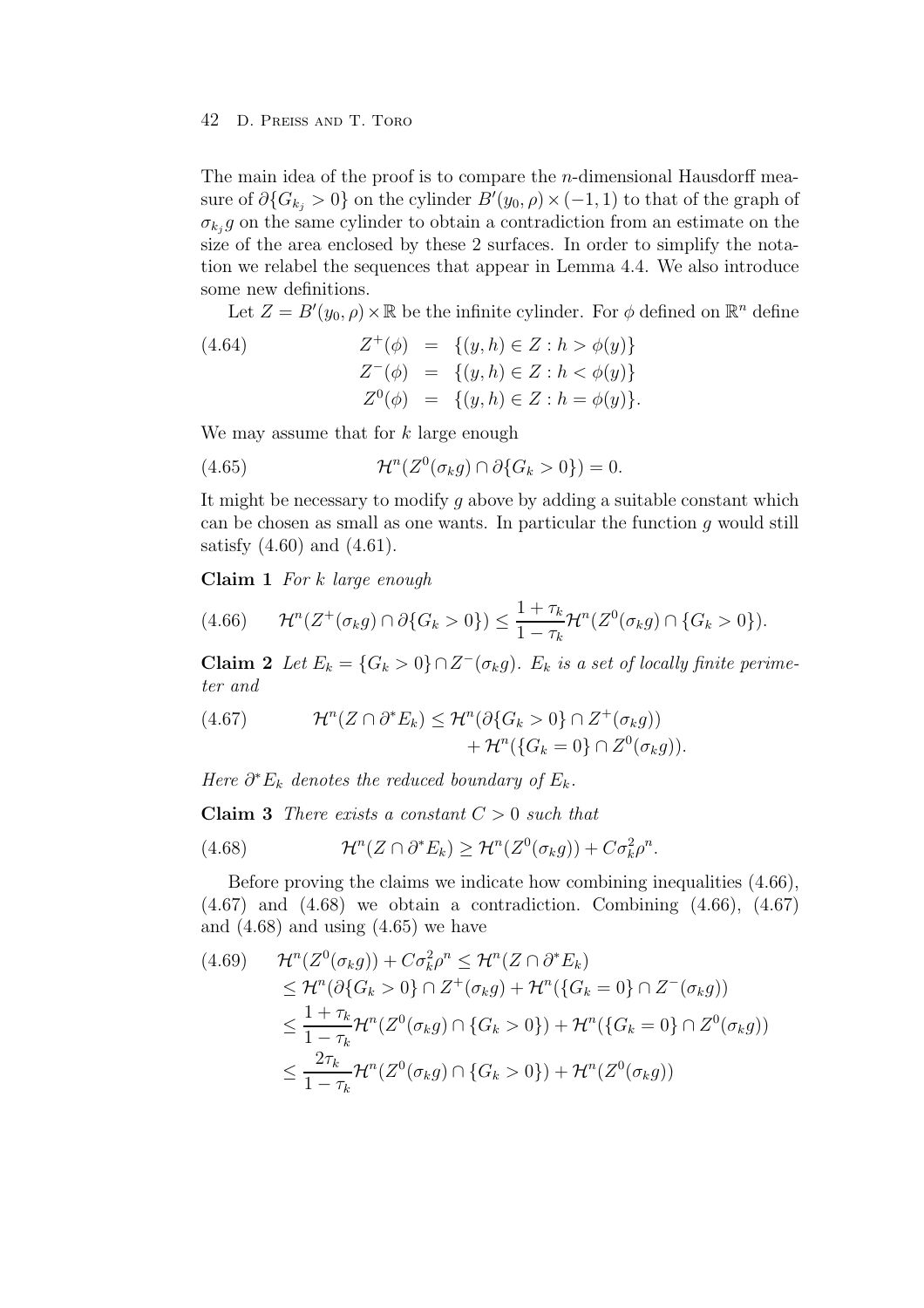The main idea of the proof is to compare the  $n$ -dimensional Hausdorff measure of  $\partial G_{k_j} > 0$  on the cylinder  $B'(y_0, \rho) \times (-1, 1)$  to that of the graph of  $\sigma_{k_i} g$  on the same cylinder to obtain a contradiction from an estimate on the size of the area enclosed by these 2 surfaces. In order to simplify the notation we relabel the sequences that appear in Lemma 4.4. We also introduce some new definitions.

Let  $Z = B'(y_0, \rho) \times \mathbb{R}$  be the infinite cylinder. For  $\phi$  defined on  $\mathbb{R}^n$  define

(4.64)  
\n
$$
Z^{+}(\phi) = \{(y, h) \in Z : h > \phi(y)\}
$$
\n
$$
Z^{-}(\phi) = \{(y, h) \in Z : h < \phi(y)\}
$$
\n
$$
Z^{0}(\phi) = \{(y, h) \in Z : h = \phi(y)\}.
$$

We may assume that for  $k$  large enough

(4.65) 
$$
\mathcal{H}^n(Z^0(\sigma_k g) \cap \partial \{G_k > 0\}) = 0.
$$

It might be necessary to modify  $g$  above by adding a suitable constant which can be chosen as small as one wants. In particular the function  $q$  would still satisfy (4.60) and (4.61).

**Claim 1** For k large enough

$$
(4.66) \t\mathcal{H}^n(Z^+(\sigma_k g) \cap \partial \{G_k > 0\}) \le \frac{1 + \tau_k}{1 - \tau_k} \mathcal{H}^n(Z^0(\sigma_k g) \cap \{G_k > 0\}).
$$

**Claim 2** Let  $E_k = \{G_k > 0\} \cap Z^-(\sigma_k g)$ .  $E_k$  is a set of locally finite perimeter and

(4.67) 
$$
\mathcal{H}^n(Z \cap \partial^* E_k) \leq \mathcal{H}^n(\partial \{G_k > 0\} \cap Z^+(\sigma_k g)) + \mathcal{H}^n(\{G_k = 0\} \cap Z^0(\sigma_k g)).
$$

Here  $\partial^* E_k$  denotes the reduced boundary of  $E_k$ .

**Claim 3** There exists a constant  $C > 0$  such that

(4.68) 
$$
\mathcal{H}^n(Z \cap \partial^* E_k) \geq \mathcal{H}^n(Z^0(\sigma_k g)) + C \sigma_k^2 \rho^n.
$$

Before proving the claims we indicate how combining inequalities (4.66),  $(4.67)$  and  $(4.68)$  we obtain a contradiction. Combining  $(4.66)$ ,  $(4.67)$ and  $(4.68)$  and using  $(4.65)$  we have

$$
(4.69) \qquad \mathcal{H}^n(Z^0(\sigma_k g)) + C\sigma_k^2 \rho^n \leq \mathcal{H}^n(Z \cap \partial^* E_k)
$$
  
\n
$$
\leq \mathcal{H}^n(\partial \{G_k > 0\} \cap Z^+(\sigma_k g) + \mathcal{H}^n(\{G_k = 0\} \cap Z^-(\sigma_k g))
$$
  
\n
$$
\leq \frac{1 + \tau_k}{1 - \tau_k} \mathcal{H}^n(Z^0(\sigma_k g) \cap \{G_k > 0\}) + \mathcal{H}^n(\{G_k = 0\} \cap Z^0(\sigma_k g))
$$
  
\n
$$
\leq \frac{2\tau_k}{1 - \tau_k} \mathcal{H}^n(Z^0(\sigma_k g) \cap \{G_k > 0\}) + \mathcal{H}^n(Z^0(\sigma_k g))
$$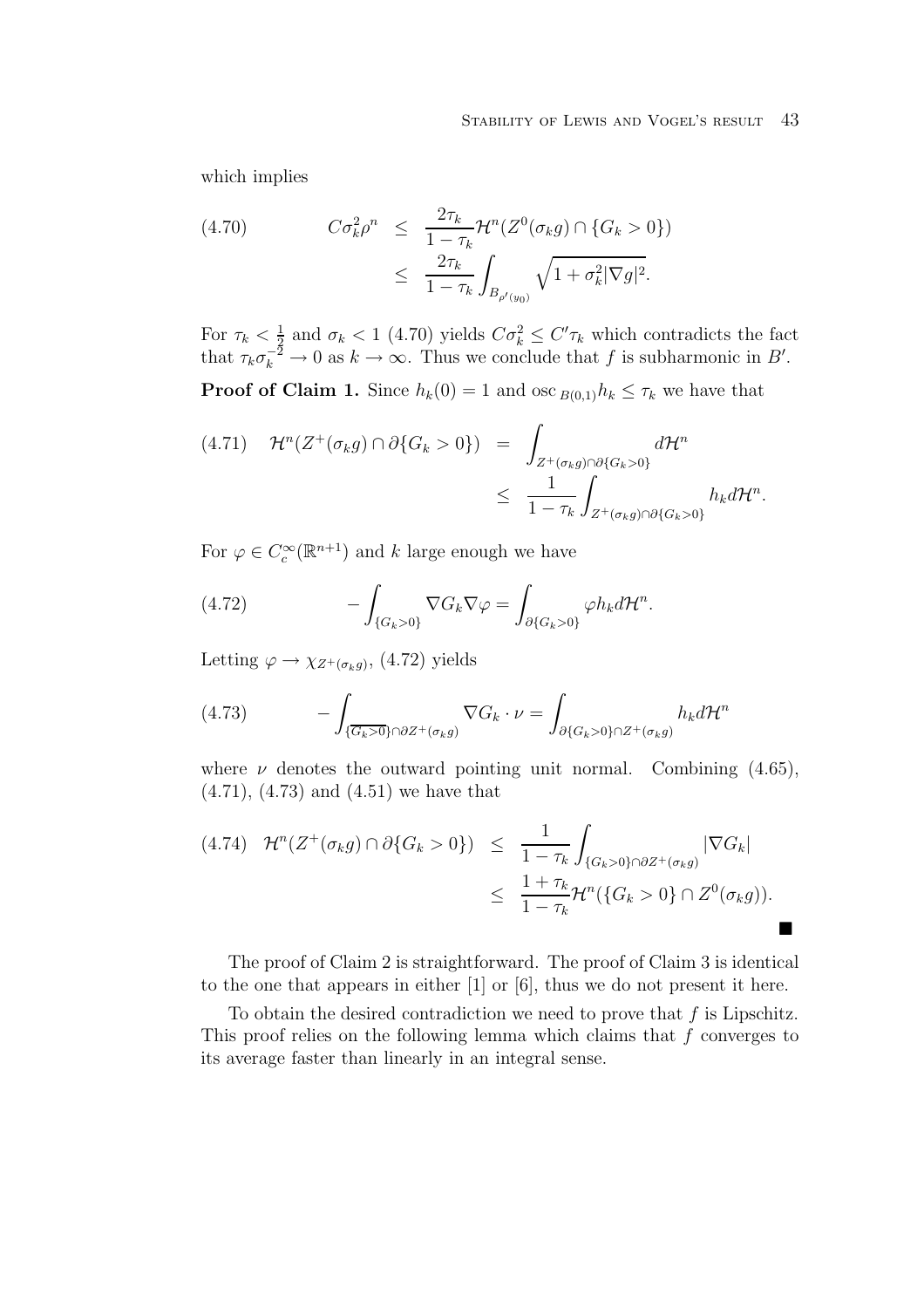#### STABILITY OF LEWIS AND VOGEL'S RESULT 43

which implies

(4.70) 
$$
C\sigma_k^2 \rho^n \leq \frac{2\tau_k}{1-\tau_k} \mathcal{H}^n(Z^0(\sigma_k g) \cap \{G_k > 0\}) \leq \frac{2\tau_k}{1-\tau_k} \int_{B_{\rho'(y_0)}} \sqrt{1+\sigma_k^2 |\nabla g|^2}.
$$

For  $\tau_k < \frac{1}{2}$  and  $\sigma_k < 1$  (4.70) yields  $C\sigma_k^2 \leq C'\tau_k$  which contradicts the fact that  $\tau_k \sigma_k^{-2} \to 0$  as  $k \to \infty$ . Thus we conclude that f is subharmonic in B'.

**Proof of Claim 1.** Since  $h_k(0) = 1$  and osc  $B(0,1)h_k \leq \tau_k$  we have that

$$
(4.71) \quad \mathcal{H}^n(Z^+(\sigma_k g) \cap \partial \{G_k > 0\}) = \int_{Z^+(\sigma_k g) \cap \partial \{G_k > 0\}} d\mathcal{H}^n
$$
  

$$
\leq \frac{1}{1 - \tau_k} \int_{Z^+(\sigma_k g) \cap \partial \{G_k > 0\}} h_k d\mathcal{H}^n.
$$

For  $\varphi \in C_c^{\infty}(\mathbb{R}^{n+1})$  and k large enough we have

(4.72) 
$$
-\int_{\{G_k>0\}} \nabla G_k \nabla \varphi = \int_{\partial \{G_k>0\}} \varphi h_k d\mathcal{H}^n.
$$

Letting  $\varphi \to \chi_{Z^+(\sigma_k g)},$  (4.72) yields

(4.73) 
$$
- \int_{\{\overline{G_k} > 0\} \cap \partial Z^+(\sigma_k g)} \nabla G_k \cdot \nu = \int_{\partial \{G_k > 0\} \cap Z^+(\sigma_k g)} h_k d\mathcal{H}^n
$$

where  $\nu$  denotes the outward pointing unit normal. Combining (4.65), (4.71), (4.73) and (4.51) we have that

$$
(4.74) \quad \mathcal{H}^n(Z^+(\sigma_k g) \cap \partial \{G_k > 0\}) \leq \frac{1}{1 - \tau_k} \int_{\{G_k > 0\} \cap \partial Z^+(\sigma_k g)} |\nabla G_k|
$$
  

$$
\leq \frac{1 + \tau_k}{1 - \tau_k} \mathcal{H}^n(\{G_k > 0\} \cap Z^0(\sigma_k g)).
$$

The proof of Claim 2 is straightforward. The proof of Claim 3 is identical to the one that appears in either [1] or [6], thus we do not present it here.

To obtain the desired contradiction we need to prove that  $f$  is Lipschitz. This proof relies on the following lemma which claims that  $f$  converges to its average faster than linearly in an integral sense.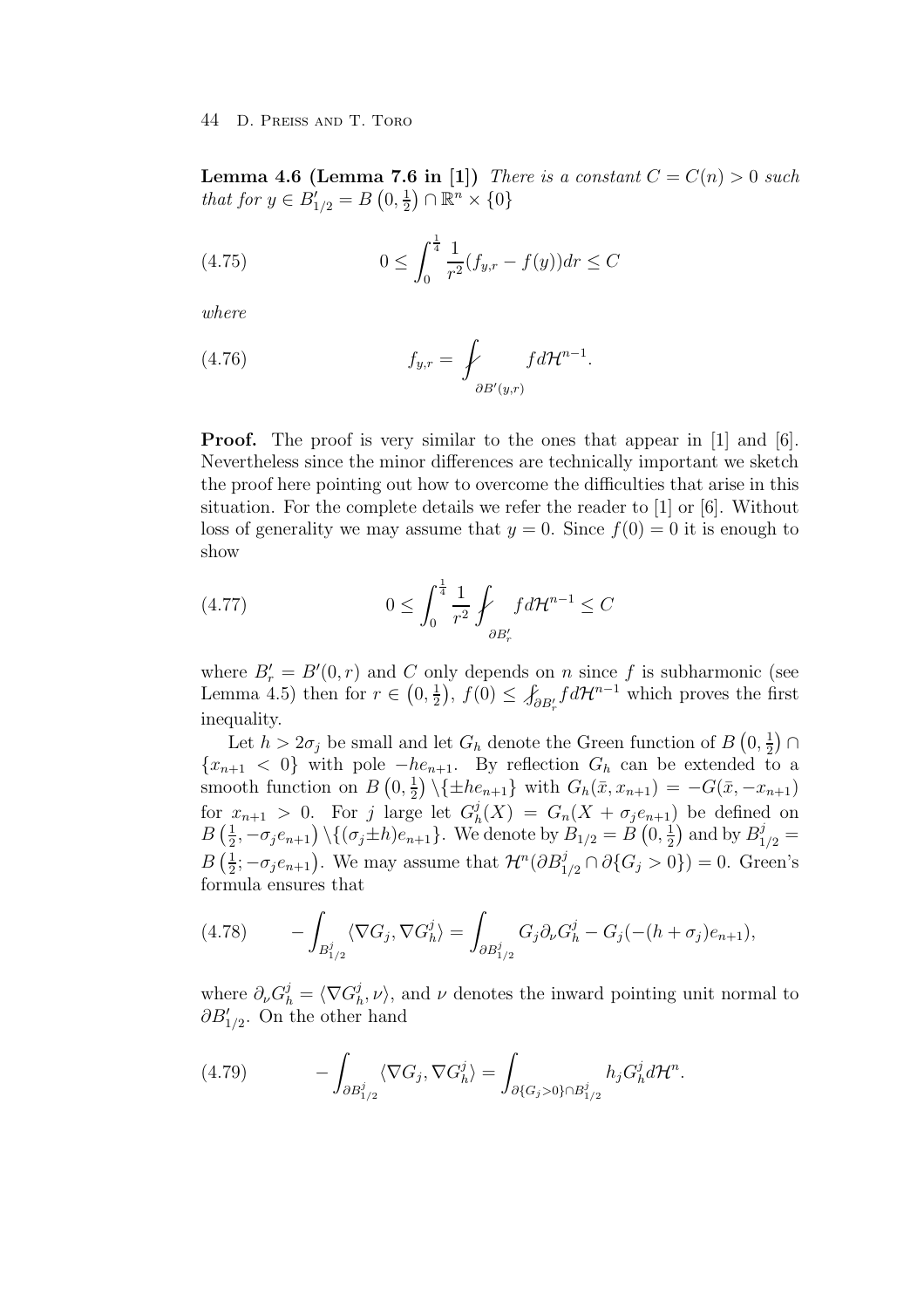**Lemma 4.6 (Lemma 7.6 in [1])** There is a constant  $C = C(n) > 0$  such that for  $y \in B'_{1/2} = B(0, \frac{1}{2}) \cap \mathbb{R}^n \times \{0\}$ 

(4.75) 
$$
0 \le \int_0^{\frac{1}{4}} \frac{1}{r^2} (f_{y,r} - f(y)) dr \le C
$$

where

(4.76) 
$$
f_{y,r} = \int_{\partial B'(y,r)} f d\mathcal{H}^{n-1}.
$$

**Proof.** The proof is very similar to the ones that appear in [1] and [6]. Nevertheless since the minor differences are technically important we sketch the proof here pointing out how to overcome the difficulties that arise in this situation. For the complete details we refer the reader to [1] or [6]. Without loss of generality we may assume that  $y = 0$ . Since  $f(0) = 0$  it is enough to show

$$
(4.77) \t\t\t 0 \le \int_0^{\frac{1}{4}} \frac{1}{r^2} \oint_{\partial B'_r} f d\mathcal{H}^{n-1} \le C
$$

where  $B'_r = B'(0,r)$  and C only depends on n since f is subharmonic (see Lemma 4.5) then for  $r \in (0, \frac{1}{2})$ ,  $f(0) \leq \int_{\partial B'_r} f d\mathcal{H}^{n-1}$  which proves the first inequality.

Let  $h > 2\sigma_j$  be small and let  $G_h$  denote the Green function of  $B\left(0, \frac{1}{2}\right) \cap$  ${x_{n+1} < 0}$  with pole  $-he_{n+1}$ . By reflection  $G_h$  can be extended to a smooth function on  $B\left(0, \frac{1}{2}\right) \setminus \{\pm he_{n+1}\}\$  with  $G_h(\bar{x}, x_{n+1}) = -G(\bar{x}, -x_{n+1})$ for  $x_{n+1} > 0$ . For j large let  $G_h^j(X) = G_n(X + \sigma_j e_{n+1})$  be defined on  $B\left(\frac{1}{2}, -\sigma_j e_{n+1}\right) \setminus \{(\sigma_j \pm h) e_{n+1}\}.$  We denote by  $B_{1/2} = B\left(0, \frac{1}{2}\right)$  and by  $B_{1/2}^j =$  $B\left(\frac{1}{2}; -\sigma_j e_{n+1}\right)$ . We may assume that  $\mathcal{H}^n(\partial B_{1/2}^j \cap \partial \{G_j > 0\}) = 0$ . Green's formula ensures that

(4.78) 
$$
- \int_{B_{1/2}^j} \langle \nabla G_j, \nabla G_h^j \rangle = \int_{\partial B_{1/2}^j} G_j \partial_\nu G_h^j - G_j \big( -(h + \sigma_j) e_{n+1} \big),
$$

where  $\partial_{\nu}G_h^j = \langle \nabla G_h^j, \nu \rangle$ , and  $\nu$  denotes the inward pointing unit normal to  $\partial B'_{1/2}$ . On the other hand

(4.79) 
$$
- \int_{\partial B_{1/2}^j} \langle \nabla G_j, \nabla G_h^j \rangle = \int_{\partial \{G_j > 0\} \cap B_{1/2}^j} h_j G_h^j d\mathcal{H}^n.
$$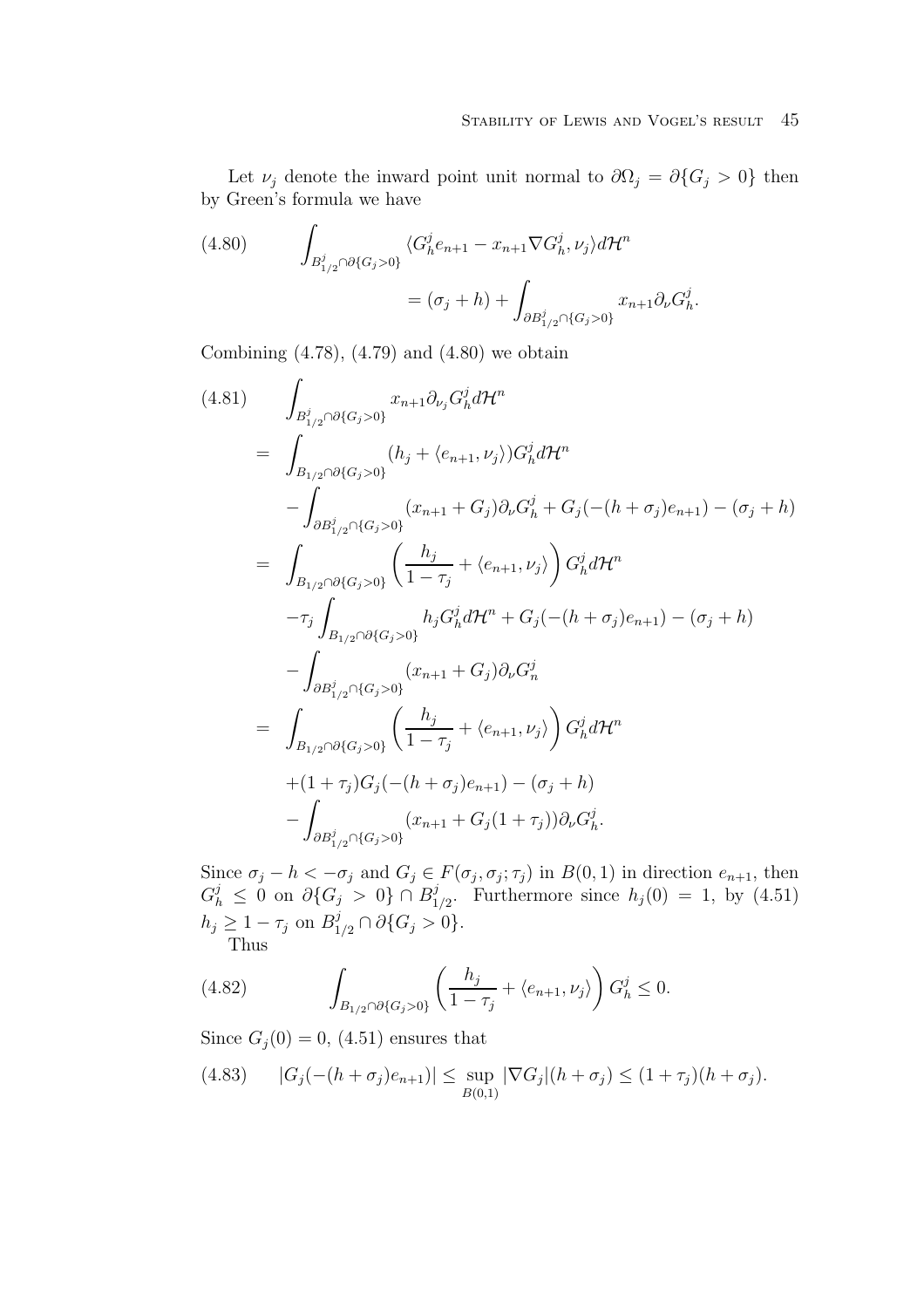Let  $\nu_j$  denote the inward point unit normal to  $\partial\Omega_j = \partial\{G_j > 0\}$  then by Green's formula we have

(4.80) 
$$
\int_{B_{1/2}^j \cap \partial \{G_j > 0\}} \langle G_h^j e_{n+1} - x_{n+1} \nabla G_h^j, \nu_j \rangle d\mathcal{H}^n
$$

$$
= (\sigma_j + h) + \int_{\partial B_{1/2}^j \cap \{G_j > 0\}} x_{n+1} \partial_{\nu} G_h^j.
$$

Combining  $(4.78)$ ,  $(4.79)$  and  $(4.80)$  we obtain

$$
(4.81) \qquad \int_{B_{1/2}^{j} \cap \partial \{G_{j} > 0\}} x_{n+1} \partial_{\nu_{j}} G_{h}^{j} d\mathcal{H}^{n}
$$
\n
$$
= \int_{B_{1/2} \cap \partial \{G_{j} > 0\}} (h_{j} + \langle e_{n+1}, \nu_{j} \rangle) G_{h}^{j} d\mathcal{H}^{n}
$$
\n
$$
- \int_{\partial B_{1/2}^{j} \cap \{G_{j} > 0\}} (x_{n+1} + G_{j}) \partial_{\nu} G_{h}^{j} + G_{j}(- (h + \sigma_{j}) e_{n+1}) - (\sigma_{j} + h)
$$
\n
$$
= \int_{B_{1/2} \cap \partial \{G_{j} > 0\}} \left( \frac{h_{j}}{1 - \tau_{j}} + \langle e_{n+1}, \nu_{j} \rangle \right) G_{h}^{j} d\mathcal{H}^{n}
$$
\n
$$
- \tau_{j} \int_{B_{1/2} \cap \partial \{G_{j} > 0\}} h_{j} G_{h}^{j} d\mathcal{H}^{n} + G_{j}(- (h + \sigma_{j}) e_{n+1}) - (\sigma_{j} + h)
$$
\n
$$
- \int_{\partial B_{1/2}^{j} \cap \{G_{j} > 0\}} (x_{n+1} + G_{j}) \partial_{\nu} G_{n}^{j}
$$
\n
$$
= \int_{B_{1/2} \cap \partial \{G_{j} > 0\}} \left( \frac{h_{j}}{1 - \tau_{j}} + \langle e_{n+1}, \nu_{j} \rangle \right) G_{h}^{j} d\mathcal{H}^{n}
$$
\n
$$
+ (1 + \tau_{j}) G_{j}(- (h + \sigma_{j}) e_{n+1}) - (\sigma_{j} + h)
$$
\n
$$
- \int_{\partial B_{1/2}^{j} \cap \{G_{j} > 0\}} (x_{n+1} + G_{j}(1 + \tau_{j})) \partial_{\nu} G_{h}^{j}.
$$

Since  $\sigma_j - h < -\sigma_j$  and  $G_j \in F(\sigma_j, \sigma_j; \tau_j)$  in  $B(0, 1)$  in direction  $e_{n+1}$ , then  $G_h^j \leq 0$  on  $\partial \{G_j > 0\} \cap B_{1/2}^j$ . Furthermore since  $h_j(0) = 1$ , by  $(4.51)$  $h_j \geq 1 - \tau_j$  on  $B_{1/2}^j \cap \partial \{G_j > 0\}.$ Thus

(4.82) 
$$
\int_{B_{1/2} \cap \partial \{G_j > 0\}} \left( \frac{h_j}{1 - \tau_j} + \langle e_{n+1}, \nu_j \rangle \right) G_h^j \leq 0.
$$

Since  $G_j(0) = 0$ , (4.51) ensures that

(4.83) 
$$
|G_j(-(h+\sigma_j)e_{n+1})| \leq \sup_{B(0,1)} |\nabla G_j|(h+\sigma_j) \leq (1+\tau_j)(h+\sigma_j).
$$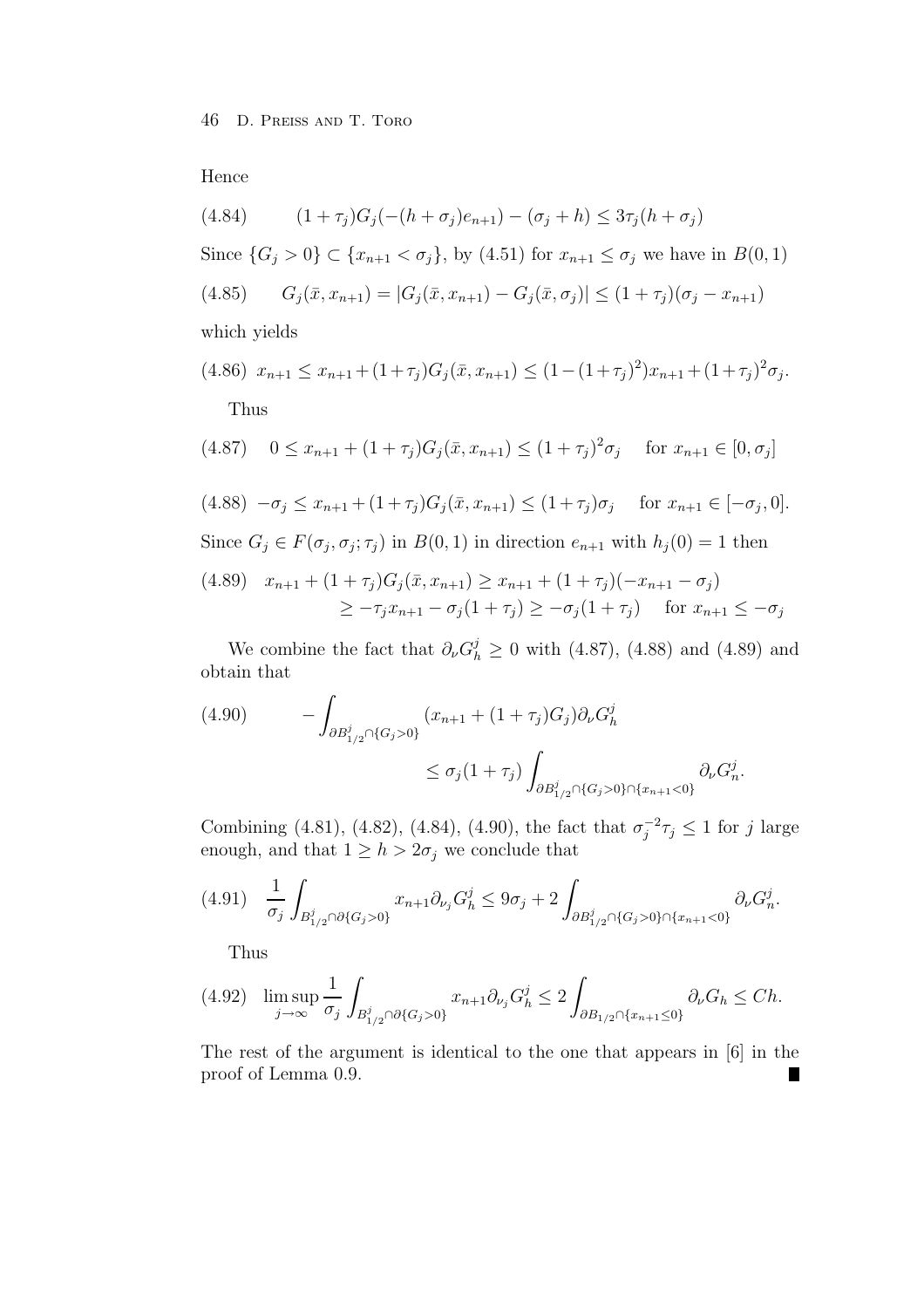Hence

(4.84) 
$$
(1+\tau_j)G_j(-(h+\sigma_j)e_{n+1})-(\sigma_j+h) \leq 3\tau_j(h+\sigma_j)
$$

Since  $\{G_j > 0\} \subset \{x_{n+1} < \sigma_j\}$ , by  $(4.51)$  for  $x_{n+1} \le \sigma_j$  we have in  $B(0, 1)$ 

$$
(4.85) \qquad G_j(\bar{x}, x_{n+1}) = |G_j(\bar{x}, x_{n+1}) - G_j(\bar{x}, \sigma_j)| \le (1 + \tau_j)(\sigma_j - x_{n+1})
$$

which yields

$$
(4.86) \ x_{n+1} \le x_{n+1} + (1+\tau_j)G_j(\bar{x}, x_{n+1}) \le (1 - (1+\tau_j)^2)x_{n+1} + (1+\tau_j)^2\sigma_j.
$$
  
Thus

$$
(4.87) \quad 0 \le x_{n+1} + (1 + \tau_j)G_j(\bar{x}, x_{n+1}) \le (1 + \tau_j)^2 \sigma_j \quad \text{for } x_{n+1} \in [0, \sigma_j]
$$

$$
(4.88) \quad -\sigma_j \le x_{n+1} + (1+\tau_j)G_j(\bar{x}, x_{n+1}) \le (1+\tau_j)\sigma_j \quad \text{for } x_{n+1} \in [-\sigma_j, 0].
$$
  
Since  $G_j \in F(\sigma_j, \sigma_j; \tau_j)$  in  $B(0, 1)$  in direction  $e_{n+1}$  with  $h_j(0) = 1$  then

$$
(4.89) \quad x_{n+1} + (1+\tau_j)G_j(\bar{x}, x_{n+1}) \ge x_{n+1} + (1+\tau_j)(-x_{n+1} - \sigma_j)
$$
  
 
$$
\ge -\tau_j x_{n+1} - \sigma_j(1+\tau_j) \ge -\sigma_j(1+\tau_j) \quad \text{for } x_{n+1} \le -\sigma_j
$$

We combine the fact that  $\partial_{\nu}G_{h}^{j} \geq 0$  with (4.87), (4.88) and (4.89) and obtain that

(4.90) 
$$
- \int_{\partial B_{1/2}^j \cap \{G_j > 0\}} (x_{n+1} + (1 + \tau_j)G_j) \partial_{\nu} G_h^j
$$

$$
\leq \sigma_j (1 + \tau_j) \int_{\partial B_{1/2}^j \cap \{G_j > 0\} \cap \{x_{n+1} < 0\}} \partial_{\nu} G_h^j.
$$

Combining (4.81), (4.82), (4.84), (4.90), the fact that  $\sigma_j^{-2} \tau_j \le 1$  for j large enough, and that  $1 \geq h > 2\sigma_j$  we conclude that

$$
(4.91) \quad \frac{1}{\sigma_j} \int_{B_{1/2}^j \cap \partial \{G_j > 0\}} x_{n+1} \partial_{\nu_j} G_h^j \leq 9\sigma_j + 2 \int_{\partial B_{1/2}^j \cap \{G_j > 0\} \cap \{x_{n+1} < 0\}} \partial_{\nu} G_h^j.
$$

Thus

$$
(4.92)\quad \limsup_{j\to\infty}\frac{1}{\sigma_j}\int_{B_{1/2}^j\cap\partial\{G_j>0\}}x_{n+1}\partial_{\nu_j}G_h^j\leq 2\int_{\partial B_{1/2}\cap\{x_{n+1}\leq 0\}}\partial_{\nu}G_h\leq Ch.
$$

The rest of the argument is identical to the one that appears in [6] in the proof of Lemma 0.9.Ш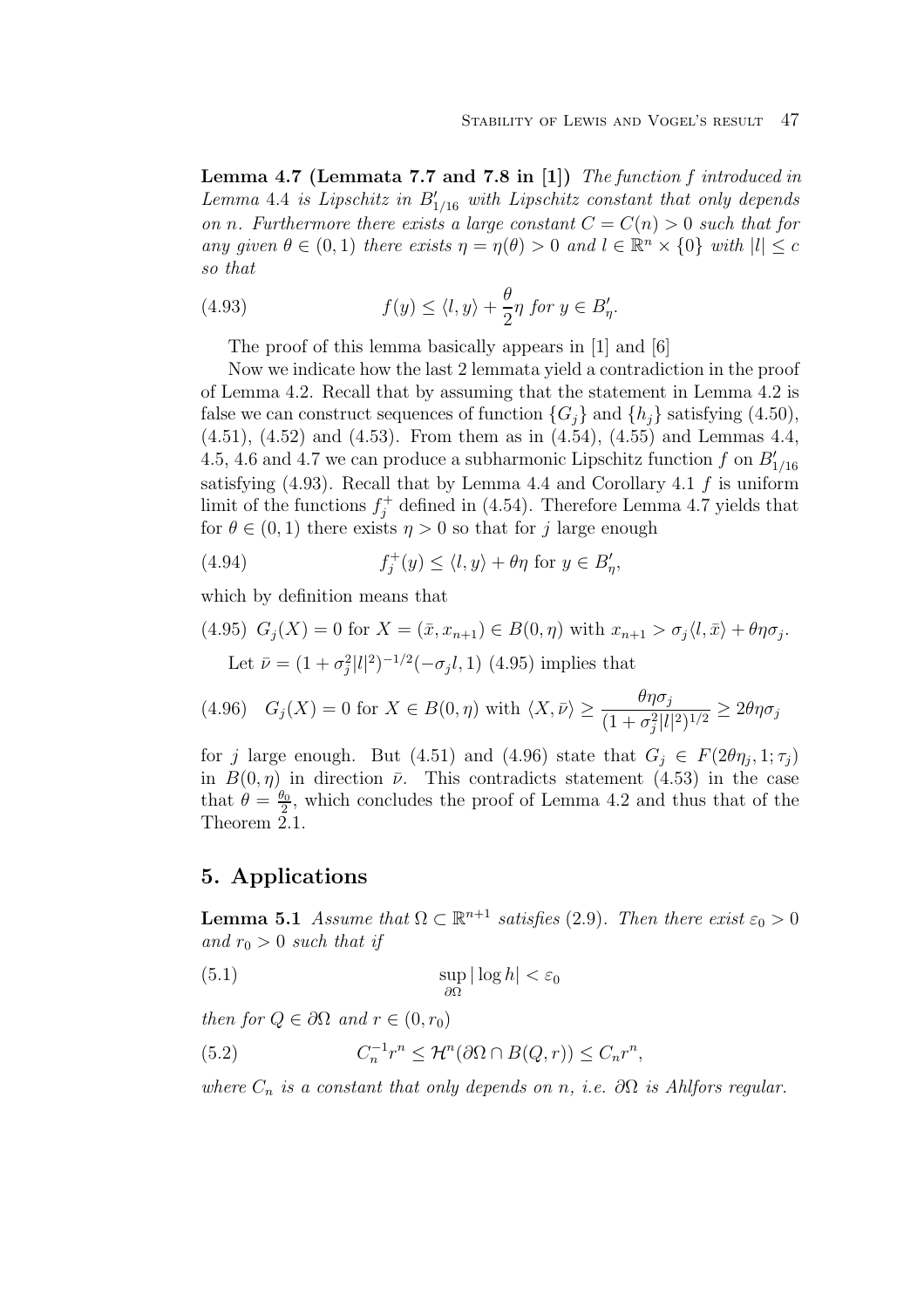**Lemma 4.7 (Lemmata 7.7 and 7.8 in [1])** The function f introduced in Lemma 4.4 is Lipschitz in  $B'_{1/16}$  with Lipschitz constant that only depends on n. Furthermore there exists a large constant  $C = C(n) > 0$  such that for any given  $\theta \in (0,1)$  there exists  $\eta = \eta(\theta) > 0$  and  $l \in \mathbb{R}^n \times \{0\}$  with  $|l| < c$ so that

(4.93) 
$$
f(y) \le \langle l, y \rangle + \frac{\theta}{2} \eta \text{ for } y \in B_{\eta}'.
$$

The proof of this lemma basically appears in [1] and [6]

Now we indicate how the last 2 lemmata yield a contradiction in the proof of Lemma 4.2. Recall that by assuming that the statement in Lemma 4.2 is false we can construct sequences of function  $\{G_i\}$  and  $\{h_i\}$  satisfying (4.50), (4.51), (4.52) and (4.53). From them as in (4.54), (4.55) and Lemmas 4.4, 4.5, 4.6 and 4.7 we can produce a subharmonic Lipschitz function  $f$  on  $B'_{1/16}$ satisfying  $(4.93)$ . Recall that by Lemma 4.4 and Corollary 4.1 f is uniform limit of the functions  $f_j^+$  defined in (4.54). Therefore Lemma 4.7 yields that for  $\theta \in (0, 1)$  there exists  $\eta > 0$  so that for j large enough

(4.94) 
$$
f_j^+(y) \le \langle l, y \rangle + \theta \eta \text{ for } y \in B'_\eta,
$$

which by definition means that

(4.95) 
$$
G_j(X) = 0
$$
 for  $X = (\bar{x}, x_{n+1}) \in B(0, \eta)$  with  $x_{n+1} > \sigma_j \langle l, \bar{x} \rangle + \theta \eta \sigma_j$ . Let  $\bar{\nu} = (1 + \sigma_j^2 |l|^2)^{-1/2} (-\sigma_j l, 1)$  (4.95) implies that

(4.96) 
$$
G_j(X) = 0
$$
 for  $X \in B(0, \eta)$  with  $\langle X, \overline{\nu} \rangle \ge \frac{\theta \eta \sigma_j}{(1 + \sigma_j^2 |l|^2)^{1/2}} \ge 2\theta \eta \sigma_j$ 

for j large enough. But (4.51) and (4.96) state that  $G_i \in F(2\theta\eta_i, 1; \tau_i)$ in  $B(0, \eta)$  in direction  $\bar{\nu}$ . This contradicts statement (4.53) in the case that  $\theta = \frac{\theta_0}{2}$ , which concludes the proof of Lemma 4.2 and thus that of the Theorem 2.1.

### **5. Applications**

**Lemma 5.1** Assume that  $\Omega \subset \mathbb{R}^{n+1}$  satisfies (2.9). Then there exist  $\varepsilon_0 > 0$ and  $r_0 > 0$  such that if

$$
\sup_{\partial\Omega} |\log h| < \varepsilon_0
$$

then for  $Q \in \partial \Omega$  and  $r \in (0, r_0)$ 

(5.2) 
$$
C_n^{-1}r^n \leq \mathcal{H}^n(\partial\Omega \cap B(Q,r)) \leq C_n r^n,
$$

where  $C_n$  is a constant that only depends on n, i.e.  $\partial\Omega$  is Ahlfors regular.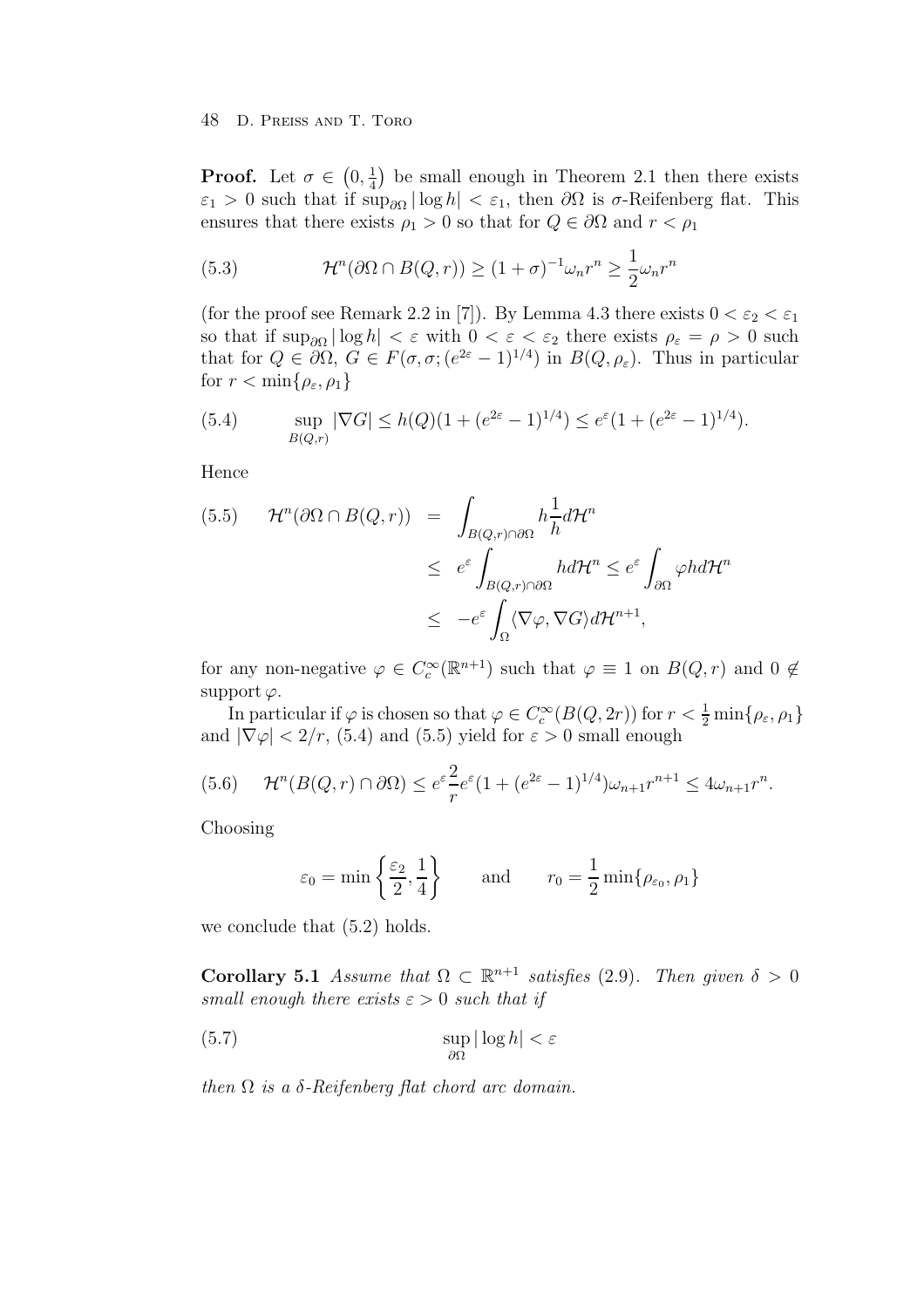**Proof.** Let  $\sigma \in (0, \frac{1}{4})$  be small enough in Theorem 2.1 then there exists  $\varepsilon_1 > 0$  such that if  $\sup_{\partial \Omega} |\log h| < \varepsilon_1$ , then  $\partial \Omega$  is  $\sigma$ -Reifenberg flat. This ensures that there exists  $\rho_1 > 0$  so that for  $Q \in \partial \Omega$  and  $r < \rho_1$ 

(5.3) 
$$
\mathcal{H}^n(\partial\Omega \cap B(Q,r)) \ge (1+\sigma)^{-1} \omega_n r^n \ge \frac{1}{2} \omega_n r^n
$$

(for the proof see Remark 2.2 in [7]). By Lemma 4.3 there exists  $0 < \varepsilon_2 < \varepsilon_1$ so that if  $\sup_{\partial\Omega}|\log h| < \varepsilon$  with  $0 < \varepsilon < \varepsilon_2$  there exists  $\rho_{\varepsilon} = \rho > 0$  such that for  $Q \in \partial\Omega$ ,  $G \in F(\sigma, \sigma; (e^{2\varepsilon}-1)^{1/4})$  in  $B(Q, \rho_{\varepsilon})$ . Thus in particular for  $r < \min\{\rho_{\varepsilon}, \rho_1\}$ 

(5.4) 
$$
\sup_{B(Q,r)} |\nabla G| \le h(Q)(1 + (e^{2\varepsilon} - 1)^{1/4}) \le e^{\varepsilon} (1 + (e^{2\varepsilon} - 1)^{1/4}).
$$

Hence

$$
(5.5) \t\mathcal{H}^n(\partial\Omega \cap B(Q,r)) = \int_{B(Q,r) \cap \partial\Omega} h \frac{1}{h} d\mathcal{H}^n
$$
  
\n
$$
\leq e^{\varepsilon} \int_{B(Q,r) \cap \partial\Omega} h d\mathcal{H}^n \leq e^{\varepsilon} \int_{\partial\Omega} \varphi h d\mathcal{H}^n
$$
  
\n
$$
\leq -e^{\varepsilon} \int_{\Omega} \langle \nabla \varphi, \nabla G \rangle d\mathcal{H}^{n+1},
$$

for any non-negative  $\varphi \in C_c^{\infty}(\mathbb{R}^{n+1})$  such that  $\varphi \equiv 1$  on  $B(Q, r)$  and  $0 \notin$ support  $\varphi$ .

In particular if  $\varphi$  is chosen so that  $\varphi \in C_c^{\infty}(B(Q, 2r))$  for  $r < \frac{1}{2} \min\{\rho_{\varepsilon}, \rho_1\}$ and  $|\nabla \varphi|$  < 2/r, (5.4) and (5.5) yield for  $\varepsilon > 0$  small enough

$$
(5.6) \quad \mathcal{H}^n(B(Q,r)\cap\partial\Omega)\leq e^{\varepsilon}\frac{2}{r}e^{\varepsilon}(1+(e^{2\varepsilon}-1)^{1/4})\omega_{n+1}r^{n+1}\leq 4\omega_{n+1}r^n.
$$

Choosing

$$
\varepsilon_0 = \min\left\{\frac{\varepsilon_2}{2}, \frac{1}{4}\right\}
$$
 and  $r_0 = \frac{1}{2}\min\{\rho_{\varepsilon_0}, \rho_1\}$ 

we conclude that (5.2) holds.

**Corollary 5.1** Assume that  $\Omega \subset \mathbb{R}^{n+1}$  satisfies (2.9). Then given  $\delta > 0$ small enough there exists  $\varepsilon > 0$  such that if

(5.7) 
$$
\sup_{\partial\Omega} |\log h| < \varepsilon
$$

then  $\Omega$  is a  $\delta$ -Reifenberg flat chord arc domain.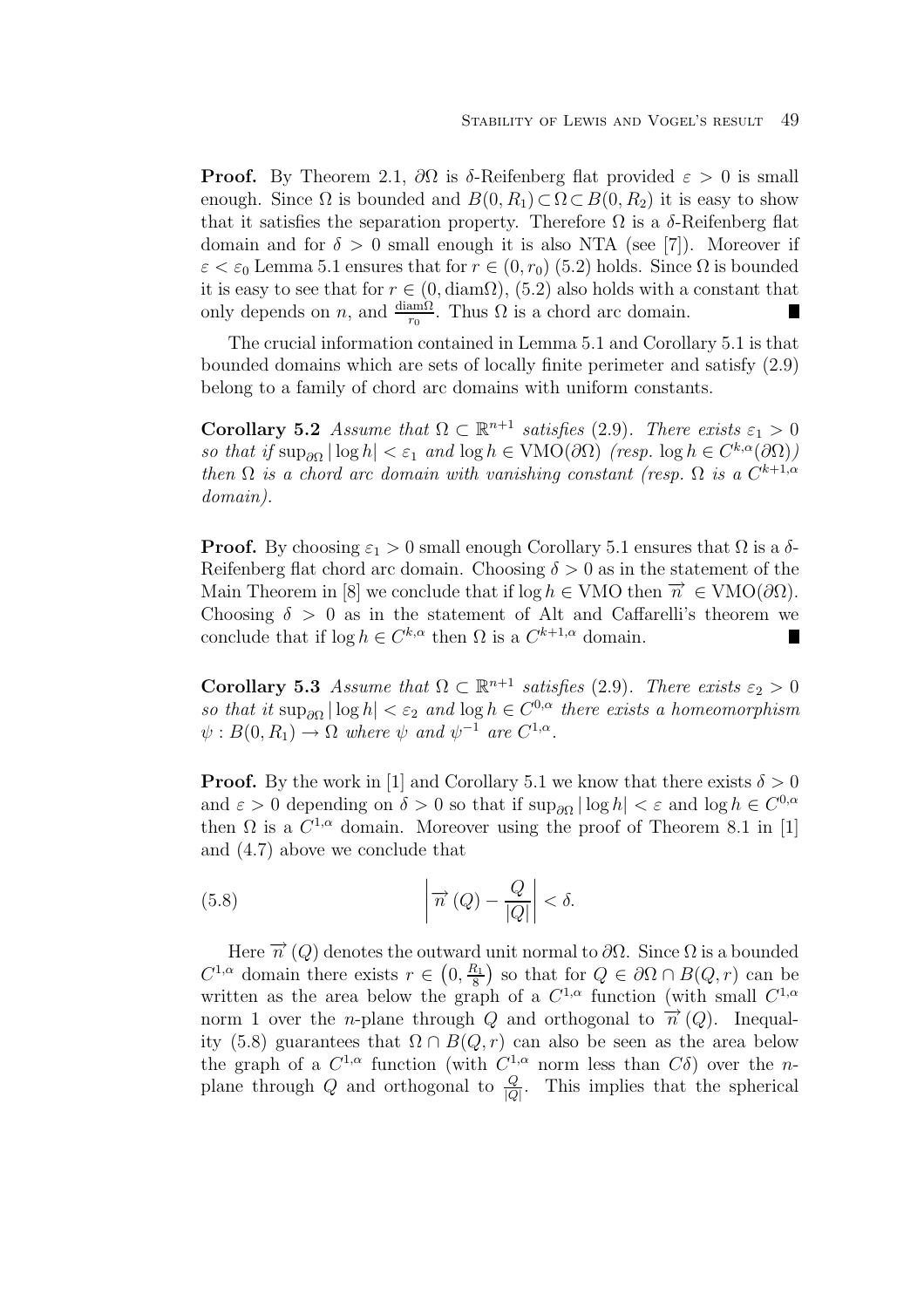**Proof.** By Theorem 2.1,  $\partial\Omega$  is δ-Reifenberg flat provided  $\varepsilon > 0$  is small enough. Since  $\Omega$  is bounded and  $B(0, R_1) \subset \Omega \subset B(0, R_2)$  it is easy to show that it satisfies the separation property. Therefore  $\Omega$  is a  $\delta$ -Reifenberg flat domain and for  $\delta > 0$  small enough it is also NTA (see [7]). Moreover if  $\varepsilon < \varepsilon_0$  Lemma 5.1 ensures that for  $r \in (0, r_0)$  (5.2) holds. Since  $\Omega$  is bounded it is easy to see that for  $r \in (0, \text{diam}\Omega)$ ,  $(5.2)$  also holds with a constant that only depends on *n*, and  $\frac{\text{diam}\Omega}{r_0}$ . Thus  $\Omega$  is a chord arc domain. П

The crucial information contained in Lemma 5.1 and Corollary 5.1 is that bounded domains which are sets of locally finite perimeter and satisfy (2.9) belong to a family of chord arc domains with uniform constants.

**Corollary 5.2** Assume that  $\Omega \subset \mathbb{R}^{n+1}$  satisfies (2.9). There exists  $\varepsilon_1 > 0$ so that if  $\sup_{\partial\Omega} |\log h| < \varepsilon_1$  and  $\log h \in \text{VMO}(\partial\Omega)$  (resp.  $\log h \in C^{k,\alpha}(\partial\Omega)$ ) then  $\Omega$  is a chord arc domain with vanishing constant (resp.  $\Omega$  is a  $C^{k+1,\alpha}$ domain).

**Proof.** By choosing  $\varepsilon_1 > 0$  small enough Corollary 5.1 ensures that  $\Omega$  is a  $\delta$ -Reifenberg flat chord arc domain. Choosing  $\delta > 0$  as in the statement of the Main Theorem in [8] we conclude that if  $\log h \in VMO$  then  $\overrightarrow{n} \in VMO(\partial \Omega)$ . Choosing  $\delta > 0$  as in the statement of Alt and Caffarelli's theorem we conclude that if  $\log h \in C^{k,\alpha}$  then  $\Omega$  is a  $C^{k+1,\alpha}$  domain.  $\blacksquare$ 

**Corollary 5.3** Assume that  $\Omega \subset \mathbb{R}^{n+1}$  satisfies (2.9). There exists  $\varepsilon_2 > 0$ so that it  $\sup_{\partial\Omega} |\log h| < \varepsilon_2$  and  $\log h \in C^{0,\alpha}$  there exists a homeomorphism  $\psi : B(0, R_1) \to \Omega$  where  $\psi$  and  $\psi^{-1}$  are  $C^{1,\alpha}$ .

**Proof.** By the work in [1] and Corollary 5.1 we know that there exists  $\delta > 0$ and  $\varepsilon > 0$  depending on  $\delta > 0$  so that if  $\sup_{\partial \Omega} |\log h| < \varepsilon$  and  $\log h \in C^{0,\alpha}$ then  $\Omega$  is a  $C^{1,\alpha}$  domain. Moreover using the proof of Theorem 8.1 in [1] and (4.7) above we conclude that

(5.8) 
$$
\left|\overrightarrow{n}(Q) - \frac{Q}{|Q|}\right| < \delta.
$$

Here  $\vec{n}$  (Q) denotes the outward unit normal to  $\partial\Omega$ . Since  $\Omega$  is a bounded  $C^{1,\alpha}$  domain there exists  $r \in (0, \frac{R_1}{8})$  so that for  $Q \in \partial\Omega \cap B(Q, r)$  can be written as the area below the graph of a  $C^{1,\alpha}$  function (with small  $C^{1,\alpha}$ ) norm 1 over the *n*-plane through Q and orthogonal to  $\vec{n}$  (Q). Inequality (5.8) guarantees that  $\Omega \cap B(Q, r)$  can also be seen as the area below the graph of a  $C^{1,\alpha}$  function (with  $C^{1,\alpha}$  norm less than  $C\delta$ ) over the nplane through Q and orthogonal to  $\frac{Q}{|Q|}$ . This implies that the spherical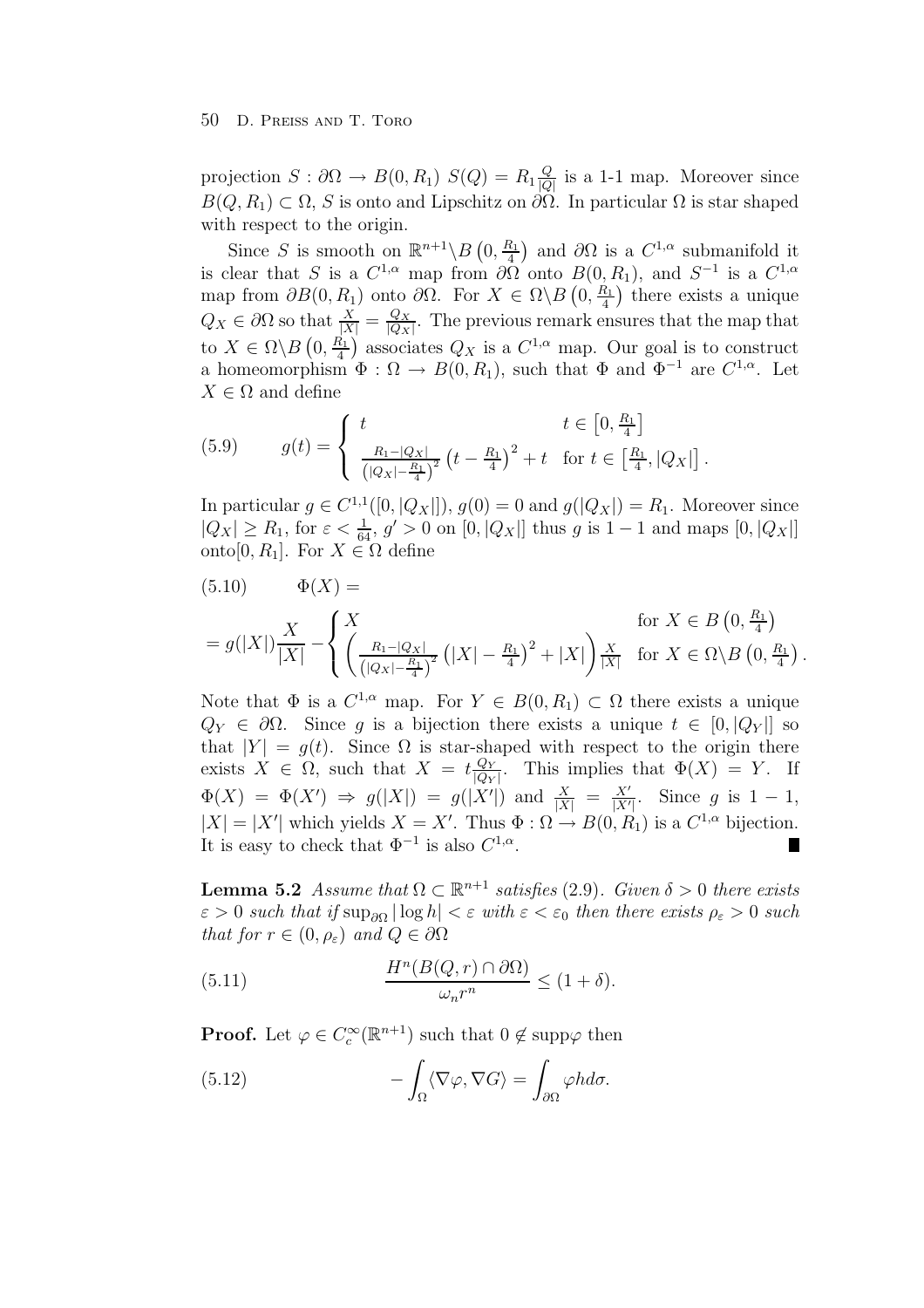projection  $S: \partial\Omega \to B(0, R_1)$   $S(Q) = R_1 \frac{Q}{|Q|}$  is a 1-1 map. Moreover since  $B(Q, R_1) \subset \Omega$ , S is onto and Lipschitz on  $\partial \Omega$ . In particular  $\Omega$  is star shaped with respect to the origin.

Since S is smooth on  $\mathbb{R}^{n+1} \backslash B(0, \frac{R_1}{4})$  and  $\partial\Omega$  is a  $C^{1,\alpha}$  submanifold it is clear that S is a  $C^{1,\alpha}$  map from  $\partial\Omega$  onto  $B(0,R_1)$ , and  $S^{-1}$  is a  $C^{1,\alpha}$ map from  $\partial B(0, R_1)$  onto  $\partial \Omega$ . For  $X \in \Omega \backslash B(0, \frac{R_1}{4})$  there exists a unique  $Q_X \in \partial\Omega$  so that  $\frac{X}{|X|} = \frac{Q_X}{|Q_X|}$ . The previous remark ensures that the map that to  $X \in \Omega \backslash B(0, \frac{R_1}{4})$  associates  $Q_X$  is a  $C^{1,\alpha}$  map. Our goal is to construct a homeomorphism  $\Phi : \Omega \to B(0, R_1)$ , such that  $\Phi$  and  $\Phi^{-1}$  are  $C^{1,\alpha}$ . Let  $X \in \Omega$  and define

(5.9) 
$$
g(t) = \begin{cases} t & t \in [0, \frac{R_1}{4}] \\ \frac{R_1 - |Q_X|}{\left(|Q_X| - \frac{R_1}{4}\right)^2} (t - \frac{R_1}{4})^2 + t & \text{for } t \in [\frac{R_1}{4}, |Q_X|]. \end{cases}
$$

In particular  $g \in C^{1,1}([0, |Q_X|]), g(0) = 0$  and  $g(|Q_X|) = R_1$ . Moreover since  $|Q_X| \ge R_1$ , for  $\varepsilon < \frac{1}{64}$ ,  $g' > 0$  on  $[0, |Q_X|]$  thus g is  $1-1$  and maps  $[0, |Q_X|]$ onto[0,  $R_1$ ]. For  $X \in \Omega$  define

$$
(5.10) \t \Phi(X) = \t \text{for } X \in B(0, \frac{R_1}{4})
$$
  
=  $g(|X|) \frac{X}{|X|} - \left\{ \left( \frac{R_1 - |Q_X|}{\left(|Q_X| - \frac{R_1}{4}\right)^2} \left( |X| - \frac{R_1}{4} \right)^2 + |X| \right) \frac{X}{|X|} \text{ for } X \in \Omega \setminus B(0, \frac{R_1}{4}).$ 

Note that  $\Phi$  is a  $C^{1,\alpha}$  map. For  $Y \in B(0,R_1) \subset \Omega$  there exists a unique  $Q_Y \in \partial \Omega$ . Since q is a bijection there exists a unique  $t \in [0, |Q_Y|]$  so that  $|Y| = g(t)$ . Since  $\Omega$  is star-shaped with respect to the origin there exists  $X \in \Omega$ , such that  $X = t \frac{Q_Y}{|Q_Y|}$ . This implies that  $\Phi(X) = Y$ . If  $\Phi(X) = \Phi(X') \Rightarrow g(|X|) = g(|X'|)$  and  $\frac{X}{|X|} = \frac{X'}{|X'|}$ . Since g is 1 - 1,  $|X| = |X'|$  which yields  $X = X'$ . Thus  $\Phi : \Omega \to B(0, R_1)$  is a  $C^{1,\alpha}$  bijection. It is easy to check that  $\Phi^{-1}$  is also  $C^{1,\alpha}$ .

**Lemma 5.2** Assume that  $\Omega \subset \mathbb{R}^{n+1}$  satisfies (2.9). Given  $\delta > 0$  there exists  $\varepsilon > 0$  such that if  $\sup_{\partial \Omega} |\log h| < \varepsilon$  with  $\varepsilon < \varepsilon_0$  then there exists  $\rho_{\varepsilon} > 0$  such that for  $r \in (0, \rho_{\varepsilon})$  and  $Q \in \partial \Omega$ 

(5.11) 
$$
\frac{H^n(B(Q, r) \cap \partial \Omega)}{\omega_n r^n} \le (1 + \delta).
$$

**Proof.** Let  $\varphi \in C_c^{\infty}(\mathbb{R}^{n+1})$  such that  $0 \notin \text{supp}\varphi$  then

(5.12) 
$$
-\int_{\Omega} \langle \nabla \varphi, \nabla G \rangle = \int_{\partial \Omega} \varphi h d\sigma.
$$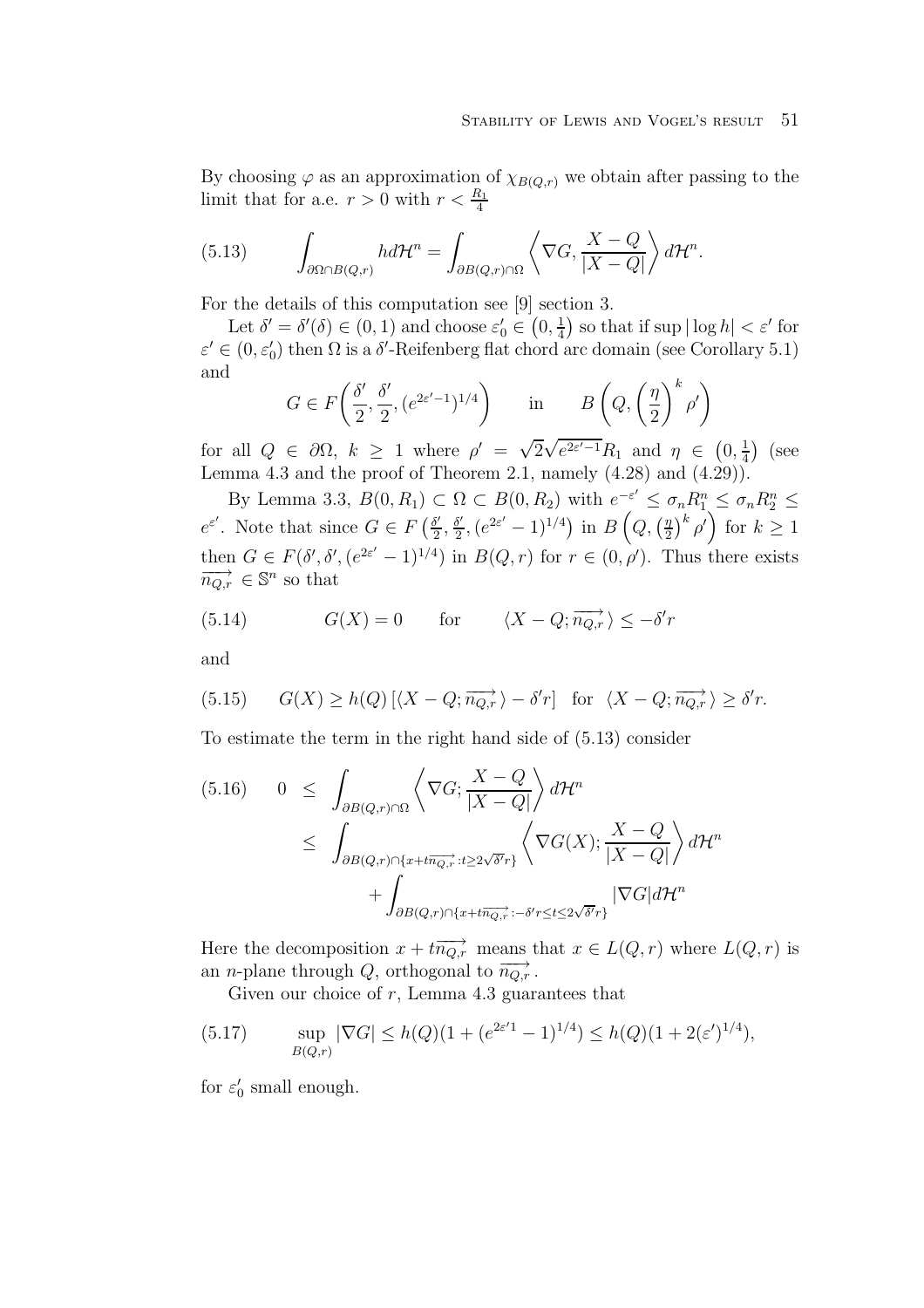By choosing  $\varphi$  as an approximation of  $\chi_{B(Q,r)}$  we obtain after passing to the limit that for a.e.  $r > 0$  with  $r < \frac{R_1}{4}$ 

(5.13) 
$$
\int_{\partial\Omega\cap B(Q,r)} hd\mathcal{H}^n = \int_{\partial B(Q,r)\cap\Omega} \left\langle \nabla G, \frac{X-Q}{|X-Q|} \right\rangle d\mathcal{H}^n.
$$

For the details of this computation see [9] section 3.

Let  $\delta' = \delta'(\delta) \in (0,1)$  and choose  $\varepsilon'_0 \in (0, \frac{1}{4})$  so that if sup  $|\log h| < \varepsilon'$  for  $\varepsilon' \in (0, \varepsilon_0')$  then  $\Omega$  is a  $\delta'$ -Reifenberg flat chord arc domain (see Corollary 5.1) and

$$
G \in F\left(\frac{\delta'}{2}, \frac{\delta'}{2}, \left(e^{2\varepsilon'-1}\right)^{1/4}\right) \quad \text{in} \quad B\left(Q, \left(\frac{\eta}{2}\right)^k \rho'\right)
$$

for all  $Q \in \partial \Omega$ ,  $k \geq 1$  where  $\rho' = \sqrt{2} \sqrt{e^{2\varepsilon' - 1}} R_1$  and  $\eta \in (0, \frac{1}{4})$  (see Lemma 4.3 and the proof of Theorem 2.1, namely  $(4.28)$  and  $(4.29)$ .

By Lemma 3.3,  $B(0, R_1) \subset \Omega \subset B(0, R_2)$  with  $e^{-\varepsilon'} \leq \sigma_n R_1^n \leq \sigma_n R_2^n \leq$  $e^{\varepsilon'}$ . Note that since  $G \in F\left(\frac{\delta'}{2}, \frac{\delta'}{2}, (e^{2\varepsilon'}-1)^{1/4}\right)$  in  $B\left(Q, \left(\frac{\eta}{2}\right)^k \rho'\right)$  for  $k \geq 1$ then  $G \in F(\delta', \delta', (e^{2\varepsilon'} - 1)^{1/4})$  in  $B(Q, r)$  for  $r \in (0, \rho')$ . Thus there exists  $\overrightarrow{n_{Q,r}} \in \mathbb{S}^n$  so that

(5.14) 
$$
G(X) = 0
$$
 for  $\langle X - Q; \overrightarrow{n_{Q,r}} \rangle \leq -\delta' r$ 

and

(5.15) 
$$
G(X) \ge h(Q) [\langle X - Q; \overrightarrow{n_{Q,r}} \rangle - \delta' r]
$$
 for  $\langle X - Q; \overrightarrow{n_{Q,r}} \rangle \ge \delta' r$ .

To estimate the term in the right hand side of (5.13) consider

$$
(5.16) \quad 0 \leq \int_{\partial B(Q,r)\cap\Omega} \left\langle \nabla G; \frac{X-Q}{|X-Q|} \right\rangle d\mathcal{H}^n
$$
  

$$
\leq \int_{\partial B(Q,r)\cap\{x+t\overline{n_{Q,r}}:t\geq 2\sqrt{\delta'}r\}} \left\langle \nabla G(X); \frac{X-Q}{|X-Q|} \right\rangle d\mathcal{H}^n
$$
  

$$
+ \int_{\partial B(Q,r)\cap\{x+t\overline{n_{Q,r}}:-\delta'r\leq t\leq 2\sqrt{\delta'}r\}} |\nabla G| d\mathcal{H}^n
$$

Here the decomposition  $x + t\overrightarrow{n_{Q,r}}$  means that  $x \in L(Q,r)$  where  $L(Q,r)$  is an *n*-plane through Q, orthogonal to  $\overrightarrow{n_{Q,r}}$ .

Given our choice of  $r$ , Lemma 4.3 guarantees that

(5.17) 
$$
\sup_{B(Q,r)} |\nabla G| \le h(Q)(1 + (e^{2\varepsilon' 1} - 1)^{1/4}) \le h(Q)(1 + 2(\varepsilon')^{1/4}),
$$

for  $\varepsilon_0$  small enough.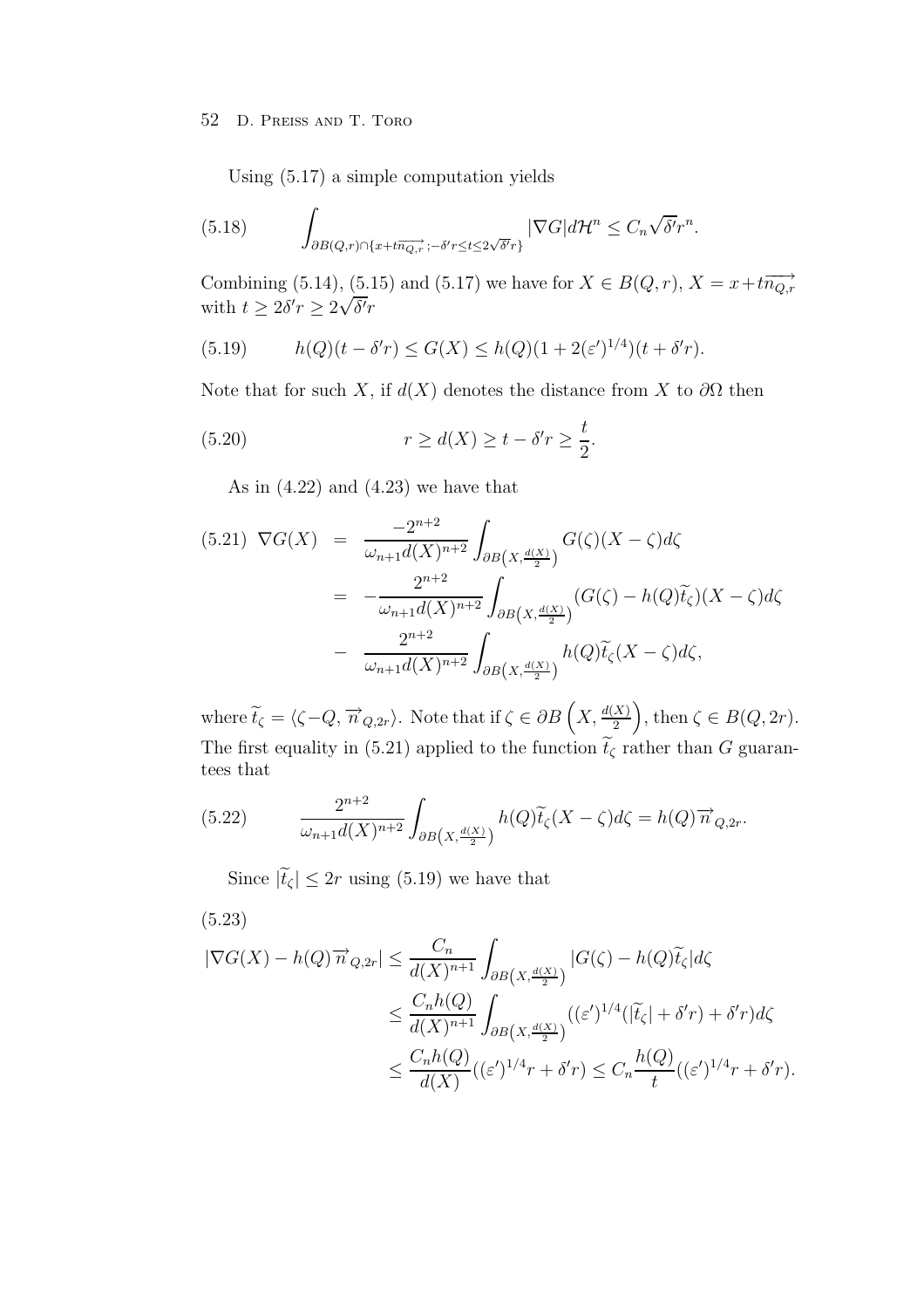Using (5.17) a simple computation yields

(5.18) 
$$
\int_{\partial B(Q,r)\cap\{x+t\overline{n_{Q,r}}\;;\;-\delta' r\leq t\leq 2\sqrt{\delta'}r\}} |\nabla G| d\mathcal{H}^n \leq C_n \sqrt{\delta'} r^n.
$$

Combining (5.14), (5.15) and (5.17) we have for  $X \in B(Q,r)$ ,  $X = x + t\overrightarrow{n_{Q,r}}$ with  $t \geq 2\delta' r \geq 2$ √  $\delta' r$ 

(5.19) 
$$
h(Q)(t - \delta' r) \le G(X) \le h(Q)(1 + 2(\varepsilon')^{1/4})(t + \delta' r).
$$

Note that for such X, if  $d(X)$  denotes the distance from X to  $\partial\Omega$  then

(5.20) 
$$
r \ge d(X) \ge t - \delta' r \ge \frac{t}{2}.
$$

As in  $(4.22)$  and  $(4.23)$  we have that

$$
(5.21) \nabla G(X) = \frac{-2^{n+2}}{\omega_{n+1}d(X)^{n+2}} \int_{\partial B(X, \frac{d(X)}{2})} G(\zeta)(X - \zeta) d\zeta
$$

$$
= -\frac{2^{n+2}}{\omega_{n+1}d(X)^{n+2}} \int_{\partial B(X, \frac{d(X)}{2})} (G(\zeta) - h(Q)\widetilde{t}_{\zeta})(X - \zeta) d\zeta
$$

$$
- \frac{2^{n+2}}{\omega_{n+1}d(X)^{n+2}} \int_{\partial B(X, \frac{d(X)}{2})} h(Q)\widetilde{t}_{\zeta}(X - \zeta) d\zeta,
$$

where  $\widetilde{t}_{\zeta} = \langle \zeta - Q, \overrightarrow{n}_{Q,2r} \rangle$ . Note that if  $\zeta \in \partial B\left(X, \frac{d(X)}{2}\right)$ , then  $\zeta \in B(Q, 2r)$ . The first equality in (5.21) applied to the function  $\tilde{t}_{\zeta}$  rather than G guarantees that

(5.22) 
$$
\frac{2^{n+2}}{\omega_{n+1}d(X)^{n+2}}\int_{\partial B\left(X,\frac{d(X)}{2}\right)}h(Q)\widetilde{t}_{\zeta}(X-\zeta)d\zeta=h(Q)\overrightarrow{n}_{Q,2r}.
$$

Since  $|\tilde{t}_{\zeta}| \leq 2r$  using (5.19) we have that

$$
(5.23)
$$

$$
\begin{split} |\nabla G(X) - h(Q)\overrightarrow{n}_{Q,2r}| &\leq \frac{C_n}{d(X)^{n+1}} \int_{\partial B\left(X, \frac{d(X)}{2}\right)} |G(\zeta) - h(Q)\widetilde{t}_{\zeta}| d\zeta \\ &\leq \frac{C_n h(Q)}{d(X)^{n+1}} \int_{\partial B\left(X, \frac{d(X)}{2}\right)} ( (\varepsilon')^{1/4} (|\widetilde{t}_{\zeta}| + \delta' r) + \delta' r) d\zeta \\ &\leq \frac{C_n h(Q)}{d(X)} ( (\varepsilon')^{1/4} r + \delta' r) \leq C_n \frac{h(Q)}{t} ( (\varepsilon')^{1/4} r + \delta' r). \end{split}
$$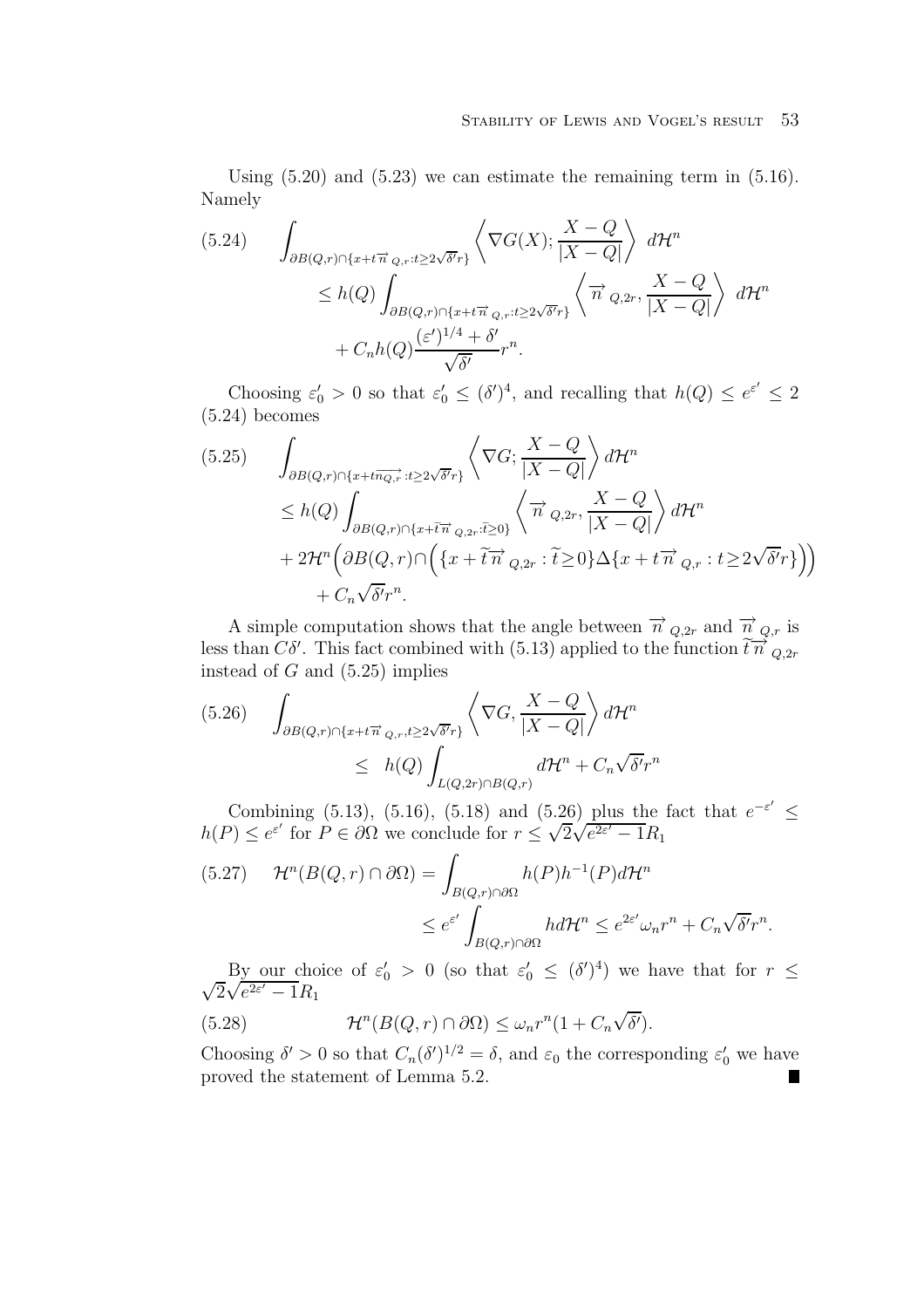Using  $(5.20)$  and  $(5.23)$  we can estimate the remaining term in  $(5.16)$ . Namely

$$
(5.24) \qquad \int_{\partial B(Q,r)\cap\{x+t\overrightarrow{n}_{Q,r}:t\geq2\sqrt{\delta'}r\}} \left\langle \nabla G(X); \frac{X-Q}{|X-Q|} \right\rangle d\mathcal{H}^n
$$
  

$$
\leq h(Q) \int_{\partial B(Q,r)\cap\{x+t\overrightarrow{n}_{Q,r}:t\geq2\sqrt{\delta'}r\}} \left\langle \overrightarrow{n}_{Q,2r}, \frac{X-Q}{|X-Q|} \right\rangle d\mathcal{H}^n
$$
  

$$
+ C_n h(Q) \frac{(\varepsilon')^{1/4} + \delta'}{\sqrt{\delta'}} r^n.
$$

Choosing  $\varepsilon_0' > 0$  so that  $\varepsilon_0' \leq (\delta')^4$ , and recalling that  $h(Q) \leq e^{\varepsilon'} \leq 2$ (5.24) becomes

$$
(5.25) \qquad \int_{\partial B(Q,r)\cap\{x+t\overline{n_{Q,r}}:t\geq 2\sqrt{\delta'}r\}} \left\langle \nabla G; \frac{X-Q}{|X-Q|} \right\rangle d\mathcal{H}^n
$$
  
\n
$$
\leq h(Q) \int_{\partial B(Q,r)\cap\{x+\tilde{t}\overline{n}_{Q,2r}:\tilde{t}\geq 0\}} \left\langle \overrightarrow{n}_{Q,2r}, \frac{X-Q}{|X-Q|} \right\rangle d\mathcal{H}^n
$$
  
\n
$$
+ 2\mathcal{H}^n \left( \partial B(Q,r) \cap \left( \{x+\tilde{t}\overline{n}_{Q,2r}:\tilde{t}\geq 0\} \Delta \{x+t\overline{n}_{Q,r}:\,t\geq 2\sqrt{\delta'}r\} \right) \right)
$$
  
\n
$$
+ C_n \sqrt{\delta'}r^n.
$$

A simple computation shows that the angle between  $\vec{n}$   $_{Q,2r}$  and  $\vec{n}$ <sub> $_{Q,r}$ </sub> is less than  $C\delta'$ . This fact combined with (5.13) applied to the function  $\tilde{t} \overrightarrow{n}_{Q,2r}$ instead of  $G$  and  $(5.25)$  implies

$$
(5.26) \quad \int_{\partial B(Q,r)\cap\{x+t\overrightarrow{n}_{Q,r},t\geq2\sqrt{\delta'}r\}} \left\langle \nabla G,\frac{X-Q}{|X-Q|} \right\rangle d\mathcal{H}^n
$$
  

$$
\leq h(Q) \int_{L(Q,2r)\cap B(Q,r)} d\mathcal{H}^n + C_n \sqrt{\delta'}r^n
$$

Combining (5.13), (5.16), (5.18) and (5.26) plus the fact that  $e^{-\varepsilon'} \leq$ Compining (5.13), (5.16), (5.18) and (5.26) plus the<br>  $h(P) \leq e^{\varepsilon'}$  for  $P \in \partial \Omega$  we conclude for  $r \leq \sqrt{2\sqrt{e^{2\varepsilon'}}-1}R_1$ 

$$
(5.27) \t\mathcal{H}^n(B(Q,r)\cap\partial\Omega) = \int_{B(Q,r)\cap\partial\Omega} h(P)h^{-1}(P)d\mathcal{H}^n
$$
  

$$
\leq e^{\varepsilon'} \int_{B(Q,r)\cap\partial\Omega} h d\mathcal{H}^n \leq e^{2\varepsilon'} \omega_n r^n + C_n \sqrt{\delta'} r^n.
$$

By our choice of  $\varepsilon_0' > 0$  (so that  $\varepsilon_0' \leq (\delta')^4$ ) we have that for  $r \leq$ 2  $\frac{\text{By our conc}}{\sqrt{e^{2\varepsilon'}-1}R_1}$ √

(5.28) 
$$
\mathcal{H}^n(B(Q,r)\cap\partial\Omega)\leq \omega_n r^n(1+C_n\sqrt{\delta'}).
$$

Choosing  $\delta' > 0$  so that  $C_n(\delta')^{1/2} = \delta$ , and  $\varepsilon_0$  the corresponding  $\varepsilon'_0$  we have proved the statement of Lemma 5.2.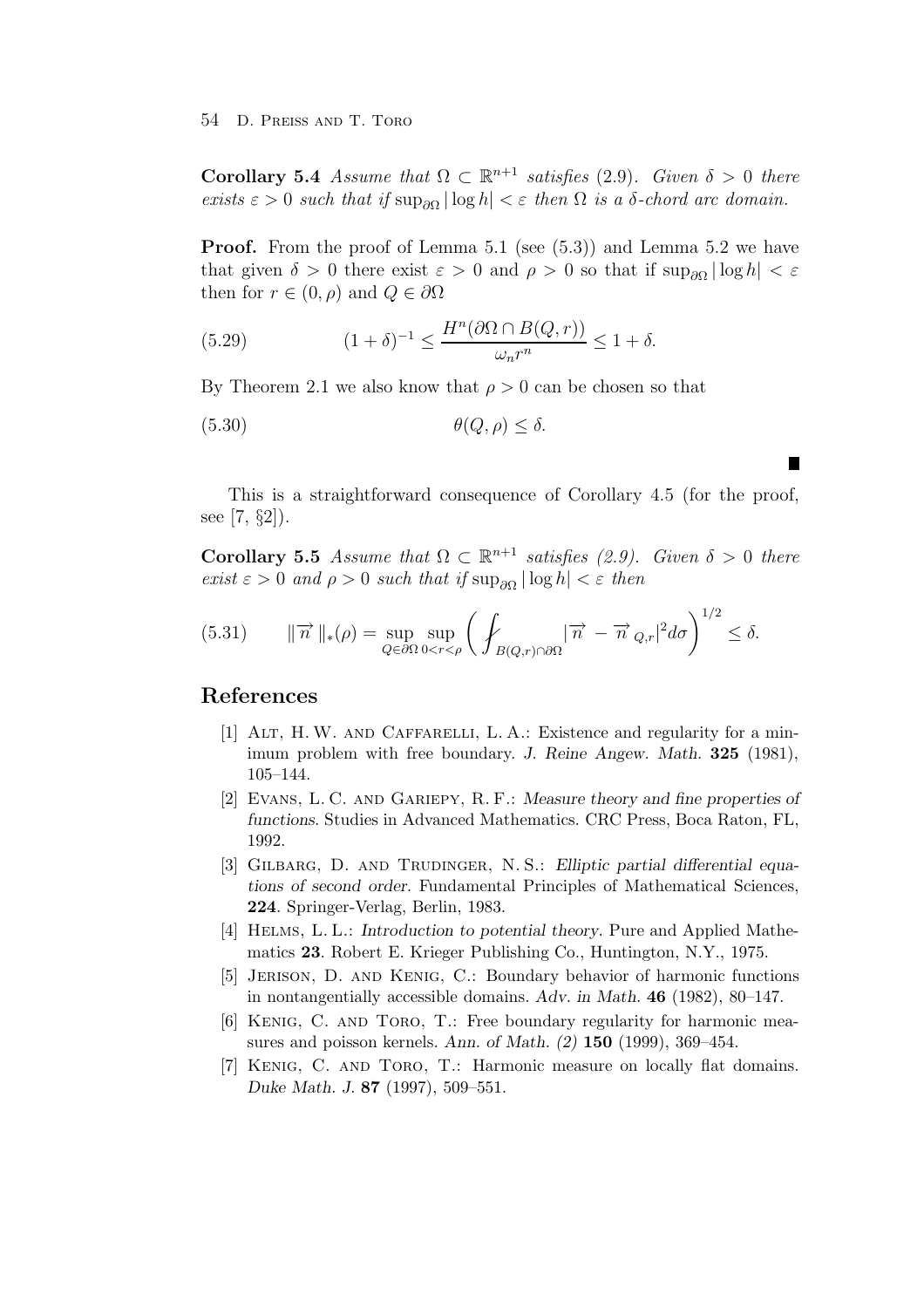**Corollary 5.4** Assume that  $\Omega \subset \mathbb{R}^{n+1}$  satisfies (2.9). Given  $\delta > 0$  there exists  $\varepsilon > 0$  such that if  $\sup_{\partial \Omega} |\log h| < \varepsilon$  then  $\Omega$  is a  $\delta$ -chord arc domain.

**Proof.** From the proof of Lemma 5.1 (see (5.3)) and Lemma 5.2 we have that given  $\delta > 0$  there exist  $\varepsilon > 0$  and  $\rho > 0$  so that if  $\sup_{\partial\Omega} | \log h | < \varepsilon$ then for  $r \in (0, \rho)$  and  $Q \in \partial \Omega$ 

(5.29) 
$$
(1+\delta)^{-1} \le \frac{H^n(\partial \Omega \cap B(Q,r))}{\omega_n r^n} \le 1+\delta.
$$

By Theorem 2.1 we also know that  $\rho > 0$  can be chosen so that

$$
(5.30) \qquad \theta(Q,\rho) \le \delta.
$$

This is a straightforward consequence of Corollary 4.5 (for the proof, see [7, §2]).

П

**Corollary 5.5** Assume that  $\Omega \subset \mathbb{R}^{n+1}$  satisfies (2.9). Given  $\delta > 0$  there exist  $\varepsilon > 0$  and  $\rho > 0$  such that if  $\sup_{\partial \Omega} |\log h| < \varepsilon$  then

(5.31) 
$$
\|\overrightarrow{n}\|_{*}(\rho) = \sup_{Q \in \partial\Omega} \sup_{0 < r < \rho} \left( \int_{B(Q,r) \cap \partial\Omega} |\overrightarrow{n} - \overrightarrow{n} \, Q_{,r}|^2 d\sigma \right)^{1/2} \leq \delta.
$$

### **References**

- [1] Alt, H. W. and Caffarelli, L. A.: Existence and regularity for a minimum problem with free boundary. *J. Reine Angew. Math.* **325** (1981), 105–144.
- [2] Evans, L. C. and Gariepy, R. F.: *Measure theory and fine properties of functions*. Studies in Advanced Mathematics. CRC Press, Boca Raton, FL, 1992.
- [3] Gilbarg, D. and Trudinger, N. S.: *Elliptic partial differential equations of second order*. Fundamental Principles of Mathematical Sciences, **224**. Springer-Verlag, Berlin, 1983.
- [4] Helms, L. L.: *Introduction to potential theory*. Pure and Applied Mathematics **23**. Robert E. Krieger Publishing Co., Huntington, N.Y., 1975.
- [5] Jerison, D. and Kenig, C.: Boundary behavior of harmonic functions in nontangentially accessible domains. *Adv. in Math.* **46** (1982), 80–147.
- [6] Kenig, C. and Toro, T.: Free boundary regularity for harmonic measures and poisson kernels. *Ann. of Math. (2)* **150** (1999), 369–454.
- [7] Kenig, C. and Toro, T.: Harmonic measure on locally flat domains. *Duke Math. J.* **87** (1997), 509–551.